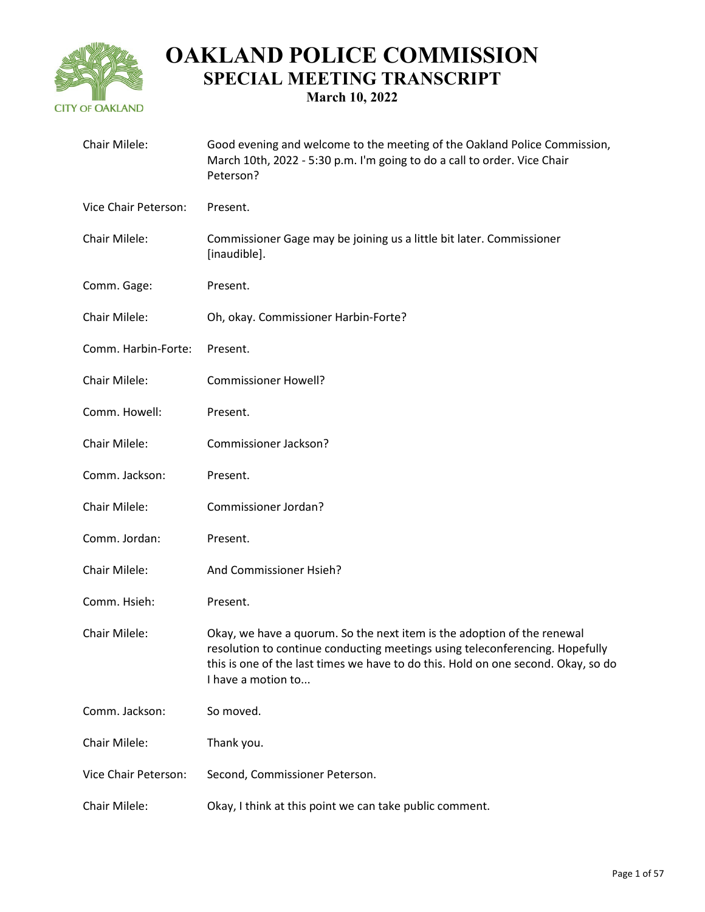

| Chair Milele:        | Good evening and welcome to the meeting of the Oakland Police Commission,<br>March 10th, 2022 - 5:30 p.m. I'm going to do a call to order. Vice Chair<br>Peterson?                                                                                                 |
|----------------------|--------------------------------------------------------------------------------------------------------------------------------------------------------------------------------------------------------------------------------------------------------------------|
| Vice Chair Peterson: | Present.                                                                                                                                                                                                                                                           |
| Chair Milele:        | Commissioner Gage may be joining us a little bit later. Commissioner<br>[inaudible].                                                                                                                                                                               |
| Comm. Gage:          | Present.                                                                                                                                                                                                                                                           |
| Chair Milele:        | Oh, okay. Commissioner Harbin-Forte?                                                                                                                                                                                                                               |
| Comm. Harbin-Forte:  | Present.                                                                                                                                                                                                                                                           |
| Chair Milele:        | <b>Commissioner Howell?</b>                                                                                                                                                                                                                                        |
| Comm. Howell:        | Present.                                                                                                                                                                                                                                                           |
| Chair Milele:        | Commissioner Jackson?                                                                                                                                                                                                                                              |
| Comm. Jackson:       | Present.                                                                                                                                                                                                                                                           |
| Chair Milele:        | Commissioner Jordan?                                                                                                                                                                                                                                               |
| Comm. Jordan:        | Present.                                                                                                                                                                                                                                                           |
| Chair Milele:        | And Commissioner Hsieh?                                                                                                                                                                                                                                            |
| Comm. Hsieh:         | Present.                                                                                                                                                                                                                                                           |
| Chair Milele:        | Okay, we have a quorum. So the next item is the adoption of the renewal<br>resolution to continue conducting meetings using teleconferencing. Hopefully<br>this is one of the last times we have to do this. Hold on one second. Okay, so do<br>I have a motion to |
| Comm. Jackson:       | So moved.                                                                                                                                                                                                                                                          |
| Chair Milele:        | Thank you.                                                                                                                                                                                                                                                         |
| Vice Chair Peterson: | Second, Commissioner Peterson.                                                                                                                                                                                                                                     |
| Chair Milele:        | Okay, I think at this point we can take public comment.                                                                                                                                                                                                            |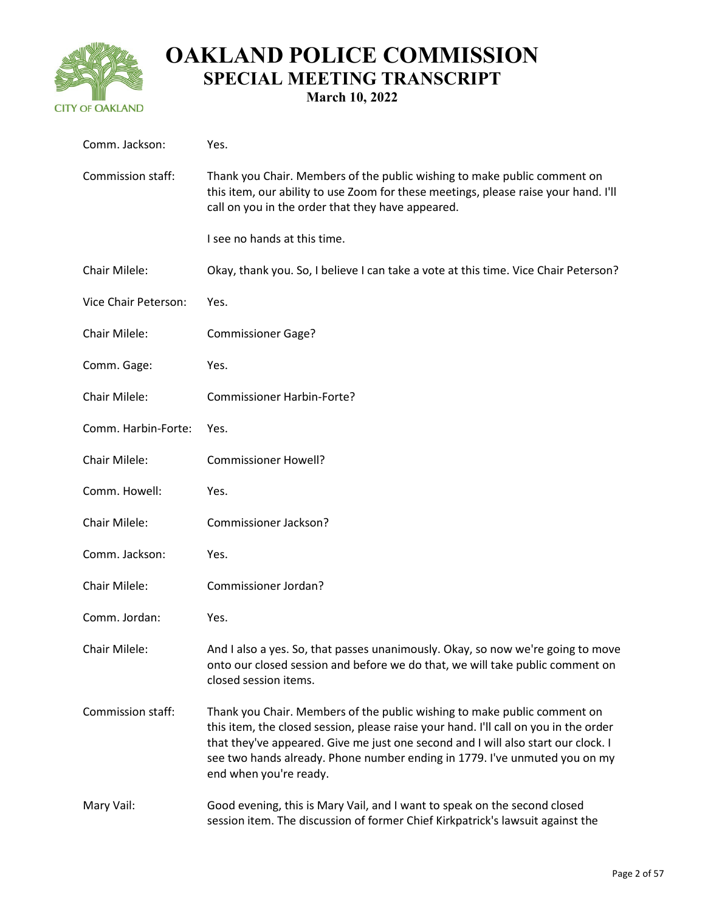

| Comm. Jackson:       | Yes.                                                                                                                                                                                                                                                                                                                                                          |
|----------------------|---------------------------------------------------------------------------------------------------------------------------------------------------------------------------------------------------------------------------------------------------------------------------------------------------------------------------------------------------------------|
| Commission staff:    | Thank you Chair. Members of the public wishing to make public comment on<br>this item, our ability to use Zoom for these meetings, please raise your hand. I'll<br>call on you in the order that they have appeared.                                                                                                                                          |
|                      | I see no hands at this time.                                                                                                                                                                                                                                                                                                                                  |
| Chair Milele:        | Okay, thank you. So, I believe I can take a vote at this time. Vice Chair Peterson?                                                                                                                                                                                                                                                                           |
| Vice Chair Peterson: | Yes.                                                                                                                                                                                                                                                                                                                                                          |
| Chair Milele:        | <b>Commissioner Gage?</b>                                                                                                                                                                                                                                                                                                                                     |
| Comm. Gage:          | Yes.                                                                                                                                                                                                                                                                                                                                                          |
| Chair Milele:        | <b>Commissioner Harbin-Forte?</b>                                                                                                                                                                                                                                                                                                                             |
| Comm. Harbin-Forte:  | Yes.                                                                                                                                                                                                                                                                                                                                                          |
| Chair Milele:        | <b>Commissioner Howell?</b>                                                                                                                                                                                                                                                                                                                                   |
| Comm. Howell:        | Yes.                                                                                                                                                                                                                                                                                                                                                          |
| Chair Milele:        | Commissioner Jackson?                                                                                                                                                                                                                                                                                                                                         |
| Comm. Jackson:       | Yes.                                                                                                                                                                                                                                                                                                                                                          |
| Chair Milele:        | Commissioner Jordan?                                                                                                                                                                                                                                                                                                                                          |
| Comm. Jordan:        | Yes.                                                                                                                                                                                                                                                                                                                                                          |
| Chair Milele:        | And I also a yes. So, that passes unanimously. Okay, so now we're going to move<br>onto our closed session and before we do that, we will take public comment on<br>closed session items.                                                                                                                                                                     |
| Commission staff:    | Thank you Chair. Members of the public wishing to make public comment on<br>this item, the closed session, please raise your hand. I'll call on you in the order<br>that they've appeared. Give me just one second and I will also start our clock. I<br>see two hands already. Phone number ending in 1779. I've unmuted you on my<br>end when you're ready. |
| Mary Vail:           | Good evening, this is Mary Vail, and I want to speak on the second closed<br>session item. The discussion of former Chief Kirkpatrick's lawsuit against the                                                                                                                                                                                                   |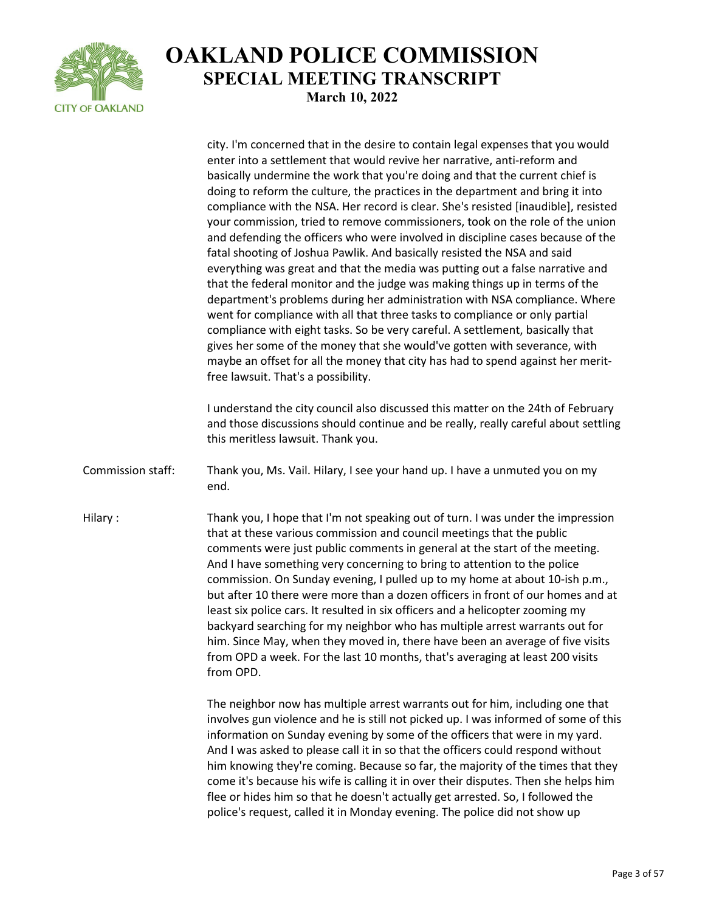

city. I'm concerned that in the desire to contain legal expenses that you would enter into a settlement that would revive her narrative, anti-reform and basically undermine the work that you're doing and that the current chief is doing to reform the culture, the practices in the department and bring it into compliance with the NSA. Her record is clear. She's resisted [inaudible], resisted your commission, tried to remove commissioners, took on the role of the union and defending the officers who were involved in discipline cases because of the fatal shooting of Joshua Pawlik. And basically resisted the NSA and said everything was great and that the media was putting out a false narrative and that the federal monitor and the judge was making things up in terms of the department's problems during her administration with NSA compliance. Where went for compliance with all that three tasks to compliance or only partial compliance with eight tasks. So be very careful. A settlement, basically that gives her some of the money that she would've gotten with severance, with maybe an offset for all the money that city has had to spend against her meritfree lawsuit. That's a possibility. I understand the city council also discussed this matter on the 24th of February and those discussions should continue and be really, really careful about settling this meritless lawsuit. Thank you. Commission staff: Thank you, Ms. Vail. Hilary, I see your hand up. I have a unmuted you on my end. Hilary : Thank you, I hope that I'm not speaking out of turn. I was under the impression that at these various commission and council meetings that the public comments were just public comments in general at the start of the meeting. And I have something very concerning to bring to attention to the police commission. On Sunday evening, I pulled up to my home at about 10-ish p.m., but after 10 there were more than a dozen officers in front of our homes and at least six police cars. It resulted in six officers and a helicopter zooming my backyard searching for my neighbor who has multiple arrest warrants out for him. Since May, when they moved in, there have been an average of five visits from OPD a week. For the last 10 months, that's averaging at least 200 visits from OPD. The neighbor now has multiple arrest warrants out for him, including one that involves gun violence and he is still not picked up. I was informed of some of this information on Sunday evening by some of the officers that were in my yard. And I was asked to please call it in so that the officers could respond without him knowing they're coming. Because so far, the majority of the times that they come it's because his wife is calling it in over their disputes. Then she helps him flee or hides him so that he doesn't actually get arrested. So, I followed the police's request, called it in Monday evening. The police did not show up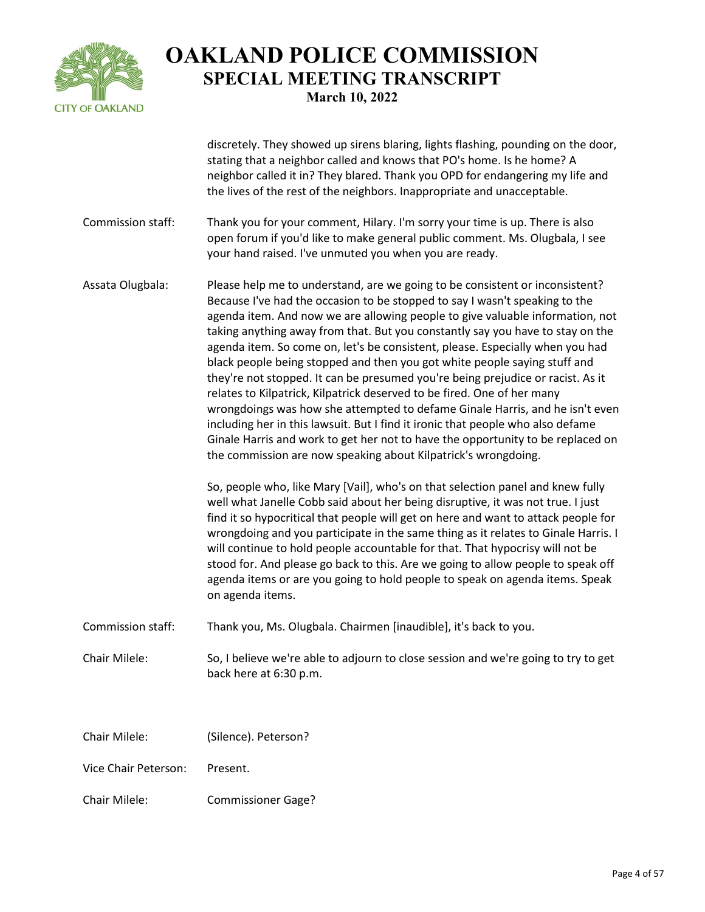

discretely. They showed up sirens blaring, lights flashing, pounding on the door, stating that a neighbor called and knows that PO's home. Is he home? A neighbor called it in? They blared. Thank you OPD for endangering my life and the lives of the rest of the neighbors. Inappropriate and unacceptable.

- Commission staff: Thank you for your comment, Hilary. I'm sorry your time is up. There is also open forum if you'd like to make general public comment. Ms. Olugbala, I see your hand raised. I've unmuted you when you are ready.
- Assata Olugbala: Please help me to understand, are we going to be consistent or inconsistent? Because I've had the occasion to be stopped to say I wasn't speaking to the agenda item. And now we are allowing people to give valuable information, not taking anything away from that. But you constantly say you have to stay on the agenda item. So come on, let's be consistent, please. Especially when you had black people being stopped and then you got white people saying stuff and they're not stopped. It can be presumed you're being prejudice or racist. As it relates to Kilpatrick, Kilpatrick deserved to be fired. One of her many wrongdoings was how she attempted to defame Ginale Harris, and he isn't even including her in this lawsuit. But I find it ironic that people who also defame Ginale Harris and work to get her not to have the opportunity to be replaced on the commission are now speaking about Kilpatrick's wrongdoing.

So, people who, like Mary [Vail], who's on that selection panel and knew fully well what Janelle Cobb said about her being disruptive, it was not true. I just find it so hypocritical that people will get on here and want to attack people for wrongdoing and you participate in the same thing as it relates to Ginale Harris. I will continue to hold people accountable for that. That hypocrisy will not be stood for. And please go back to this. Are we going to allow people to speak off agenda items or are you going to hold people to speak on agenda items. Speak on agenda items.

Commission staff: Thank you, Ms. Olugbala. Chairmen [inaudible], it's back to you.

Chair Milele: So, I believe we're able to adjourn to close session and we're going to try to get back here at 6:30 p.m.

| Chair Milele: | (Silence). Peterson? |
|---------------|----------------------|
|               |                      |

- Vice Chair Peterson: Present.
- Chair Milele: Commissioner Gage?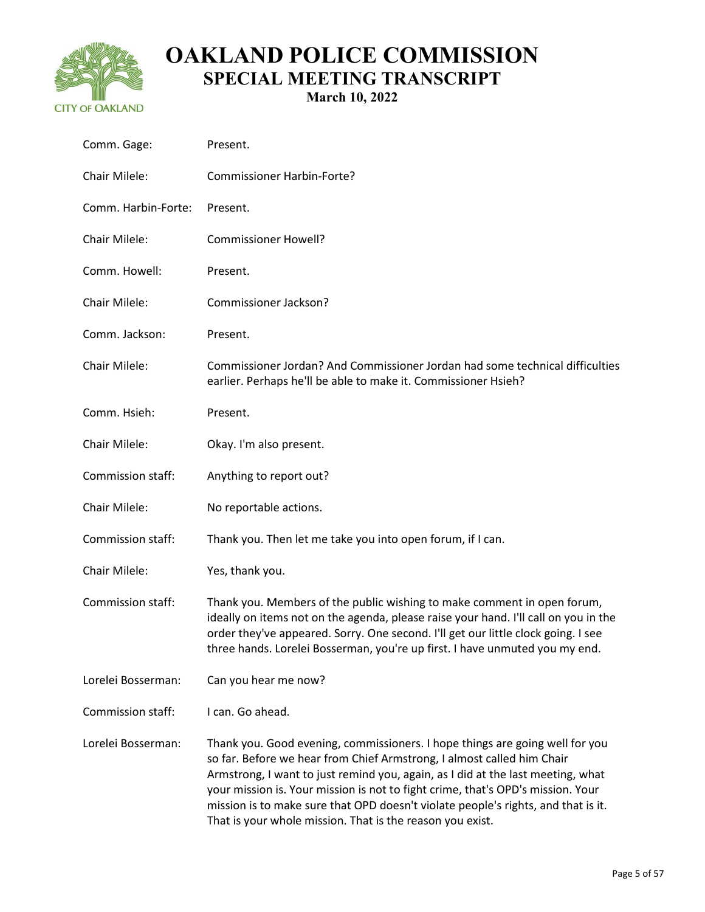

| Comm. Gage:         | Present.                                                                                                                                                                                                                                                                                                                                                                                                                                                                       |
|---------------------|--------------------------------------------------------------------------------------------------------------------------------------------------------------------------------------------------------------------------------------------------------------------------------------------------------------------------------------------------------------------------------------------------------------------------------------------------------------------------------|
| Chair Milele:       | <b>Commissioner Harbin-Forte?</b>                                                                                                                                                                                                                                                                                                                                                                                                                                              |
| Comm. Harbin-Forte: | Present.                                                                                                                                                                                                                                                                                                                                                                                                                                                                       |
| Chair Milele:       | <b>Commissioner Howell?</b>                                                                                                                                                                                                                                                                                                                                                                                                                                                    |
| Comm. Howell:       | Present.                                                                                                                                                                                                                                                                                                                                                                                                                                                                       |
| Chair Milele:       | Commissioner Jackson?                                                                                                                                                                                                                                                                                                                                                                                                                                                          |
| Comm. Jackson:      | Present.                                                                                                                                                                                                                                                                                                                                                                                                                                                                       |
| Chair Milele:       | Commissioner Jordan? And Commissioner Jordan had some technical difficulties<br>earlier. Perhaps he'll be able to make it. Commissioner Hsieh?                                                                                                                                                                                                                                                                                                                                 |
| Comm. Hsieh:        | Present.                                                                                                                                                                                                                                                                                                                                                                                                                                                                       |
| Chair Milele:       | Okay. I'm also present.                                                                                                                                                                                                                                                                                                                                                                                                                                                        |
| Commission staff:   | Anything to report out?                                                                                                                                                                                                                                                                                                                                                                                                                                                        |
| Chair Milele:       | No reportable actions.                                                                                                                                                                                                                                                                                                                                                                                                                                                         |
| Commission staff:   | Thank you. Then let me take you into open forum, if I can.                                                                                                                                                                                                                                                                                                                                                                                                                     |
| Chair Milele:       | Yes, thank you.                                                                                                                                                                                                                                                                                                                                                                                                                                                                |
| Commission staff:   | Thank you. Members of the public wishing to make comment in open forum,<br>ideally on items not on the agenda, please raise your hand. I'll call on you in the<br>order they've appeared. Sorry. One second. I'll get our little clock going. I see<br>three hands. Lorelei Bosserman, you're up first. I have unmuted you my end.                                                                                                                                             |
| Lorelei Bosserman:  | Can you hear me now?                                                                                                                                                                                                                                                                                                                                                                                                                                                           |
| Commission staff:   | I can. Go ahead.                                                                                                                                                                                                                                                                                                                                                                                                                                                               |
| Lorelei Bosserman:  | Thank you. Good evening, commissioners. I hope things are going well for you<br>so far. Before we hear from Chief Armstrong, I almost called him Chair<br>Armstrong, I want to just remind you, again, as I did at the last meeting, what<br>your mission is. Your mission is not to fight crime, that's OPD's mission. Your<br>mission is to make sure that OPD doesn't violate people's rights, and that is it.<br>That is your whole mission. That is the reason you exist. |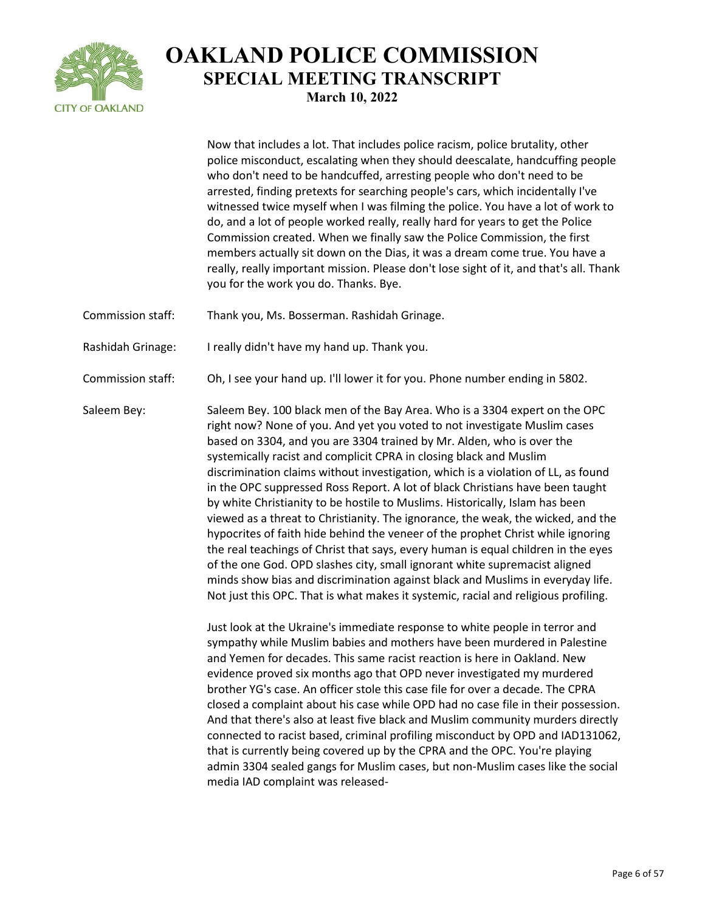

Now that includes a lot. That includes police racism, police brutality, other police misconduct, escalating when they should deescalate, handcuffing people who don't need to be handcuffed, arresting people who don't need to be arrested, finding pretexts for searching people's cars, which incidentally I've witnessed twice myself when I was filming the police. You have a lot of work to do, and a lot of people worked really, really hard for years to get the Police Commission created. When we finally saw the Police Commission, the first members actually sit down on the Dias, it was a dream come true. You have a really, really important mission. Please don't lose sight of it, and that's all. Thank you for the work you do. Thanks. Bye. Commission staff: Thank you, Ms. Bosserman. Rashidah Grinage. Rashidah Grinage: I really didn't have my hand up. Thank you. Commission staff: Oh, I see your hand up. I'll lower it for you. Phone number ending in 5802. Saleem Bey: Saleem Bey. 100 black men of the Bay Area. Who is a 3304 expert on the OPC right now? None of you. And yet you voted to not investigate Muslim cases based on 3304, and you are 3304 trained by Mr. Alden, who is over the systemically racist and complicit CPRA in closing black and Muslim discrimination claims without investigation, which is a violation of LL, as found in the OPC suppressed Ross Report. A lot of black Christians have been taught by white Christianity to be hostile to Muslims. Historically, Islam has been viewed as a threat to Christianity. The ignorance, the weak, the wicked, and the hypocrites of faith hide behind the veneer of the prophet Christ while ignoring the real teachings of Christ that says, every human is equal children in the eyes of the one God. OPD slashes city, small ignorant white supremacist aligned

> Not just this OPC. That is what makes it systemic, racial and religious profiling. Just look at the Ukraine's immediate response to white people in terror and sympathy while Muslim babies and mothers have been murdered in Palestine and Yemen for decades. This same racist reaction is here in Oakland. New evidence proved six months ago that OPD never investigated my murdered brother YG's case. An officer stole this case file for over a decade. The CPRA closed a complaint about his case while OPD had no case file in their possession. And that there's also at least five black and Muslim community murders directly connected to racist based, criminal profiling misconduct by OPD and IAD131062, that is currently being covered up by the CPRA and the OPC. You're playing admin 3304 sealed gangs for Muslim cases, but non-Muslim cases like the social media IAD complaint was released-

minds show bias and discrimination against black and Muslims in everyday life.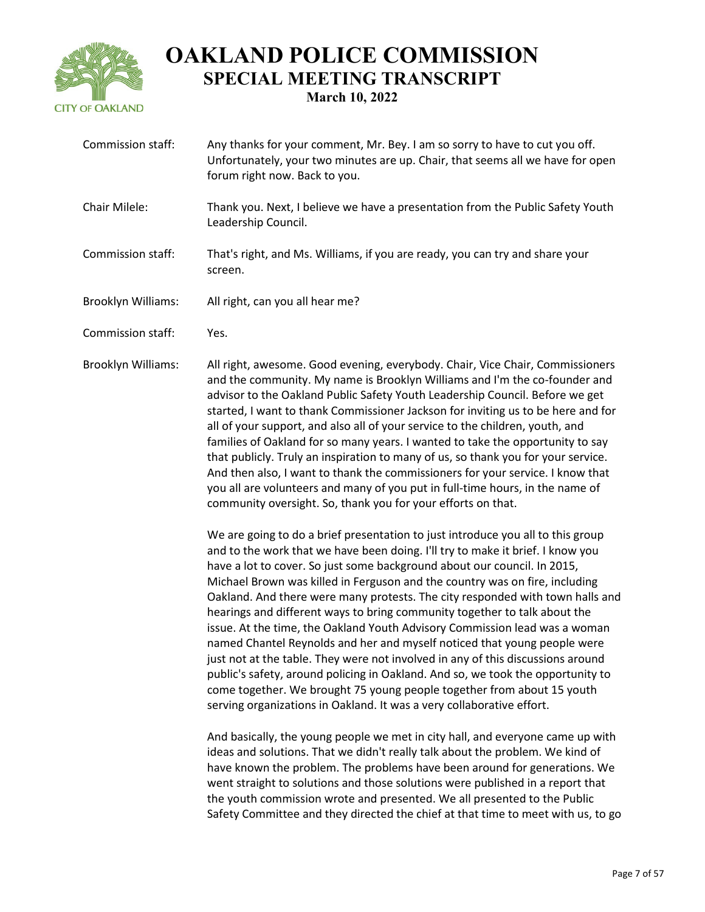

Commission staff: Any thanks for your comment, Mr. Bey. I am so sorry to have to cut you off. Unfortunately, your two minutes are up. Chair, that seems all we have for open forum right now. Back to you. Chair Milele: Thank you. Next, I believe we have a presentation from the Public Safety Youth Leadership Council. Commission staff: That's right, and Ms. Williams, if you are ready, you can try and share your screen. Brooklyn Williams: All right, can you all hear me? Commission staff: Yes.

Brooklyn Williams: All right, awesome. Good evening, everybody. Chair, Vice Chair, Commissioners and the community. My name is Brooklyn Williams and I'm the co-founder and advisor to the Oakland Public Safety Youth Leadership Council. Before we get started, I want to thank Commissioner Jackson for inviting us to be here and for all of your support, and also all of your service to the children, youth, and families of Oakland for so many years. I wanted to take the opportunity to say that publicly. Truly an inspiration to many of us, so thank you for your service. And then also, I want to thank the commissioners for your service. I know that you all are volunteers and many of you put in full-time hours, in the name of community oversight. So, thank you for your efforts on that.

> We are going to do a brief presentation to just introduce you all to this group and to the work that we have been doing. I'll try to make it brief. I know you have a lot to cover. So just some background about our council. In 2015, Michael Brown was killed in Ferguson and the country was on fire, including Oakland. And there were many protests. The city responded with town halls and hearings and different ways to bring community together to talk about the issue. At the time, the Oakland Youth Advisory Commission lead was a woman named Chantel Reynolds and her and myself noticed that young people were just not at the table. They were not involved in any of this discussions around public's safety, around policing in Oakland. And so, we took the opportunity to come together. We brought 75 young people together from about 15 youth serving organizations in Oakland. It was a very collaborative effort.

> And basically, the young people we met in city hall, and everyone came up with ideas and solutions. That we didn't really talk about the problem. We kind of have known the problem. The problems have been around for generations. We went straight to solutions and those solutions were published in a report that the youth commission wrote and presented. We all presented to the Public Safety Committee and they directed the chief at that time to meet with us, to go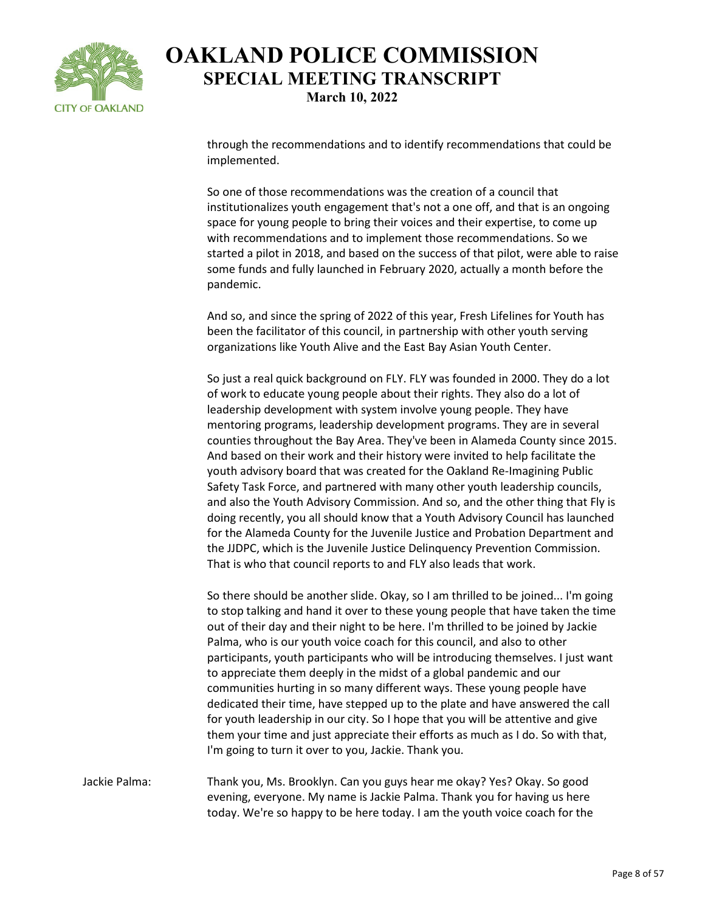

through the recommendations and to identify recommendations that could be implemented.

So one of those recommendations was the creation of a council that institutionalizes youth engagement that's not a one off, and that is an ongoing space for young people to bring their voices and their expertise, to come up with recommendations and to implement those recommendations. So we started a pilot in 2018, and based on the success of that pilot, were able to raise some funds and fully launched in February 2020, actually a month before the pandemic.

And so, and since the spring of 2022 of this year, Fresh Lifelines for Youth has been the facilitator of this council, in partnership with other youth serving organizations like Youth Alive and the East Bay Asian Youth Center.

So just a real quick background on FLY. FLY was founded in 2000. They do a lot of work to educate young people about their rights. They also do a lot of leadership development with system involve young people. They have mentoring programs, leadership development programs. They are in several counties throughout the Bay Area. They've been in Alameda County since 2015. And based on their work and their history were invited to help facilitate the youth advisory board that was created for the Oakland Re-Imagining Public Safety Task Force, and partnered with many other youth leadership councils, and also the Youth Advisory Commission. And so, and the other thing that Fly is doing recently, you all should know that a Youth Advisory Council has launched for the Alameda County for the Juvenile Justice and Probation Department and the JJDPC, which is the Juvenile Justice Delinquency Prevention Commission. That is who that council reports to and FLY also leads that work.

So there should be another slide. Okay, so I am thrilled to be joined... I'm going to stop talking and hand it over to these young people that have taken the time out of their day and their night to be here. I'm thrilled to be joined by Jackie Palma, who is our youth voice coach for this council, and also to other participants, youth participants who will be introducing themselves. I just want to appreciate them deeply in the midst of a global pandemic and our communities hurting in so many different ways. These young people have dedicated their time, have stepped up to the plate and have answered the call for youth leadership in our city. So I hope that you will be attentive and give them your time and just appreciate their efforts as much as I do. So with that, I'm going to turn it over to you, Jackie. Thank you.

Jackie Palma: Thank you, Ms. Brooklyn. Can you guys hear me okay? Yes? Okay. So good evening, everyone. My name is Jackie Palma. Thank you for having us here today. We're so happy to be here today. I am the youth voice coach for the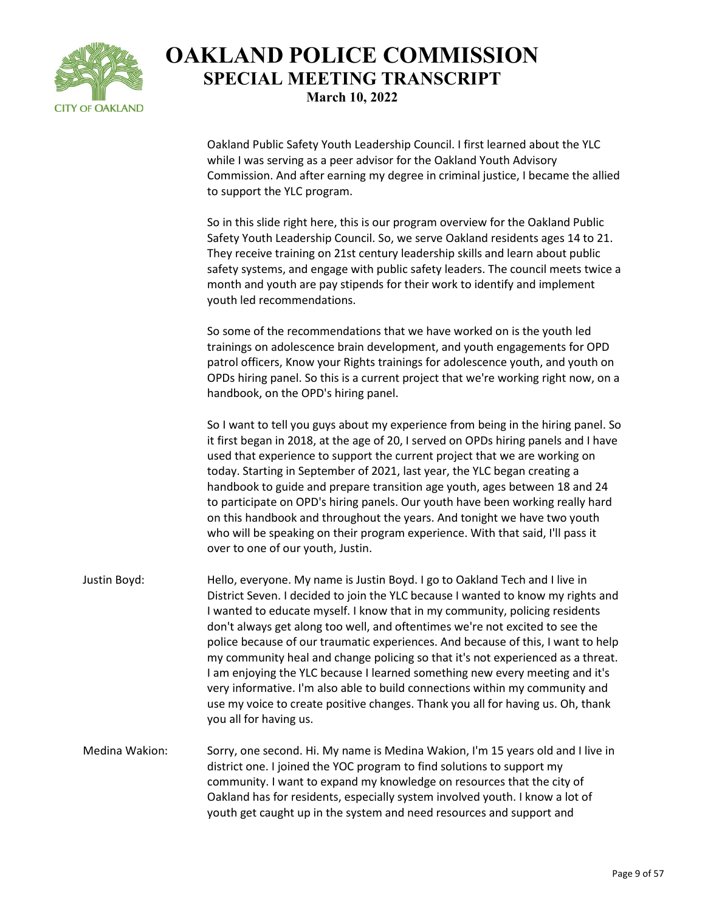

Oakland Public Safety Youth Leadership Council. I first learned about the YLC while I was serving as a peer advisor for the Oakland Youth Advisory Commission. And after earning my degree in criminal justice, I became the allied to support the YLC program.

So in this slide right here, this is our program overview for the Oakland Public Safety Youth Leadership Council. So, we serve Oakland residents ages 14 to 21. They receive training on 21st century leadership skills and learn about public safety systems, and engage with public safety leaders. The council meets twice a month and youth are pay stipends for their work to identify and implement youth led recommendations.

So some of the recommendations that we have worked on is the youth led trainings on adolescence brain development, and youth engagements for OPD patrol officers, Know your Rights trainings for adolescence youth, and youth on OPDs hiring panel. So this is a current project that we're working right now, on a handbook, on the OPD's hiring panel.

So I want to tell you guys about my experience from being in the hiring panel. So it first began in 2018, at the age of 20, I served on OPDs hiring panels and I have used that experience to support the current project that we are working on today. Starting in September of 2021, last year, the YLC began creating a handbook to guide and prepare transition age youth, ages between 18 and 24 to participate on OPD's hiring panels. Our youth have been working really hard on this handbook and throughout the years. And tonight we have two youth who will be speaking on their program experience. With that said, I'll pass it over to one of our youth, Justin.

- Justin Boyd: Hello, everyone. My name is Justin Boyd. I go to Oakland Tech and I live in District Seven. I decided to join the YLC because I wanted to know my rights and I wanted to educate myself. I know that in my community, policing residents don't always get along too well, and oftentimes we're not excited to see the police because of our traumatic experiences. And because of this, I want to help my community heal and change policing so that it's not experienced as a threat. I am enjoying the YLC because I learned something new every meeting and it's very informative. I'm also able to build connections within my community and use my voice to create positive changes. Thank you all for having us. Oh, thank you all for having us.
- Medina Wakion: Sorry, one second. Hi. My name is Medina Wakion, I'm 15 years old and I live in district one. I joined the YOC program to find solutions to support my community. I want to expand my knowledge on resources that the city of Oakland has for residents, especially system involved youth. I know a lot of youth get caught up in the system and need resources and support and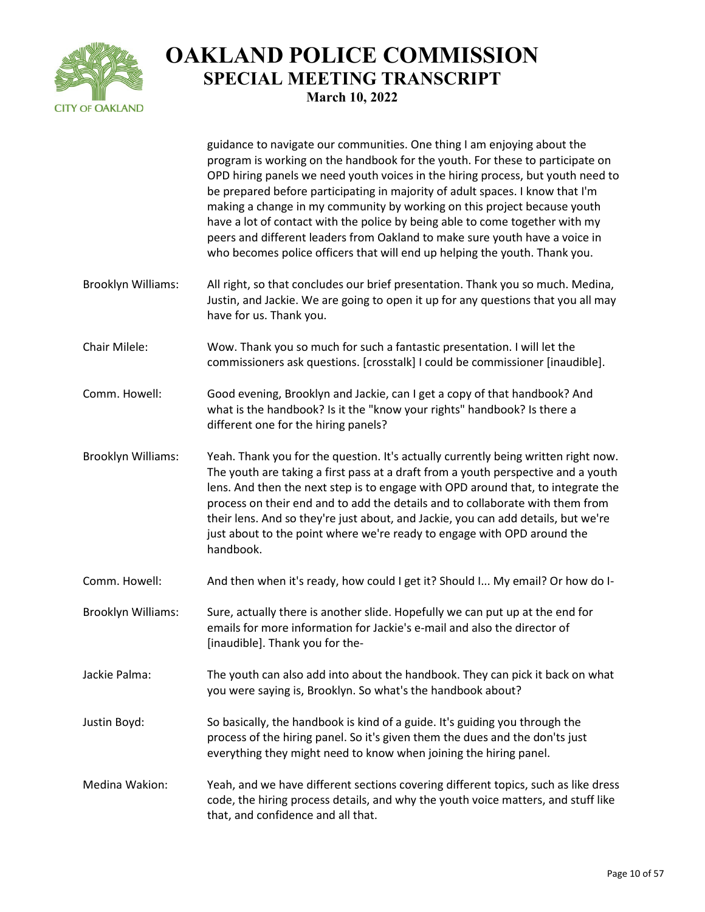

guidance to navigate our communities. One thing I am enjoying about the

program is working on the handbook for the youth. For these to participate on OPD hiring panels we need youth voices in the hiring process, but youth need to be prepared before participating in majority of adult spaces. I know that I'm making a change in my community by working on this project because youth have a lot of contact with the police by being able to come together with my peers and different leaders from Oakland to make sure youth have a voice in who becomes police officers that will end up helping the youth. Thank you. Brooklyn Williams: All right, so that concludes our brief presentation. Thank you so much. Medina, Justin, and Jackie. We are going to open it up for any questions that you all may have for us. Thank you. Chair Milele: Wow. Thank you so much for such a fantastic presentation. I will let the commissioners ask questions. [crosstalk] I could be commissioner [inaudible]. Comm. Howell: Good evening, Brooklyn and Jackie, can I get a copy of that handbook? And what is the handbook? Is it the "know your rights" handbook? Is there a different one for the hiring panels? Brooklyn Williams: Yeah. Thank you for the question. It's actually currently being written right now. The youth are taking a first pass at a draft from a youth perspective and a youth lens. And then the next step is to engage with OPD around that, to integrate the process on their end and to add the details and to collaborate with them from their lens. And so they're just about, and Jackie, you can add details, but we're just about to the point where we're ready to engage with OPD around the handbook. Comm. Howell: And then when it's ready, how could I get it? Should I... My email? Or how do I-Brooklyn Williams: Sure, actually there is another slide. Hopefully we can put up at the end for emails for more information for Jackie's e-mail and also the director of [inaudible]. Thank you for the-Jackie Palma: The youth can also add into about the handbook. They can pick it back on what you were saying is, Brooklyn. So what's the handbook about? Justin Boyd: So basically, the handbook is kind of a guide. It's guiding you through the process of the hiring panel. So it's given them the dues and the don'ts just everything they might need to know when joining the hiring panel. Medina Wakion: Yeah, and we have different sections covering different topics, such as like dress code, the hiring process details, and why the youth voice matters, and stuff like that, and confidence and all that.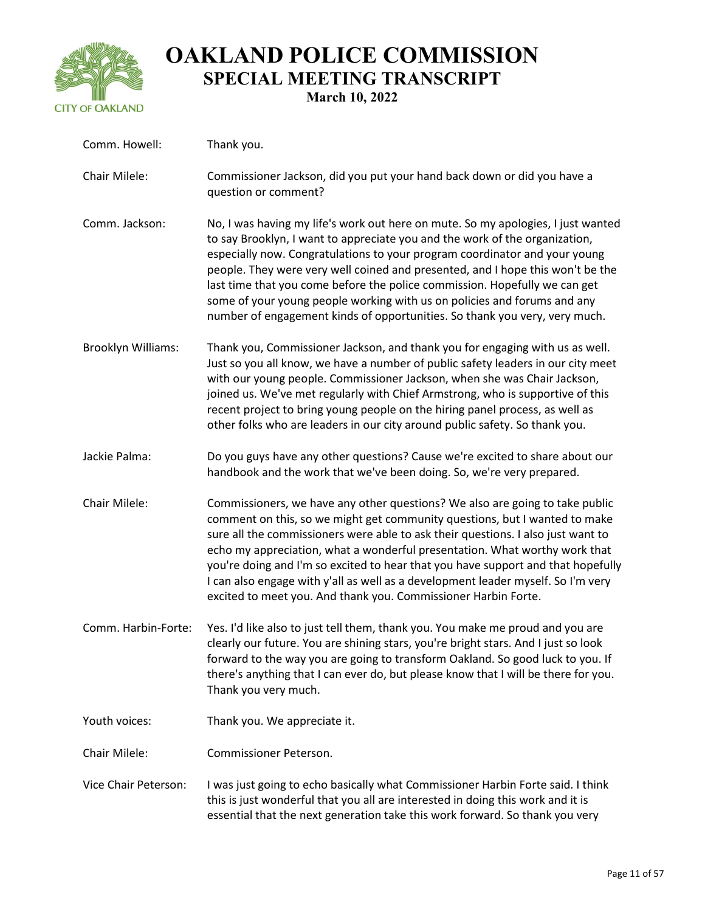

| Comm. Howell:        | Thank you.                                                                                                                                                                                                                                                                                                                                                                                                                                                                                                                                                              |
|----------------------|-------------------------------------------------------------------------------------------------------------------------------------------------------------------------------------------------------------------------------------------------------------------------------------------------------------------------------------------------------------------------------------------------------------------------------------------------------------------------------------------------------------------------------------------------------------------------|
| Chair Milele:        | Commissioner Jackson, did you put your hand back down or did you have a<br>question or comment?                                                                                                                                                                                                                                                                                                                                                                                                                                                                         |
| Comm. Jackson:       | No, I was having my life's work out here on mute. So my apologies, I just wanted<br>to say Brooklyn, I want to appreciate you and the work of the organization,<br>especially now. Congratulations to your program coordinator and your young<br>people. They were very well coined and presented, and I hope this won't be the<br>last time that you come before the police commission. Hopefully we can get<br>some of your young people working with us on policies and forums and any<br>number of engagement kinds of opportunities. So thank you very, very much. |
| Brooklyn Williams:   | Thank you, Commissioner Jackson, and thank you for engaging with us as well.<br>Just so you all know, we have a number of public safety leaders in our city meet<br>with our young people. Commissioner Jackson, when she was Chair Jackson,<br>joined us. We've met regularly with Chief Armstrong, who is supportive of this<br>recent project to bring young people on the hiring panel process, as well as<br>other folks who are leaders in our city around public safety. So thank you.                                                                           |
| Jackie Palma:        | Do you guys have any other questions? Cause we're excited to share about our<br>handbook and the work that we've been doing. So, we're very prepared.                                                                                                                                                                                                                                                                                                                                                                                                                   |
| Chair Milele:        | Commissioners, we have any other questions? We also are going to take public<br>comment on this, so we might get community questions, but I wanted to make<br>sure all the commissioners were able to ask their questions. I also just want to<br>echo my appreciation, what a wonderful presentation. What worthy work that<br>you're doing and I'm so excited to hear that you have support and that hopefully<br>I can also engage with y'all as well as a development leader myself. So I'm very<br>excited to meet you. And thank you. Commissioner Harbin Forte.  |
| Comm. Harbin-Forte:  | Yes. I'd like also to just tell them, thank you. You make me proud and you are<br>clearly our future. You are shining stars, you're bright stars. And I just so look<br>forward to the way you are going to transform Oakland. So good luck to you. If<br>there's anything that I can ever do, but please know that I will be there for you.<br>Thank you very much.                                                                                                                                                                                                    |
| Youth voices:        | Thank you. We appreciate it.                                                                                                                                                                                                                                                                                                                                                                                                                                                                                                                                            |
| Chair Milele:        | Commissioner Peterson.                                                                                                                                                                                                                                                                                                                                                                                                                                                                                                                                                  |
| Vice Chair Peterson: | I was just going to echo basically what Commissioner Harbin Forte said. I think<br>this is just wonderful that you all are interested in doing this work and it is                                                                                                                                                                                                                                                                                                                                                                                                      |

essential that the next generation take this work forward. So thank you very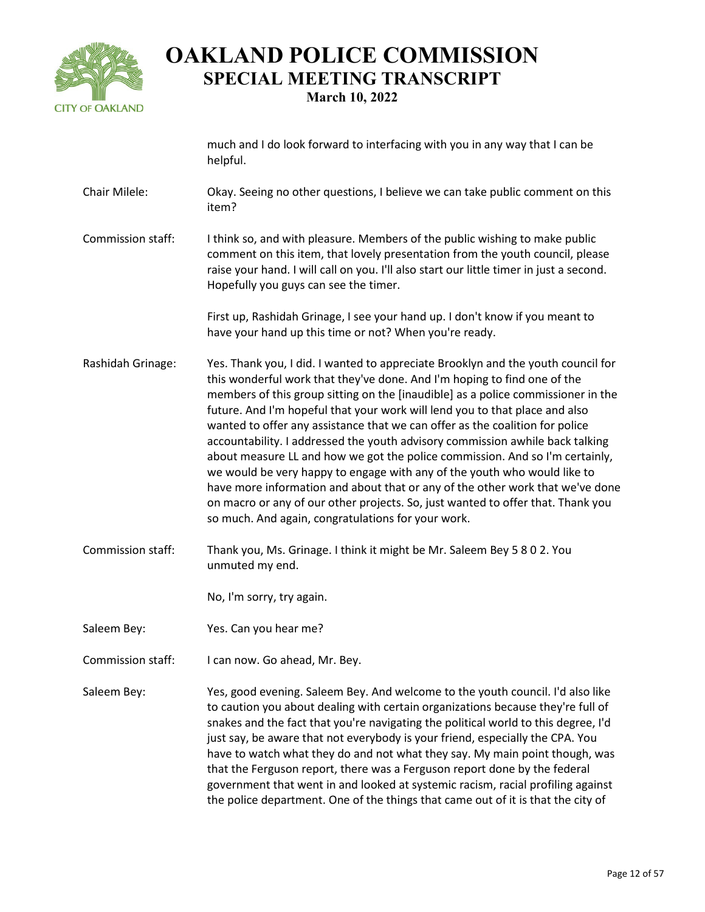

much and I do look forward to interfacing with you in any way that I can be helpful.

- Chair Milele: Okay. Seeing no other questions, I believe we can take public comment on this item?
- Commission staff: I think so, and with pleasure. Members of the public wishing to make public comment on this item, that lovely presentation from the youth council, please raise your hand. I will call on you. I'll also start our little timer in just a second. Hopefully you guys can see the timer.

First up, Rashidah Grinage, I see your hand up. I don't know if you meant to have your hand up this time or not? When you're ready.

- Rashidah Grinage: Yes. Thank you, I did. I wanted to appreciate Brooklyn and the youth council for this wonderful work that they've done. And I'm hoping to find one of the members of this group sitting on the [inaudible] as a police commissioner in the future. And I'm hopeful that your work will lend you to that place and also wanted to offer any assistance that we can offer as the coalition for police accountability. I addressed the youth advisory commission awhile back talking about measure LL and how we got the police commission. And so I'm certainly, we would be very happy to engage with any of the youth who would like to have more information and about that or any of the other work that we've done on macro or any of our other projects. So, just wanted to offer that. Thank you so much. And again, congratulations for your work.
- Commission staff: Thank you, Ms. Grinage. I think it might be Mr. Saleem Bey 5 8 0 2. You unmuted my end.

No, I'm sorry, try again.

- Saleem Bey: Yes. Can you hear me?
- Commission staff: I can now. Go ahead, Mr. Bey.
- Saleem Bey: Yes, good evening. Saleem Bey. And welcome to the youth council. I'd also like to caution you about dealing with certain organizations because they're full of snakes and the fact that you're navigating the political world to this degree, I'd just say, be aware that not everybody is your friend, especially the CPA. You have to watch what they do and not what they say. My main point though, was that the Ferguson report, there was a Ferguson report done by the federal government that went in and looked at systemic racism, racial profiling against the police department. One of the things that came out of it is that the city of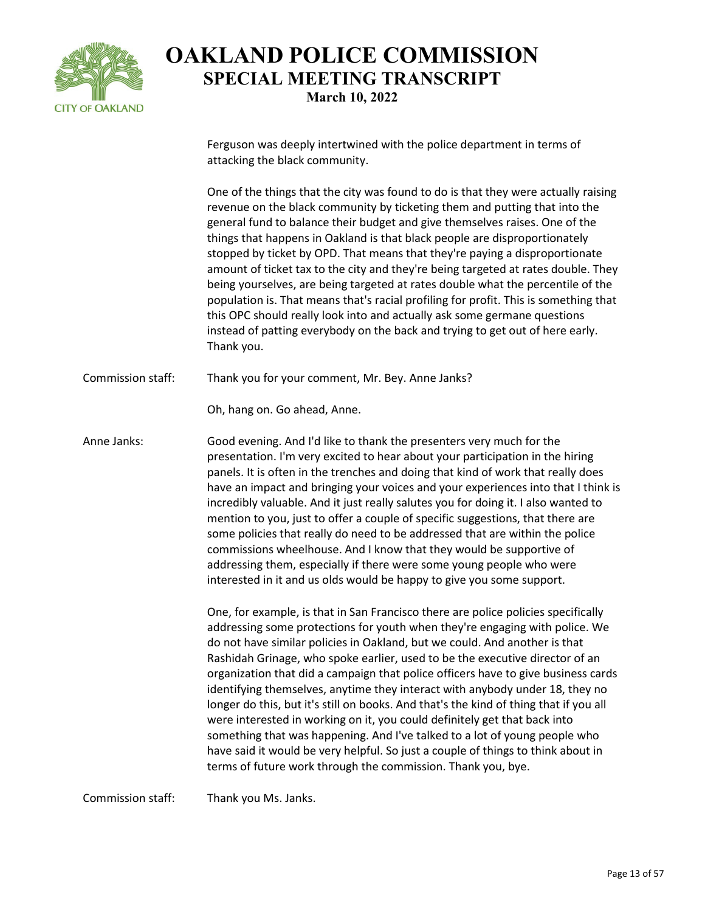

Ferguson was deeply intertwined with the police department in terms of attacking the black community.

One of the things that the city was found to do is that they were actually raising revenue on the black community by ticketing them and putting that into the general fund to balance their budget and give themselves raises. One of the things that happens in Oakland is that black people are disproportionately stopped by ticket by OPD. That means that they're paying a disproportionate amount of ticket tax to the city and they're being targeted at rates double. They being yourselves, are being targeted at rates double what the percentile of the population is. That means that's racial profiling for profit. This is something that this OPC should really look into and actually ask some germane questions instead of patting everybody on the back and trying to get out of here early. Thank you.

Commission staff: Thank you for your comment, Mr. Bey. Anne Janks?

Oh, hang on. Go ahead, Anne.

Anne Janks: Good evening. And I'd like to thank the presenters very much for the presentation. I'm very excited to hear about your participation in the hiring panels. It is often in the trenches and doing that kind of work that really does have an impact and bringing your voices and your experiences into that I think is incredibly valuable. And it just really salutes you for doing it. I also wanted to mention to you, just to offer a couple of specific suggestions, that there are some policies that really do need to be addressed that are within the police commissions wheelhouse. And I know that they would be supportive of addressing them, especially if there were some young people who were interested in it and us olds would be happy to give you some support.

> One, for example, is that in San Francisco there are police policies specifically addressing some protections for youth when they're engaging with police. We do not have similar policies in Oakland, but we could. And another is that Rashidah Grinage, who spoke earlier, used to be the executive director of an organization that did a campaign that police officers have to give business cards identifying themselves, anytime they interact with anybody under 18, they no longer do this, but it's still on books. And that's the kind of thing that if you all were interested in working on it, you could definitely get that back into something that was happening. And I've talked to a lot of young people who have said it would be very helpful. So just a couple of things to think about in terms of future work through the commission. Thank you, bye.

Commission staff: Thank you Ms. Janks.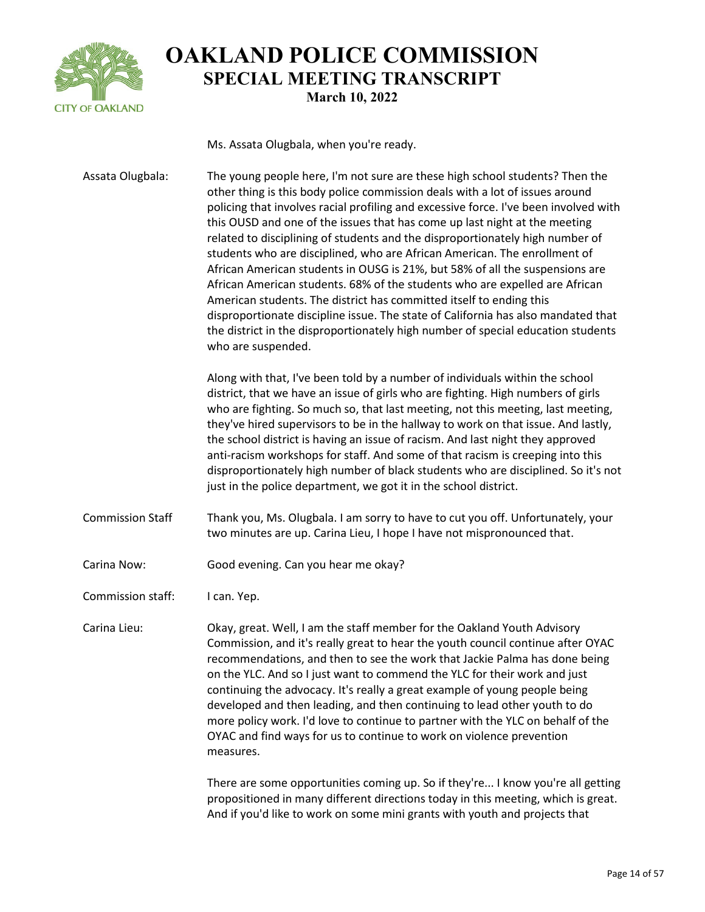

Ms. Assata Olugbala, when you're ready.

Assata Olugbala: The young people here, I'm not sure are these high school students? Then the other thing is this body police commission deals with a lot of issues around policing that involves racial profiling and excessive force. I've been involved with this OUSD and one of the issues that has come up last night at the meeting related to disciplining of students and the disproportionately high number of students who are disciplined, who are African American. The enrollment of African American students in OUSG is 21%, but 58% of all the suspensions are African American students. 68% of the students who are expelled are African American students. The district has committed itself to ending this disproportionate discipline issue. The state of California has also mandated that the district in the disproportionately high number of special education students who are suspended. Along with that, I've been told by a number of individuals within the school district, that we have an issue of girls who are fighting. High numbers of girls who are fighting. So much so, that last meeting, not this meeting, last meeting, they've hired supervisors to be in the hallway to work on that issue. And lastly, the school district is having an issue of racism. And last night they approved anti-racism workshops for staff. And some of that racism is creeping into this disproportionately high number of black students who are disciplined. So it's not just in the police department, we got it in the school district. Commission Staff Thank you, Ms. Olugbala. I am sorry to have to cut you off. Unfortunately, your two minutes are up. Carina Lieu, I hope I have not mispronounced that. Carina Now: Good evening. Can you hear me okay? Commission staff: I can. Yep. Carina Lieu: Okay, great. Well, I am the staff member for the Oakland Youth Advisory Commission, and it's really great to hear the youth council continue after OYAC recommendations, and then to see the work that Jackie Palma has done being on the YLC. And so I just want to commend the YLC for their work and just continuing the advocacy. It's really a great example of young people being developed and then leading, and then continuing to lead other youth to do more policy work. I'd love to continue to partner with the YLC on behalf of the OYAC and find ways for us to continue to work on violence prevention measures.

> There are some opportunities coming up. So if they're... I know you're all getting propositioned in many different directions today in this meeting, which is great. And if you'd like to work on some mini grants with youth and projects that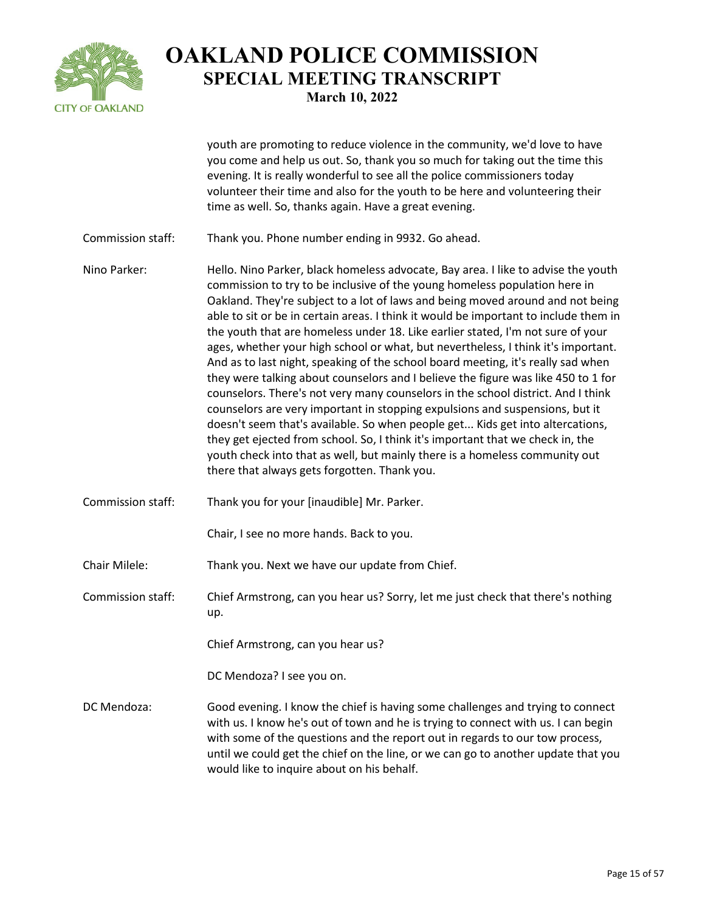

youth are promoting to reduce violence in the community, we'd love to have you come and help us out. So, thank you so much for taking out the time this evening. It is really wonderful to see all the police commissioners today volunteer their time and also for the youth to be here and volunteering their time as well. So, thanks again. Have a great evening.

- Commission staff: Thank you. Phone number ending in 9932. Go ahead.
- Nino Parker: Hello. Nino Parker, black homeless advocate, Bay area. I like to advise the youth commission to try to be inclusive of the young homeless population here in Oakland. They're subject to a lot of laws and being moved around and not being able to sit or be in certain areas. I think it would be important to include them in the youth that are homeless under 18. Like earlier stated, I'm not sure of your ages, whether your high school or what, but nevertheless, I think it's important. And as to last night, speaking of the school board meeting, it's really sad when they were talking about counselors and I believe the figure was like 450 to 1 for counselors. There's not very many counselors in the school district. And I think counselors are very important in stopping expulsions and suspensions, but it doesn't seem that's available. So when people get... Kids get into altercations, they get ejected from school. So, I think it's important that we check in, the youth check into that as well, but mainly there is a homeless community out there that always gets forgotten. Thank you.
- Commission staff: Thank you for your [inaudible] Mr. Parker.
	- Chair, I see no more hands. Back to you.
- Chair Milele: Thank you. Next we have our update from Chief.

Commission staff: Chief Armstrong, can you hear us? Sorry, let me just check that there's nothing up.

Chief Armstrong, can you hear us?

DC Mendoza? I see you on.

DC Mendoza: Good evening. I know the chief is having some challenges and trying to connect with us. I know he's out of town and he is trying to connect with us. I can begin with some of the questions and the report out in regards to our tow process, until we could get the chief on the line, or we can go to another update that you would like to inquire about on his behalf.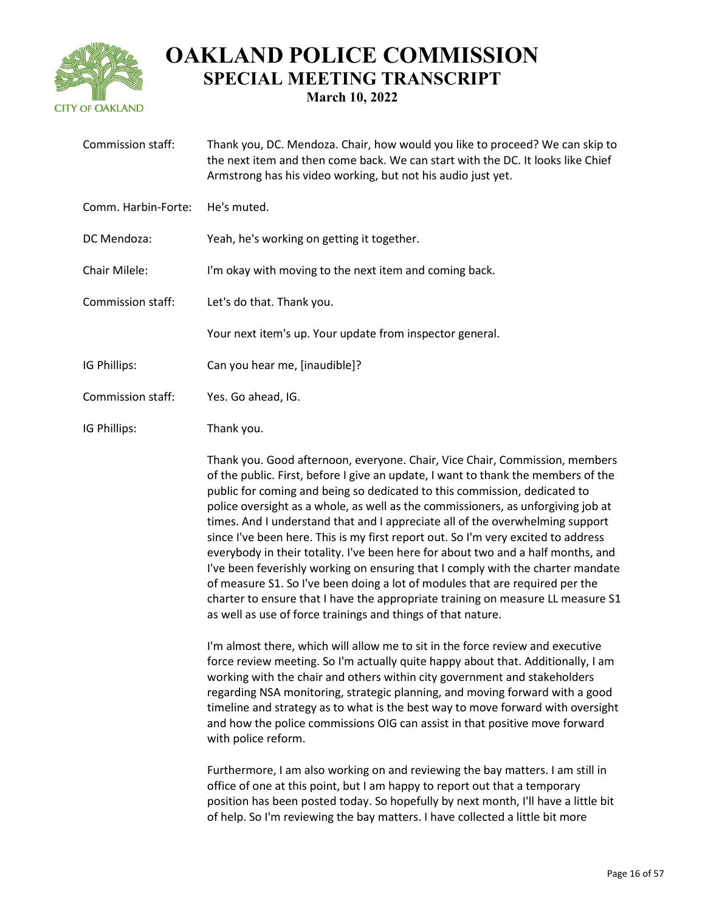

| Commission staff:   | Thank you, DC. Mendoza. Chair, how would you like to proceed? We can skip to<br>the next item and then come back. We can start with the DC. It looks like Chief<br>Armstrong has his video working, but not his audio just yet.                                                                                                                                                                                                                                                                                                                                                                                                                                                                                                                                                                                                                                                                                   |
|---------------------|-------------------------------------------------------------------------------------------------------------------------------------------------------------------------------------------------------------------------------------------------------------------------------------------------------------------------------------------------------------------------------------------------------------------------------------------------------------------------------------------------------------------------------------------------------------------------------------------------------------------------------------------------------------------------------------------------------------------------------------------------------------------------------------------------------------------------------------------------------------------------------------------------------------------|
| Comm. Harbin-Forte: | He's muted.                                                                                                                                                                                                                                                                                                                                                                                                                                                                                                                                                                                                                                                                                                                                                                                                                                                                                                       |
| DC Mendoza:         | Yeah, he's working on getting it together.                                                                                                                                                                                                                                                                                                                                                                                                                                                                                                                                                                                                                                                                                                                                                                                                                                                                        |
| Chair Milele:       | I'm okay with moving to the next item and coming back.                                                                                                                                                                                                                                                                                                                                                                                                                                                                                                                                                                                                                                                                                                                                                                                                                                                            |
| Commission staff:   | Let's do that. Thank you.                                                                                                                                                                                                                                                                                                                                                                                                                                                                                                                                                                                                                                                                                                                                                                                                                                                                                         |
|                     | Your next item's up. Your update from inspector general.                                                                                                                                                                                                                                                                                                                                                                                                                                                                                                                                                                                                                                                                                                                                                                                                                                                          |
| IG Phillips:        | Can you hear me, [inaudible]?                                                                                                                                                                                                                                                                                                                                                                                                                                                                                                                                                                                                                                                                                                                                                                                                                                                                                     |
| Commission staff:   | Yes. Go ahead, IG.                                                                                                                                                                                                                                                                                                                                                                                                                                                                                                                                                                                                                                                                                                                                                                                                                                                                                                |
| IG Phillips:        | Thank you.                                                                                                                                                                                                                                                                                                                                                                                                                                                                                                                                                                                                                                                                                                                                                                                                                                                                                                        |
|                     | Thank you. Good afternoon, everyone. Chair, Vice Chair, Commission, members<br>of the public. First, before I give an update, I want to thank the members of the<br>public for coming and being so dedicated to this commission, dedicated to<br>police oversight as a whole, as well as the commissioners, as unforgiving job at<br>times. And I understand that and I appreciate all of the overwhelming support<br>since I've been here. This is my first report out. So I'm very excited to address<br>everybody in their totality. I've been here for about two and a half months, and<br>I've been feverishly working on ensuring that I comply with the charter mandate<br>of measure S1. So I've been doing a lot of modules that are required per the<br>charter to ensure that I have the appropriate training on measure LL measure S1<br>as well as use of force trainings and things of that nature. |
|                     | I'm almost there, which will allow me to sit in the force review and executive<br>force review meeting. So I'm actually quite happy about that. Additionally, I am<br>working with the chair and others within city government and stakeholders<br>regarding NSA monitoring, strategic planning, and moving forward with a good<br>timeline and strategy as to what is the best way to move forward with oversight<br>and how the police commissions OIG can assist in that positive move forward<br>with police reform.                                                                                                                                                                                                                                                                                                                                                                                          |
|                     | Furthermore, I am also working on and reviewing the bay matters. I am still in<br>office of one at this point, but I am happy to report out that a temporary<br>position has been posted today. So hopefully by next month, I'll have a little bit<br>of help. So I'm reviewing the bay matters. I have collected a little bit more                                                                                                                                                                                                                                                                                                                                                                                                                                                                                                                                                                               |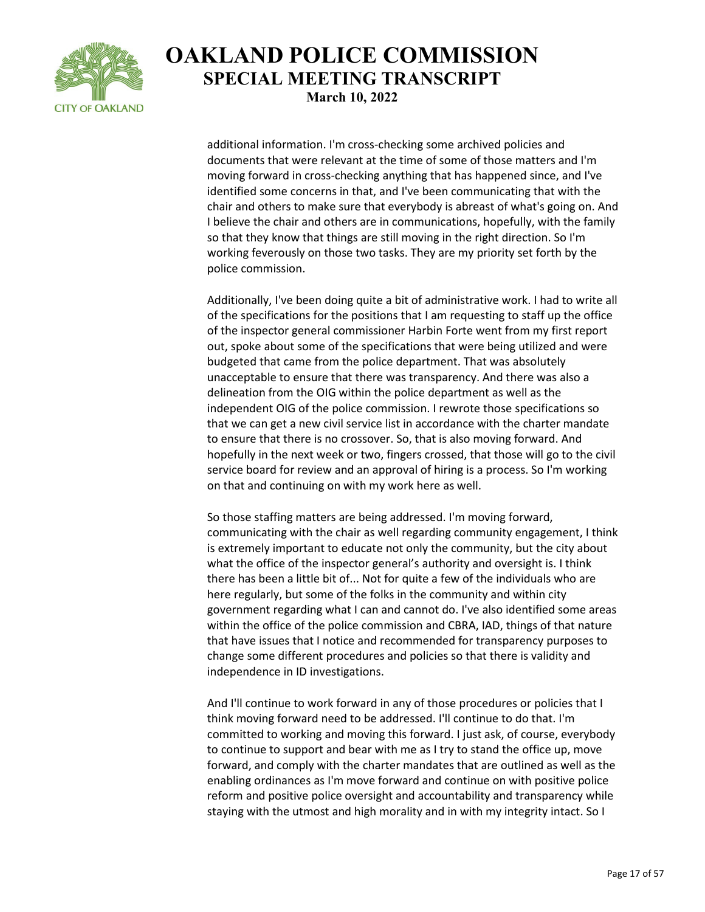

additional information. I'm cross-checking some archived policies and documents that were relevant at the time of some of those matters and I'm moving forward in cross-checking anything that has happened since, and I've identified some concerns in that, and I've been communicating that with the chair and others to make sure that everybody is abreast of what's going on. And I believe the chair and others are in communications, hopefully, with the family so that they know that things are still moving in the right direction. So I'm working feverously on those two tasks. They are my priority set forth by the police commission.

Additionally, I've been doing quite a bit of administrative work. I had to write all of the specifications for the positions that I am requesting to staff up the office of the inspector general commissioner Harbin Forte went from my first report out, spoke about some of the specifications that were being utilized and were budgeted that came from the police department. That was absolutely unacceptable to ensure that there was transparency. And there was also a delineation from the OIG within the police department as well as the independent OIG of the police commission. I rewrote those specifications so that we can get a new civil service list in accordance with the charter mandate to ensure that there is no crossover. So, that is also moving forward. And hopefully in the next week or two, fingers crossed, that those will go to the civil service board for review and an approval of hiring is a process. So I'm working on that and continuing on with my work here as well.

So those staffing matters are being addressed. I'm moving forward, communicating with the chair as well regarding community engagement, I think is extremely important to educate not only the community, but the city about what the office of the inspector general's authority and oversight is. I think there has been a little bit of... Not for quite a few of the individuals who are here regularly, but some of the folks in the community and within city government regarding what I can and cannot do. I've also identified some areas within the office of the police commission and CBRA, IAD, things of that nature that have issues that I notice and recommended for transparency purposes to change some different procedures and policies so that there is validity and independence in ID investigations.

And I'll continue to work forward in any of those procedures or policies that I think moving forward need to be addressed. I'll continue to do that. I'm committed to working and moving this forward. I just ask, of course, everybody to continue to support and bear with me as I try to stand the office up, move forward, and comply with the charter mandates that are outlined as well as the enabling ordinances as I'm move forward and continue on with positive police reform and positive police oversight and accountability and transparency while staying with the utmost and high morality and in with my integrity intact. So I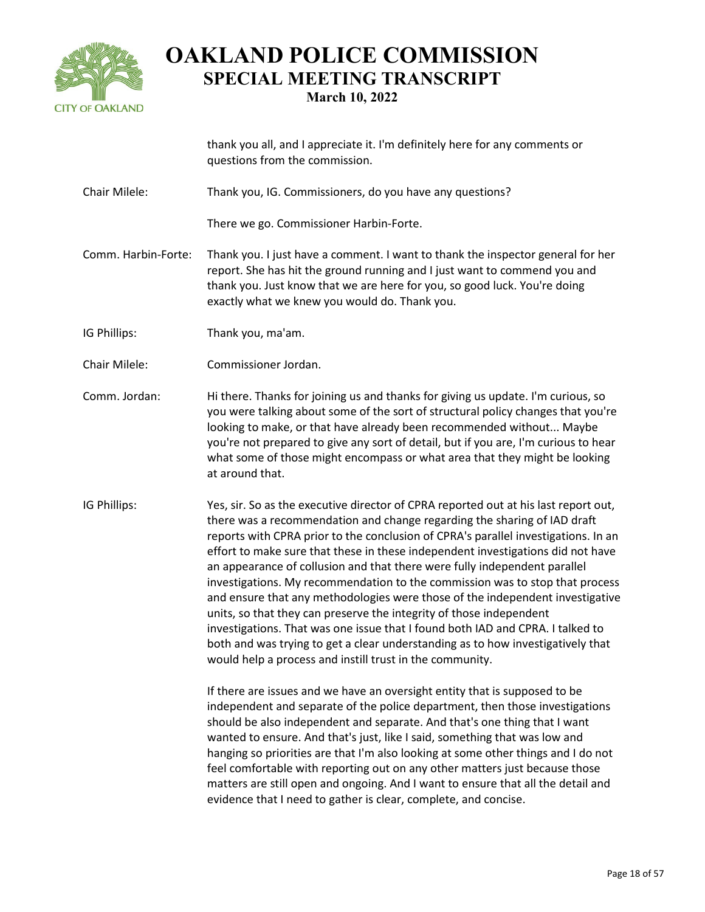

|                     | thank you all, and I appreciate it. I'm definitely here for any comments or<br>questions from the commission.                                                                                                                                                                                                                                                                                                                                                                                                                                                                                                                                                                                                                                                                                                                                                                                                                                                                                                                                                                                                                                                                                                                                                                                                                                                                               |
|---------------------|---------------------------------------------------------------------------------------------------------------------------------------------------------------------------------------------------------------------------------------------------------------------------------------------------------------------------------------------------------------------------------------------------------------------------------------------------------------------------------------------------------------------------------------------------------------------------------------------------------------------------------------------------------------------------------------------------------------------------------------------------------------------------------------------------------------------------------------------------------------------------------------------------------------------------------------------------------------------------------------------------------------------------------------------------------------------------------------------------------------------------------------------------------------------------------------------------------------------------------------------------------------------------------------------------------------------------------------------------------------------------------------------|
| Chair Milele:       | Thank you, IG. Commissioners, do you have any questions?                                                                                                                                                                                                                                                                                                                                                                                                                                                                                                                                                                                                                                                                                                                                                                                                                                                                                                                                                                                                                                                                                                                                                                                                                                                                                                                                    |
|                     | There we go. Commissioner Harbin-Forte.                                                                                                                                                                                                                                                                                                                                                                                                                                                                                                                                                                                                                                                                                                                                                                                                                                                                                                                                                                                                                                                                                                                                                                                                                                                                                                                                                     |
| Comm. Harbin-Forte: | Thank you. I just have a comment. I want to thank the inspector general for her<br>report. She has hit the ground running and I just want to commend you and<br>thank you. Just know that we are here for you, so good luck. You're doing<br>exactly what we knew you would do. Thank you.                                                                                                                                                                                                                                                                                                                                                                                                                                                                                                                                                                                                                                                                                                                                                                                                                                                                                                                                                                                                                                                                                                  |
| IG Phillips:        | Thank you, ma'am.                                                                                                                                                                                                                                                                                                                                                                                                                                                                                                                                                                                                                                                                                                                                                                                                                                                                                                                                                                                                                                                                                                                                                                                                                                                                                                                                                                           |
| Chair Milele:       | Commissioner Jordan.                                                                                                                                                                                                                                                                                                                                                                                                                                                                                                                                                                                                                                                                                                                                                                                                                                                                                                                                                                                                                                                                                                                                                                                                                                                                                                                                                                        |
| Comm. Jordan:       | Hi there. Thanks for joining us and thanks for giving us update. I'm curious, so<br>you were talking about some of the sort of structural policy changes that you're<br>looking to make, or that have already been recommended without Maybe<br>you're not prepared to give any sort of detail, but if you are, I'm curious to hear<br>what some of those might encompass or what area that they might be looking<br>at around that.                                                                                                                                                                                                                                                                                                                                                                                                                                                                                                                                                                                                                                                                                                                                                                                                                                                                                                                                                        |
| IG Phillips:        | Yes, sir. So as the executive director of CPRA reported out at his last report out,<br>there was a recommendation and change regarding the sharing of IAD draft<br>reports with CPRA prior to the conclusion of CPRA's parallel investigations. In an<br>effort to make sure that these in these independent investigations did not have<br>an appearance of collusion and that there were fully independent parallel<br>investigations. My recommendation to the commission was to stop that process<br>and ensure that any methodologies were those of the independent investigative<br>units, so that they can preserve the integrity of those independent<br>investigations. That was one issue that I found both IAD and CPRA. I talked to<br>both and was trying to get a clear understanding as to how investigatively that<br>would help a process and instill trust in the community.<br>If there are issues and we have an oversight entity that is supposed to be<br>independent and separate of the police department, then those investigations<br>should be also independent and separate. And that's one thing that I want<br>wanted to ensure. And that's just, like I said, something that was low and<br>hanging so priorities are that I'm also looking at some other things and I do not<br>feel comfortable with reporting out on any other matters just because those |
|                     | matters are still open and ongoing. And I want to ensure that all the detail and<br>evidence that I need to gather is clear, complete, and concise.                                                                                                                                                                                                                                                                                                                                                                                                                                                                                                                                                                                                                                                                                                                                                                                                                                                                                                                                                                                                                                                                                                                                                                                                                                         |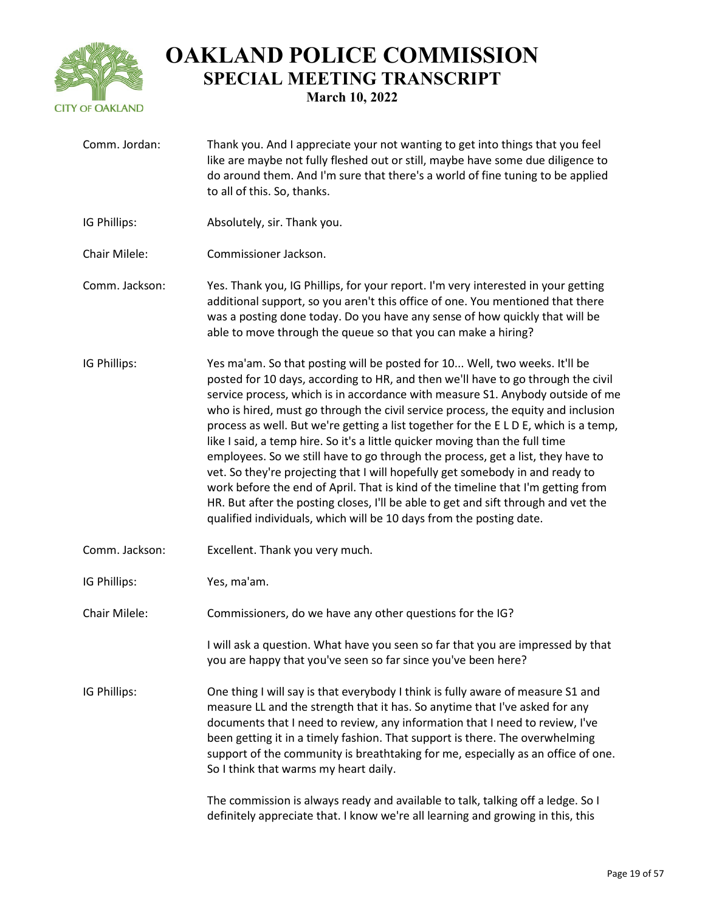

Comm. Jordan: Thank you. And I appreciate your not wanting to get into things that you feel like are maybe not fully fleshed out or still, maybe have some due diligence to do around them. And I'm sure that there's a world of fine tuning to be applied to all of this. So, thanks. IG Phillips: Absolutely, sir. Thank you. Chair Milele: Commissioner Jackson. Comm. Jackson: Yes. Thank you, IG Phillips, for your report. I'm very interested in your getting additional support, so you aren't this office of one. You mentioned that there was a posting done today. Do you have any sense of how quickly that will be able to move through the queue so that you can make a hiring? IG Phillips: Yes ma'am. So that posting will be posted for 10... Well, two weeks. It'll be posted for 10 days, according to HR, and then we'll have to go through the civil service process, which is in accordance with measure S1. Anybody outside of me who is hired, must go through the civil service process, the equity and inclusion process as well. But we're getting a list together for the E L D E, which is a temp, like I said, a temp hire. So it's a little quicker moving than the full time employees. So we still have to go through the process, get a list, they have to vet. So they're projecting that I will hopefully get somebody in and ready to work before the end of April. That is kind of the timeline that I'm getting from HR. But after the posting closes, I'll be able to get and sift through and vet the qualified individuals, which will be 10 days from the posting date. Comm. Jackson: Excellent. Thank you very much. IG Phillips: Yes, ma'am. Chair Milele: Commissioners, do we have any other questions for the IG? I will ask a question. What have you seen so far that you are impressed by that you are happy that you've seen so far since you've been here? IG Phillips: One thing I will say is that everybody I think is fully aware of measure S1 and measure LL and the strength that it has. So anytime that I've asked for any documents that I need to review, any information that I need to review, I've been getting it in a timely fashion. That support is there. The overwhelming support of the community is breathtaking for me, especially as an office of one. So I think that warms my heart daily. The commission is always ready and available to talk, talking off a ledge. So I definitely appreciate that. I know we're all learning and growing in this, this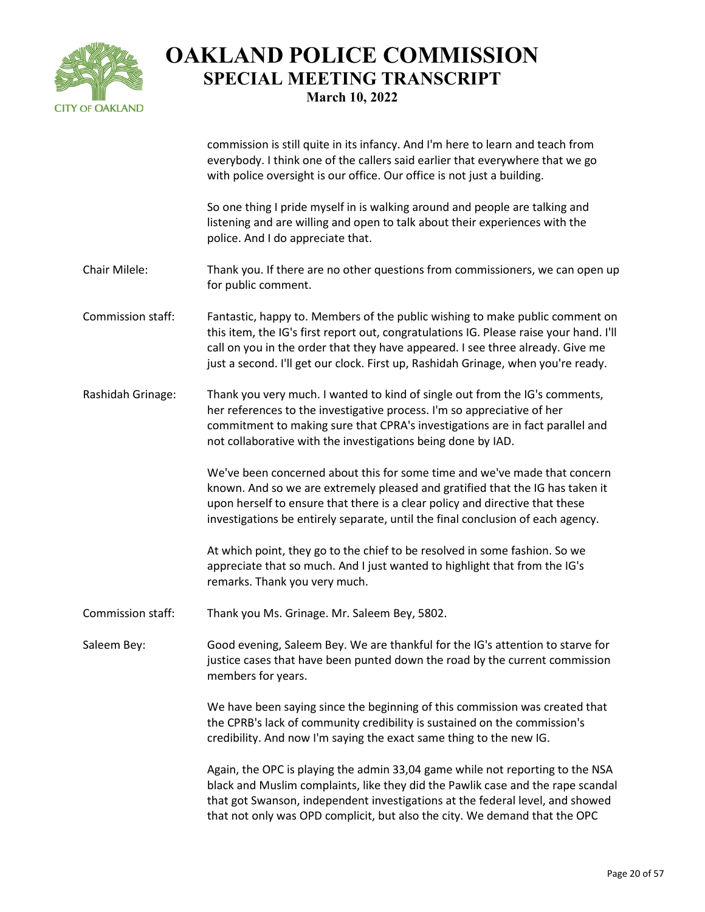

commission is still quite in its infancy. And I'm here to learn and teach from everybody. I think one of the callers said earlier that everywhere that we go with police oversight is our office. Our office is not just a building.

So one thing I pride myself in is walking around and people are talking and listening and are willing and open to talk about their experiences with the police. And I do appreciate that.

- Chair Milele: Thank you. If there are no other questions from commissioners, we can open up for public comment.
- Commission staff: Fantastic, happy to. Members of the public wishing to make public comment on this item, the IG's first report out, congratulations IG. Please raise your hand. I'll call on you in the order that they have appeared. I see three already. Give me just a second. I'll get our clock. First up, Rashidah Grinage, when you're ready.
- Rashidah Grinage: Thank you very much. I wanted to kind of single out from the IG's comments, her references to the investigative process. I'm so appreciative of her commitment to making sure that CPRA's investigations are in fact parallel and not collaborative with the investigations being done by IAD.

We've been concerned about this for some time and we've made that concern known. And so we are extremely pleased and gratified that the IG has taken it upon herself to ensure that there is a clear policy and directive that these investigations be entirely separate, until the final conclusion of each agency.

At which point, they go to the chief to be resolved in some fashion. So we appreciate that so much. And I just wanted to highlight that from the IG's remarks. Thank you very much.

Commission staff: Thank you Ms. Grinage. Mr. Saleem Bey, 5802.

Saleem Bey: Good evening, Saleem Bey. We are thankful for the IG's attention to starve for justice cases that have been punted down the road by the current commission members for years.

> We have been saying since the beginning of this commission was created that the CPRB's lack of community credibility is sustained on the commission's credibility. And now I'm saying the exact same thing to the new IG.

Again, the OPC is playing the admin 33,04 game while not reporting to the NSA black and Muslim complaints, like they did the Pawlik case and the rape scandal that got Swanson, independent investigations at the federal level, and showed that not only was OPD complicit, but also the city. We demand that the OPC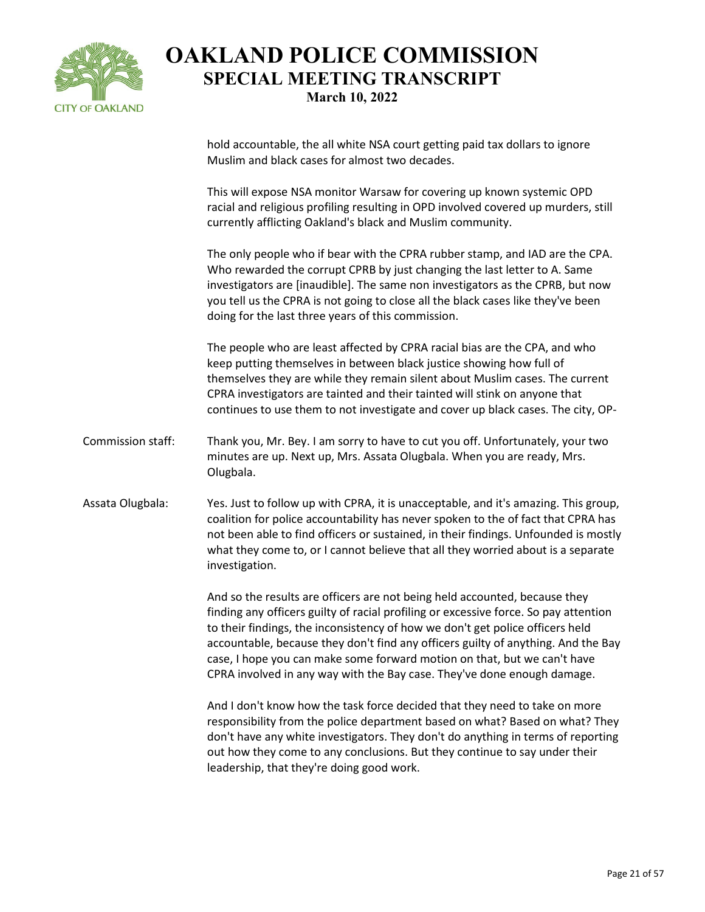

hold accountable, the all white NSA court getting paid tax dollars to ignore Muslim and black cases for almost two decades.

This will expose NSA monitor Warsaw for covering up known systemic OPD racial and religious profiling resulting in OPD involved covered up murders, still currently afflicting Oakland's black and Muslim community.

The only people who if bear with the CPRA rubber stamp, and IAD are the CPA. Who rewarded the corrupt CPRB by just changing the last letter to A. Same investigators are [inaudible]. The same non investigators as the CPRB, but now you tell us the CPRA is not going to close all the black cases like they've been doing for the last three years of this commission.

The people who are least affected by CPRA racial bias are the CPA, and who keep putting themselves in between black justice showing how full of themselves they are while they remain silent about Muslim cases. The current CPRA investigators are tainted and their tainted will stink on anyone that continues to use them to not investigate and cover up black cases. The city, OP-

- Commission staff: Thank you, Mr. Bey. I am sorry to have to cut you off. Unfortunately, your two minutes are up. Next up, Mrs. Assata Olugbala. When you are ready, Mrs. Olugbala.
- Assata Olugbala: Yes. Just to follow up with CPRA, it is unacceptable, and it's amazing. This group, coalition for police accountability has never spoken to the of fact that CPRA has not been able to find officers or sustained, in their findings. Unfounded is mostly what they come to, or I cannot believe that all they worried about is a separate investigation.

And so the results are officers are not being held accounted, because they finding any officers guilty of racial profiling or excessive force. So pay attention to their findings, the inconsistency of how we don't get police officers held accountable, because they don't find any officers guilty of anything. And the Bay case, I hope you can make some forward motion on that, but we can't have CPRA involved in any way with the Bay case. They've done enough damage.

And I don't know how the task force decided that they need to take on more responsibility from the police department based on what? Based on what? They don't have any white investigators. They don't do anything in terms of reporting out how they come to any conclusions. But they continue to say under their leadership, that they're doing good work.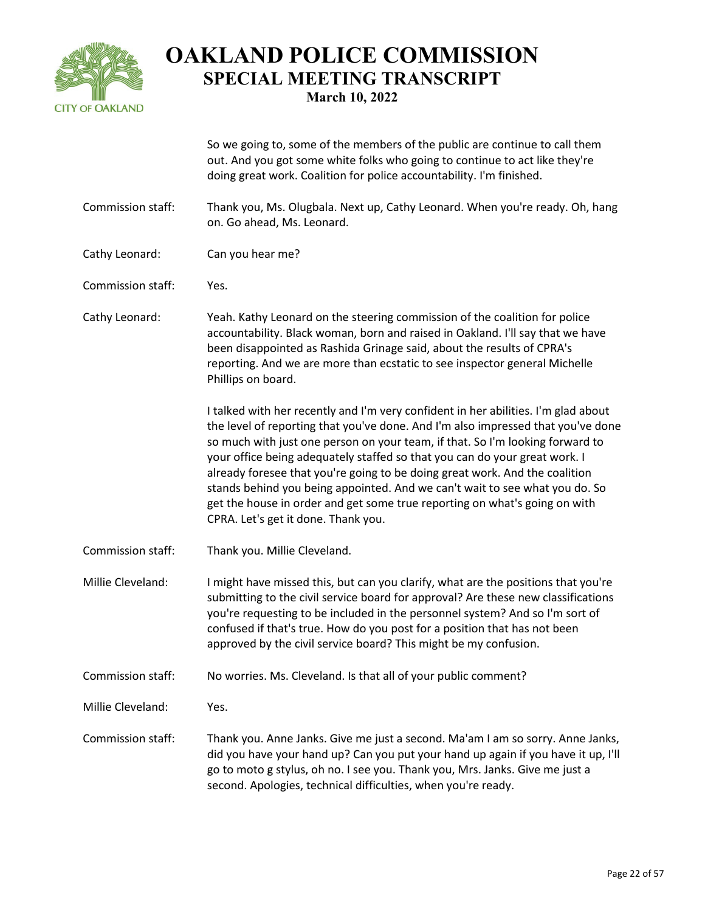

So we going to, some of the members of the public are continue to call them out. And you got some white folks who going to continue to act like they're doing great work. Coalition for police accountability. I'm finished.

- Commission staff: Thank you, Ms. Olugbala. Next up, Cathy Leonard. When you're ready. Oh, hang on. Go ahead, Ms. Leonard.
- Cathy Leonard: Can you hear me?
- Commission staff: Yes.

Cathy Leonard: Yeah. Kathy Leonard on the steering commission of the coalition for police accountability. Black woman, born and raised in Oakland. I'll say that we have been disappointed as Rashida Grinage said, about the results of CPRA's reporting. And we are more than ecstatic to see inspector general Michelle Phillips on board.

> I talked with her recently and I'm very confident in her abilities. I'm glad about the level of reporting that you've done. And I'm also impressed that you've done so much with just one person on your team, if that. So I'm looking forward to your office being adequately staffed so that you can do your great work. I already foresee that you're going to be doing great work. And the coalition stands behind you being appointed. And we can't wait to see what you do. So get the house in order and get some true reporting on what's going on with CPRA. Let's get it done. Thank you.

Commission staff: Thank you. Millie Cleveland.

Millie Cleveland: I might have missed this, but can you clarify, what are the positions that you're submitting to the civil service board for approval? Are these new classifications you're requesting to be included in the personnel system? And so I'm sort of confused if that's true. How do you post for a position that has not been approved by the civil service board? This might be my confusion.

Commission staff: No worries. Ms. Cleveland. Is that all of your public comment?

Millie Cleveland: Yes.

Commission staff: Thank you. Anne Janks. Give me just a second. Ma'am I am so sorry. Anne Janks, did you have your hand up? Can you put your hand up again if you have it up, I'll go to moto g stylus, oh no. I see you. Thank you, Mrs. Janks. Give me just a second. Apologies, technical difficulties, when you're ready.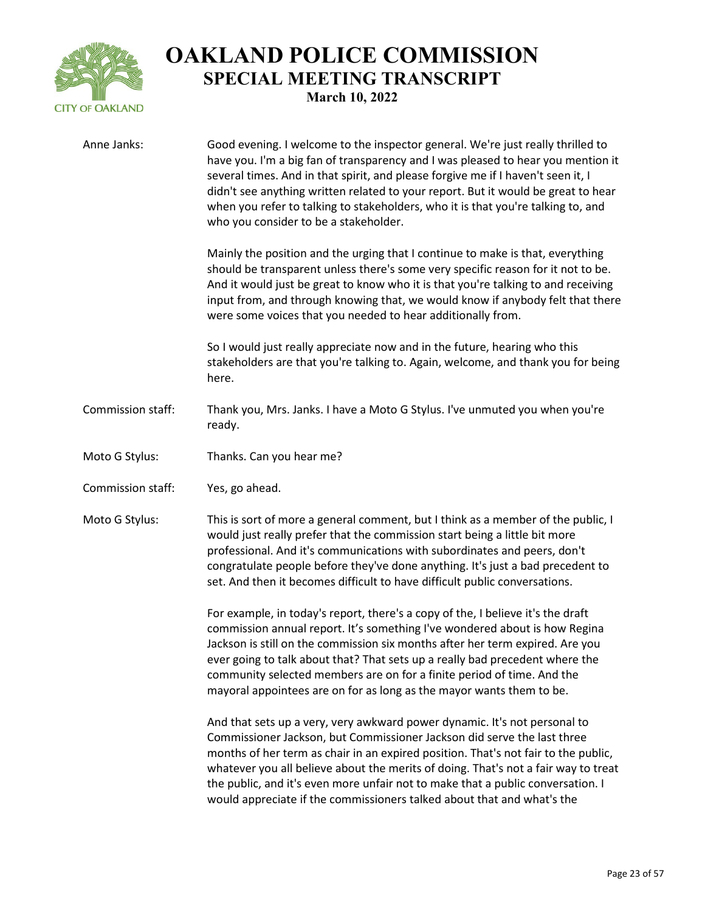

| Anne Janks:       | Good evening. I welcome to the inspector general. We're just really thrilled to<br>have you. I'm a big fan of transparency and I was pleased to hear you mention it<br>several times. And in that spirit, and please forgive me if I haven't seen it, I<br>didn't see anything written related to your report. But it would be great to hear<br>when you refer to talking to stakeholders, who it is that you're talking to, and<br>who you consider to be a stakeholder.                     |
|-------------------|-----------------------------------------------------------------------------------------------------------------------------------------------------------------------------------------------------------------------------------------------------------------------------------------------------------------------------------------------------------------------------------------------------------------------------------------------------------------------------------------------|
|                   | Mainly the position and the urging that I continue to make is that, everything<br>should be transparent unless there's some very specific reason for it not to be.<br>And it would just be great to know who it is that you're talking to and receiving<br>input from, and through knowing that, we would know if anybody felt that there<br>were some voices that you needed to hear additionally from.                                                                                      |
|                   | So I would just really appreciate now and in the future, hearing who this<br>stakeholders are that you're talking to. Again, welcome, and thank you for being<br>here.                                                                                                                                                                                                                                                                                                                        |
| Commission staff: | Thank you, Mrs. Janks. I have a Moto G Stylus. I've unmuted you when you're<br>ready.                                                                                                                                                                                                                                                                                                                                                                                                         |
| Moto G Stylus:    | Thanks. Can you hear me?                                                                                                                                                                                                                                                                                                                                                                                                                                                                      |
| Commission staff: | Yes, go ahead.                                                                                                                                                                                                                                                                                                                                                                                                                                                                                |
| Moto G Stylus:    | This is sort of more a general comment, but I think as a member of the public, I<br>would just really prefer that the commission start being a little bit more<br>professional. And it's communications with subordinates and peers, don't<br>congratulate people before they've done anything. It's just a bad precedent to<br>set. And then it becomes difficult to have difficult public conversations.                                                                                    |
|                   | For example, in today's report, there's a copy of the, I believe it's the draft<br>commission annual report. It's something I've wondered about is how Regina<br>Jackson is still on the commission six months after her term expired. Are you<br>ever going to talk about that? That sets up a really bad precedent where the<br>community selected members are on for a finite period of time. And the<br>mayoral appointees are on for as long as the mayor wants them to be.              |
|                   | And that sets up a very, very awkward power dynamic. It's not personal to<br>Commissioner Jackson, but Commissioner Jackson did serve the last three<br>months of her term as chair in an expired position. That's not fair to the public,<br>whatever you all believe about the merits of doing. That's not a fair way to treat<br>the public, and it's even more unfair not to make that a public conversation. I<br>would appreciate if the commissioners talked about that and what's the |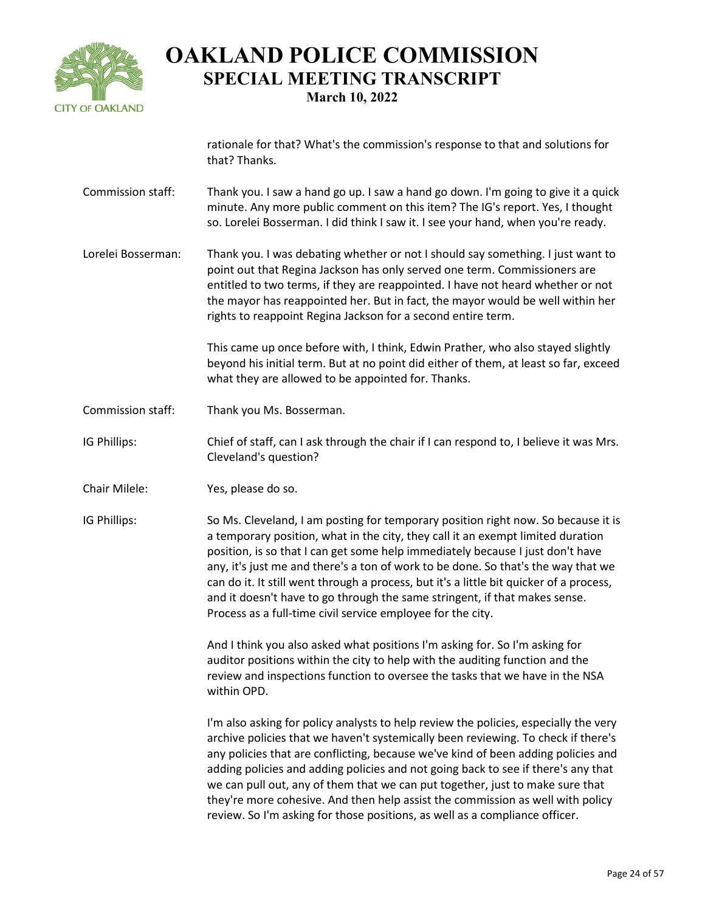

rationale for that? What's the commission's response to that and solutions for that? Thanks.

- Commission staff: Thank you. I saw a hand go up. I saw a hand go down. I'm going to give it a quick minute. Any more public comment on this item? The IG's report. Yes, I thought so. Lorelei Bosserman. I did think I saw it. I see your hand, when you're ready.
- Lorelei Bosserman: Thank you. I was debating whether or not I should say something. I just want to point out that Regina Jackson has only served one term. Commissioners are entitled to two terms, if they are reappointed. I have not heard whether or not the mayor has reappointed her. But in fact, the mayor would be well within her rights to reappoint Regina Jackson for a second entire term.

This came up once before with, I think, Edwin Prather, who also stayed slightly beyond his initial term. But at no point did either of them, at least so far, exceed what they are allowed to be appointed for. Thanks.

Commission staff: Thank you Ms. Bosserman.

IG Phillips: Chief of staff, can I ask through the chair if I can respond to, I believe it was Mrs. Cleveland's question?

Chair Milele: Yes, please do so.

IG Phillips: So Ms. Cleveland, I am posting for temporary position right now. So because it is a temporary position, what in the city, they call it an exempt limited duration position, is so that I can get some help immediately because I just don't have any, it's just me and there's a ton of work to be done. So that's the way that we can do it. It still went through a process, but it's a little bit quicker of a process, and it doesn't have to go through the same stringent, if that makes sense. Process as a full-time civil service employee for the city.

> And I think you also asked what positions I'm asking for. So I'm asking for auditor positions within the city to help with the auditing function and the review and inspections function to oversee the tasks that we have in the NSA within OPD.

I'm also asking for policy analysts to help review the policies, especially the very archive policies that we haven't systemically been reviewing. To check if there's any policies that are conflicting, because we've kind of been adding policies and adding policies and adding policies and not going back to see if there's any that we can pull out, any of them that we can put together, just to make sure that they're more cohesive. And then help assist the commission as well with policy review. So I'm asking for those positions, as well as a compliance officer.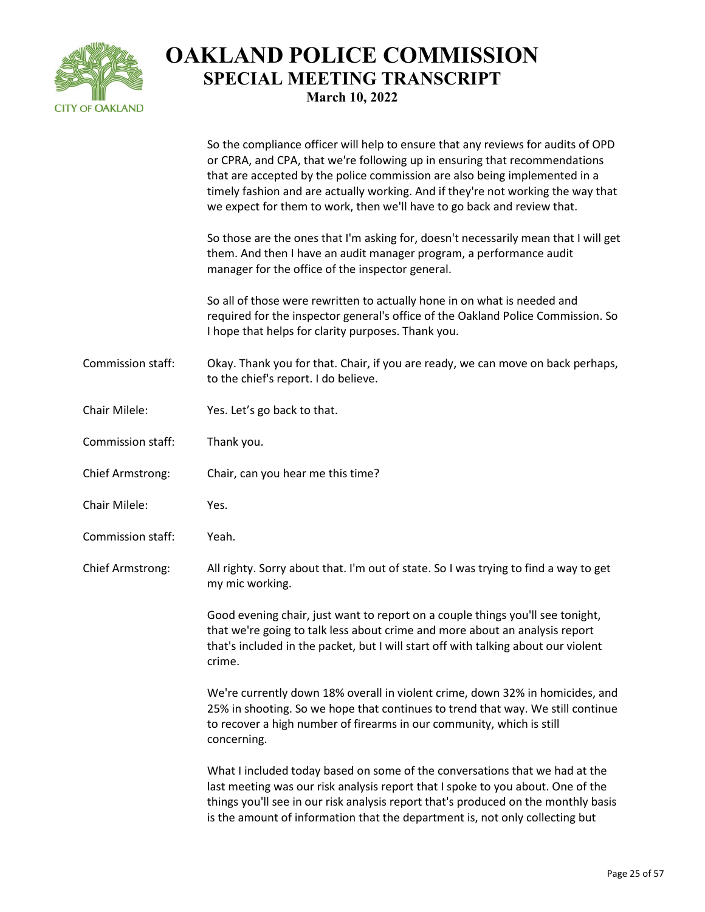

|                         | So the compliance officer will help to ensure that any reviews for audits of OPD<br>or CPRA, and CPA, that we're following up in ensuring that recommendations<br>that are accepted by the police commission are also being implemented in a<br>timely fashion and are actually working. And if they're not working the way that<br>we expect for them to work, then we'll have to go back and review that. |
|-------------------------|-------------------------------------------------------------------------------------------------------------------------------------------------------------------------------------------------------------------------------------------------------------------------------------------------------------------------------------------------------------------------------------------------------------|
|                         | So those are the ones that I'm asking for, doesn't necessarily mean that I will get<br>them. And then I have an audit manager program, a performance audit<br>manager for the office of the inspector general.                                                                                                                                                                                              |
|                         | So all of those were rewritten to actually hone in on what is needed and<br>required for the inspector general's office of the Oakland Police Commission. So<br>I hope that helps for clarity purposes. Thank you.                                                                                                                                                                                          |
| Commission staff:       | Okay. Thank you for that. Chair, if you are ready, we can move on back perhaps,<br>to the chief's report. I do believe.                                                                                                                                                                                                                                                                                     |
| Chair Milele:           | Yes. Let's go back to that.                                                                                                                                                                                                                                                                                                                                                                                 |
| Commission staff:       | Thank you.                                                                                                                                                                                                                                                                                                                                                                                                  |
| <b>Chief Armstrong:</b> | Chair, can you hear me this time?                                                                                                                                                                                                                                                                                                                                                                           |
| Chair Milele:           | Yes.                                                                                                                                                                                                                                                                                                                                                                                                        |
| Commission staff:       | Yeah.                                                                                                                                                                                                                                                                                                                                                                                                       |
| <b>Chief Armstrong:</b> | All righty. Sorry about that. I'm out of state. So I was trying to find a way to get<br>my mic working.                                                                                                                                                                                                                                                                                                     |
|                         | Good evening chair, just want to report on a couple things you'll see tonight,<br>that we're going to talk less about crime and more about an analysis report<br>that's included in the packet, but I will start off with talking about our violent<br>crime.                                                                                                                                               |
|                         | We're currently down 18% overall in violent crime, down 32% in homicides, and<br>25% in shooting. So we hope that continues to trend that way. We still continue<br>to recover a high number of firearms in our community, which is still<br>concerning.                                                                                                                                                    |
|                         | What I included today based on some of the conversations that we had at the<br>last meeting was our risk analysis report that I spoke to you about. One of the<br>things you'll see in our risk analysis report that's produced on the monthly basis<br>is the amount of information that the department is, not only collecting but                                                                        |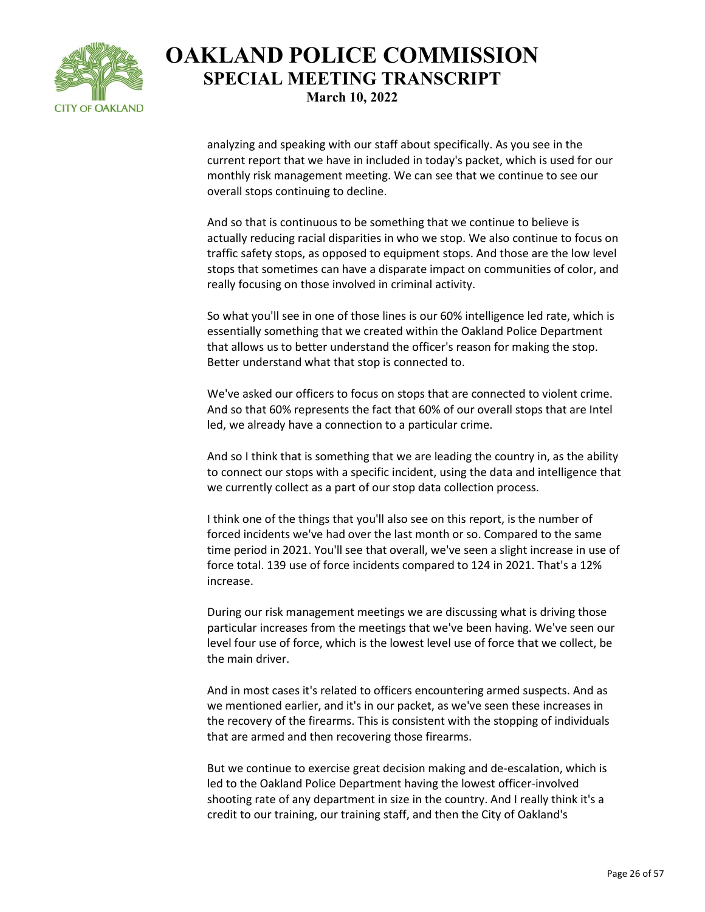

analyzing and speaking with our staff about specifically. As you see in the current report that we have in included in today's packet, which is used for our monthly risk management meeting. We can see that we continue to see our overall stops continuing to decline.

And so that is continuous to be something that we continue to believe is actually reducing racial disparities in who we stop. We also continue to focus on traffic safety stops, as opposed to equipment stops. And those are the low level stops that sometimes can have a disparate impact on communities of color, and really focusing on those involved in criminal activity.

So what you'll see in one of those lines is our 60% intelligence led rate, which is essentially something that we created within the Oakland Police Department that allows us to better understand the officer's reason for making the stop. Better understand what that stop is connected to.

We've asked our officers to focus on stops that are connected to violent crime. And so that 60% represents the fact that 60% of our overall stops that are Intel led, we already have a connection to a particular crime.

And so I think that is something that we are leading the country in, as the ability to connect our stops with a specific incident, using the data and intelligence that we currently collect as a part of our stop data collection process.

I think one of the things that you'll also see on this report, is the number of forced incidents we've had over the last month or so. Compared to the same time period in 2021. You'll see that overall, we've seen a slight increase in use of force total. 139 use of force incidents compared to 124 in 2021. That's a 12% increase.

During our risk management meetings we are discussing what is driving those particular increases from the meetings that we've been having. We've seen our level four use of force, which is the lowest level use of force that we collect, be the main driver.

And in most cases it's related to officers encountering armed suspects. And as we mentioned earlier, and it's in our packet, as we've seen these increases in the recovery of the firearms. This is consistent with the stopping of individuals that are armed and then recovering those firearms.

But we continue to exercise great decision making and de-escalation, which is led to the Oakland Police Department having the lowest officer-involved shooting rate of any department in size in the country. And I really think it's a credit to our training, our training staff, and then the City of Oakland's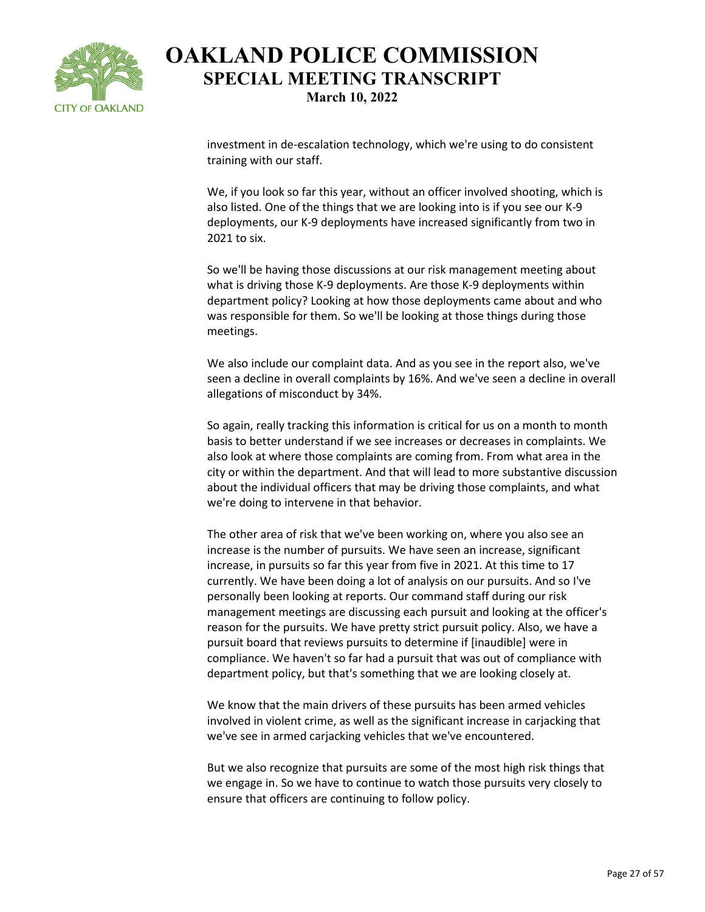

investment in de-escalation technology, which we're using to do consistent training with our staff.

We, if you look so far this year, without an officer involved shooting, which is also listed. One of the things that we are looking into is if you see our K-9 deployments, our K-9 deployments have increased significantly from two in 2021 to six.

So we'll be having those discussions at our risk management meeting about what is driving those K-9 deployments. Are those K-9 deployments within department policy? Looking at how those deployments came about and who was responsible for them. So we'll be looking at those things during those meetings.

We also include our complaint data. And as you see in the report also, we've seen a decline in overall complaints by 16%. And we've seen a decline in overall allegations of misconduct by 34%.

So again, really tracking this information is critical for us on a month to month basis to better understand if we see increases or decreases in complaints. We also look at where those complaints are coming from. From what area in the city or within the department. And that will lead to more substantive discussion about the individual officers that may be driving those complaints, and what we're doing to intervene in that behavior.

The other area of risk that we've been working on, where you also see an increase is the number of pursuits. We have seen an increase, significant increase, in pursuits so far this year from five in 2021. At this time to 17 currently. We have been doing a lot of analysis on our pursuits. And so I've personally been looking at reports. Our command staff during our risk management meetings are discussing each pursuit and looking at the officer's reason for the pursuits. We have pretty strict pursuit policy. Also, we have a pursuit board that reviews pursuits to determine if [inaudible] were in compliance. We haven't so far had a pursuit that was out of compliance with department policy, but that's something that we are looking closely at.

We know that the main drivers of these pursuits has been armed vehicles involved in violent crime, as well as the significant increase in carjacking that we've see in armed carjacking vehicles that we've encountered.

But we also recognize that pursuits are some of the most high risk things that we engage in. So we have to continue to watch those pursuits very closely to ensure that officers are continuing to follow policy.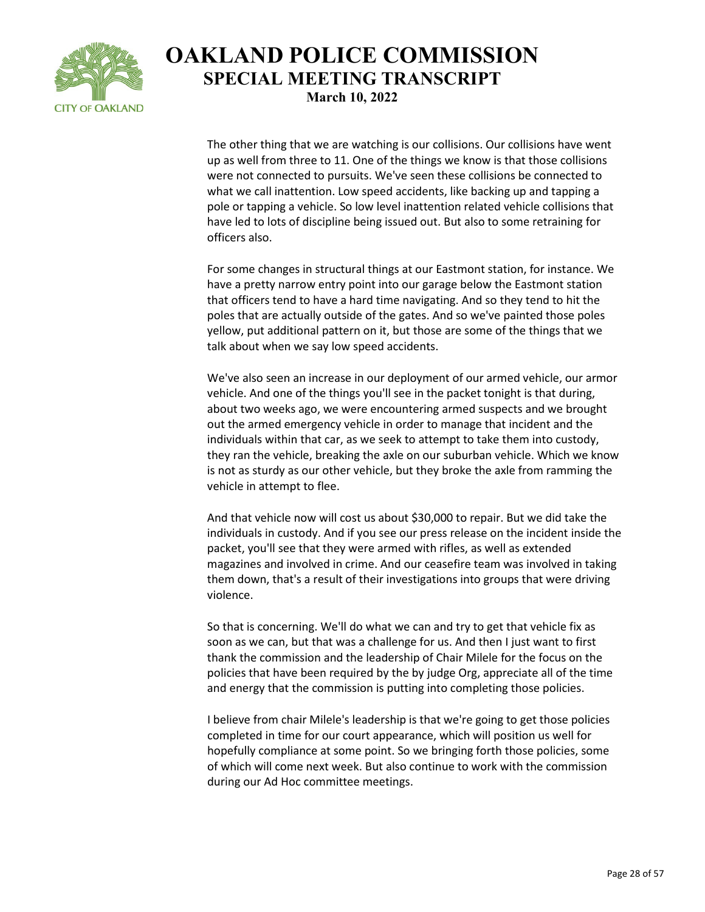

The other thing that we are watching is our collisions. Our collisions have went up as well from three to 11. One of the things we know is that those collisions were not connected to pursuits. We've seen these collisions be connected to what we call inattention. Low speed accidents, like backing up and tapping a pole or tapping a vehicle. So low level inattention related vehicle collisions that have led to lots of discipline being issued out. But also to some retraining for officers also.

For some changes in structural things at our Eastmont station, for instance. We have a pretty narrow entry point into our garage below the Eastmont station that officers tend to have a hard time navigating. And so they tend to hit the poles that are actually outside of the gates. And so we've painted those poles yellow, put additional pattern on it, but those are some of the things that we talk about when we say low speed accidents.

We've also seen an increase in our deployment of our armed vehicle, our armor vehicle. And one of the things you'll see in the packet tonight is that during, about two weeks ago, we were encountering armed suspects and we brought out the armed emergency vehicle in order to manage that incident and the individuals within that car, as we seek to attempt to take them into custody, they ran the vehicle, breaking the axle on our suburban vehicle. Which we know is not as sturdy as our other vehicle, but they broke the axle from ramming the vehicle in attempt to flee.

And that vehicle now will cost us about \$30,000 to repair. But we did take the individuals in custody. And if you see our press release on the incident inside the packet, you'll see that they were armed with rifles, as well as extended magazines and involved in crime. And our ceasefire team was involved in taking them down, that's a result of their investigations into groups that were driving violence.

So that is concerning. We'll do what we can and try to get that vehicle fix as soon as we can, but that was a challenge for us. And then I just want to first thank the commission and the leadership of Chair Milele for the focus on the policies that have been required by the by judge Org, appreciate all of the time and energy that the commission is putting into completing those policies.

I believe from chair Milele's leadership is that we're going to get those policies completed in time for our court appearance, which will position us well for hopefully compliance at some point. So we bringing forth those policies, some of which will come next week. But also continue to work with the commission during our Ad Hoc committee meetings.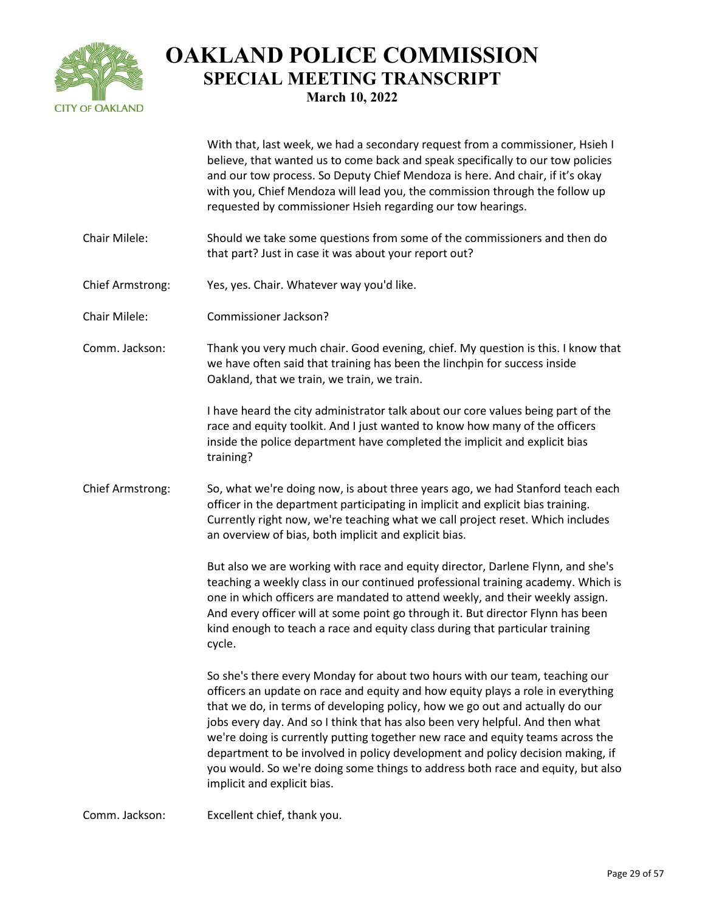

|                         | With that, last week, we had a secondary request from a commissioner, Hsieh I<br>believe, that wanted us to come back and speak specifically to our tow policies<br>and our tow process. So Deputy Chief Mendoza is here. And chair, if it's okay<br>with you, Chief Mendoza will lead you, the commission through the follow up<br>requested by commissioner Hsieh regarding our tow hearings.                                                                                                                                                                                                                       |
|-------------------------|-----------------------------------------------------------------------------------------------------------------------------------------------------------------------------------------------------------------------------------------------------------------------------------------------------------------------------------------------------------------------------------------------------------------------------------------------------------------------------------------------------------------------------------------------------------------------------------------------------------------------|
| Chair Milele:           | Should we take some questions from some of the commissioners and then do<br>that part? Just in case it was about your report out?                                                                                                                                                                                                                                                                                                                                                                                                                                                                                     |
| Chief Armstrong:        | Yes, yes. Chair. Whatever way you'd like.                                                                                                                                                                                                                                                                                                                                                                                                                                                                                                                                                                             |
| Chair Milele:           | Commissioner Jackson?                                                                                                                                                                                                                                                                                                                                                                                                                                                                                                                                                                                                 |
| Comm. Jackson:          | Thank you very much chair. Good evening, chief. My question is this. I know that<br>we have often said that training has been the linchpin for success inside<br>Oakland, that we train, we train, we train.                                                                                                                                                                                                                                                                                                                                                                                                          |
|                         | I have heard the city administrator talk about our core values being part of the<br>race and equity toolkit. And I just wanted to know how many of the officers<br>inside the police department have completed the implicit and explicit bias<br>training?                                                                                                                                                                                                                                                                                                                                                            |
| <b>Chief Armstrong:</b> | So, what we're doing now, is about three years ago, we had Stanford teach each<br>officer in the department participating in implicit and explicit bias training.<br>Currently right now, we're teaching what we call project reset. Which includes<br>an overview of bias, both implicit and explicit bias.                                                                                                                                                                                                                                                                                                          |
|                         | But also we are working with race and equity director, Darlene Flynn, and she's<br>teaching a weekly class in our continued professional training academy. Which is<br>one in which officers are mandated to attend weekly, and their weekly assign.<br>And every officer will at some point go through it. But director Flynn has been<br>kind enough to teach a race and equity class during that particular training<br>cycle.                                                                                                                                                                                     |
|                         | So she's there every Monday for about two hours with our team, teaching our<br>officers an update on race and equity and how equity plays a role in everything<br>that we do, in terms of developing policy, how we go out and actually do our<br>jobs every day. And so I think that has also been very helpful. And then what<br>we're doing is currently putting together new race and equity teams across the<br>department to be involved in policy development and policy decision making, if<br>you would. So we're doing some things to address both race and equity, but also<br>implicit and explicit bias. |

Comm. Jackson: Excellent chief, thank you.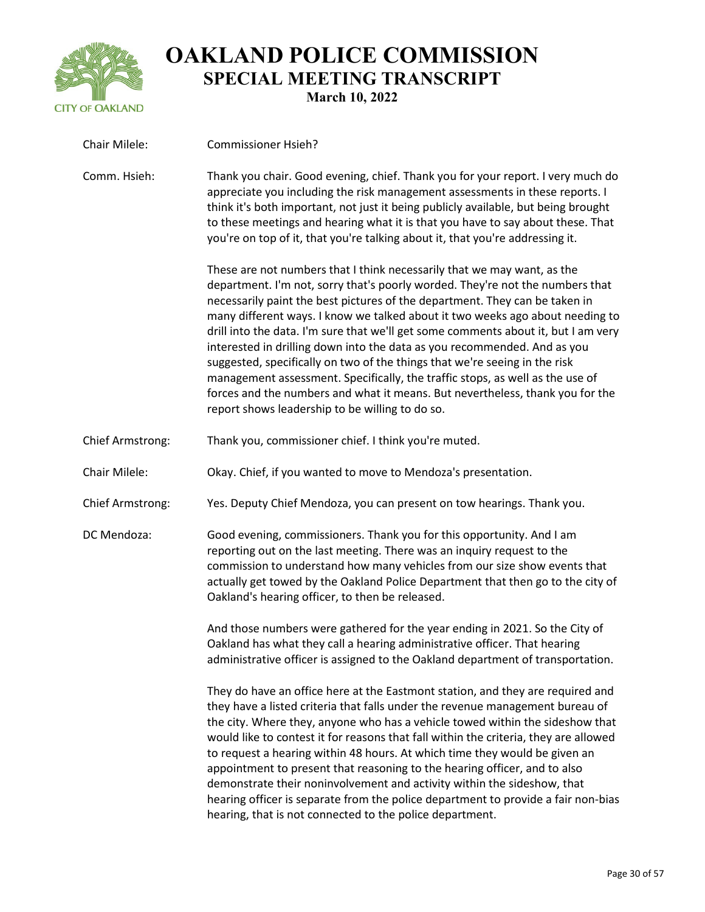

| Chair Milele:           | <b>Commissioner Hsieh?</b>                                                                                                                                                                                                                                                                                                                                                                                                                                                                                                                                                                                                                                                                                                                                                                    |
|-------------------------|-----------------------------------------------------------------------------------------------------------------------------------------------------------------------------------------------------------------------------------------------------------------------------------------------------------------------------------------------------------------------------------------------------------------------------------------------------------------------------------------------------------------------------------------------------------------------------------------------------------------------------------------------------------------------------------------------------------------------------------------------------------------------------------------------|
| Comm. Hsieh:            | Thank you chair. Good evening, chief. Thank you for your report. I very much do<br>appreciate you including the risk management assessments in these reports. I<br>think it's both important, not just it being publicly available, but being brought<br>to these meetings and hearing what it is that you have to say about these. That<br>you're on top of it, that you're talking about it, that you're addressing it.                                                                                                                                                                                                                                                                                                                                                                     |
|                         | These are not numbers that I think necessarily that we may want, as the<br>department. I'm not, sorry that's poorly worded. They're not the numbers that<br>necessarily paint the best pictures of the department. They can be taken in<br>many different ways. I know we talked about it two weeks ago about needing to<br>drill into the data. I'm sure that we'll get some comments about it, but I am very<br>interested in drilling down into the data as you recommended. And as you<br>suggested, specifically on two of the things that we're seeing in the risk<br>management assessment. Specifically, the traffic stops, as well as the use of<br>forces and the numbers and what it means. But nevertheless, thank you for the<br>report shows leadership to be willing to do so. |
| <b>Chief Armstrong:</b> | Thank you, commissioner chief. I think you're muted.                                                                                                                                                                                                                                                                                                                                                                                                                                                                                                                                                                                                                                                                                                                                          |
| Chair Milele:           | Okay. Chief, if you wanted to move to Mendoza's presentation.                                                                                                                                                                                                                                                                                                                                                                                                                                                                                                                                                                                                                                                                                                                                 |
| <b>Chief Armstrong:</b> | Yes. Deputy Chief Mendoza, you can present on tow hearings. Thank you.                                                                                                                                                                                                                                                                                                                                                                                                                                                                                                                                                                                                                                                                                                                        |
| DC Mendoza:             | Good evening, commissioners. Thank you for this opportunity. And I am<br>reporting out on the last meeting. There was an inquiry request to the<br>commission to understand how many vehicles from our size show events that<br>actually get towed by the Oakland Police Department that then go to the city of<br>Oakland's hearing officer, to then be released.                                                                                                                                                                                                                                                                                                                                                                                                                            |
|                         | And those numbers were gathered for the year ending in 2021. So the City of<br>Oakland has what they call a hearing administrative officer. That hearing<br>administrative officer is assigned to the Oakland department of transportation.                                                                                                                                                                                                                                                                                                                                                                                                                                                                                                                                                   |
|                         | They do have an office here at the Eastmont station, and they are required and<br>they have a listed criteria that falls under the revenue management bureau of<br>the city. Where they, anyone who has a vehicle towed within the sideshow that<br>would like to contest it for reasons that fall within the criteria, they are allowed<br>to request a hearing within 48 hours. At which time they would be given an<br>appointment to present that reasoning to the hearing officer, and to also<br>demonstrate their noninvolvement and activity within the sideshow, that<br>hearing officer is separate from the police department to provide a fair non-bias<br>hearing, that is not connected to the police department.                                                               |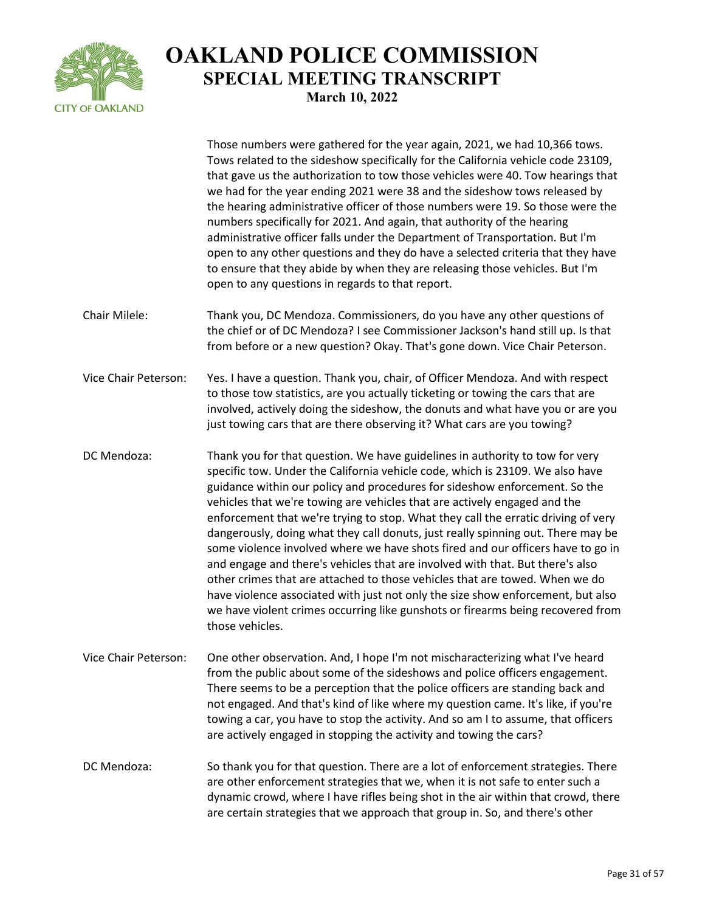

|                             | Those numbers were gathered for the year again, 2021, we had 10,366 tows.<br>Tows related to the sideshow specifically for the California vehicle code 23109,<br>that gave us the authorization to tow those vehicles were 40. Tow hearings that<br>we had for the year ending 2021 were 38 and the sideshow tows released by<br>the hearing administrative officer of those numbers were 19. So those were the<br>numbers specifically for 2021. And again, that authority of the hearing<br>administrative officer falls under the Department of Transportation. But I'm<br>open to any other questions and they do have a selected criteria that they have<br>to ensure that they abide by when they are releasing those vehicles. But I'm<br>open to any questions in regards to that report.                                                                                                                                             |
|-----------------------------|-----------------------------------------------------------------------------------------------------------------------------------------------------------------------------------------------------------------------------------------------------------------------------------------------------------------------------------------------------------------------------------------------------------------------------------------------------------------------------------------------------------------------------------------------------------------------------------------------------------------------------------------------------------------------------------------------------------------------------------------------------------------------------------------------------------------------------------------------------------------------------------------------------------------------------------------------|
| Chair Milele:               | Thank you, DC Mendoza. Commissioners, do you have any other questions of<br>the chief or of DC Mendoza? I see Commissioner Jackson's hand still up. Is that<br>from before or a new question? Okay. That's gone down. Vice Chair Peterson.                                                                                                                                                                                                                                                                                                                                                                                                                                                                                                                                                                                                                                                                                                    |
| <b>Vice Chair Peterson:</b> | Yes. I have a question. Thank you, chair, of Officer Mendoza. And with respect<br>to those tow statistics, are you actually ticketing or towing the cars that are<br>involved, actively doing the sideshow, the donuts and what have you or are you<br>just towing cars that are there observing it? What cars are you towing?                                                                                                                                                                                                                                                                                                                                                                                                                                                                                                                                                                                                                |
| DC Mendoza:                 | Thank you for that question. We have guidelines in authority to tow for very<br>specific tow. Under the California vehicle code, which is 23109. We also have<br>guidance within our policy and procedures for sideshow enforcement. So the<br>vehicles that we're towing are vehicles that are actively engaged and the<br>enforcement that we're trying to stop. What they call the erratic driving of very<br>dangerously, doing what they call donuts, just really spinning out. There may be<br>some violence involved where we have shots fired and our officers have to go in<br>and engage and there's vehicles that are involved with that. But there's also<br>other crimes that are attached to those vehicles that are towed. When we do<br>have violence associated with just not only the size show enforcement, but also<br>we have violent crimes occurring like gunshots or firearms being recovered from<br>those vehicles. |
| Vice Chair Peterson:        | One other observation. And, I hope I'm not mischaracterizing what I've heard<br>from the public about some of the sideshows and police officers engagement.<br>There seems to be a perception that the police officers are standing back and<br>not engaged. And that's kind of like where my question came. It's like, if you're<br>towing a car, you have to stop the activity. And so am I to assume, that officers<br>are actively engaged in stopping the activity and towing the cars?                                                                                                                                                                                                                                                                                                                                                                                                                                                  |
| DC Mendoza:                 | So thank you for that question. There are a lot of enforcement strategies. There<br>are other enforcement strategies that we, when it is not safe to enter such a<br>dynamic crowd, where I have rifles being shot in the air within that crowd, there<br>are certain strategies that we approach that group in. So, and there's other                                                                                                                                                                                                                                                                                                                                                                                                                                                                                                                                                                                                        |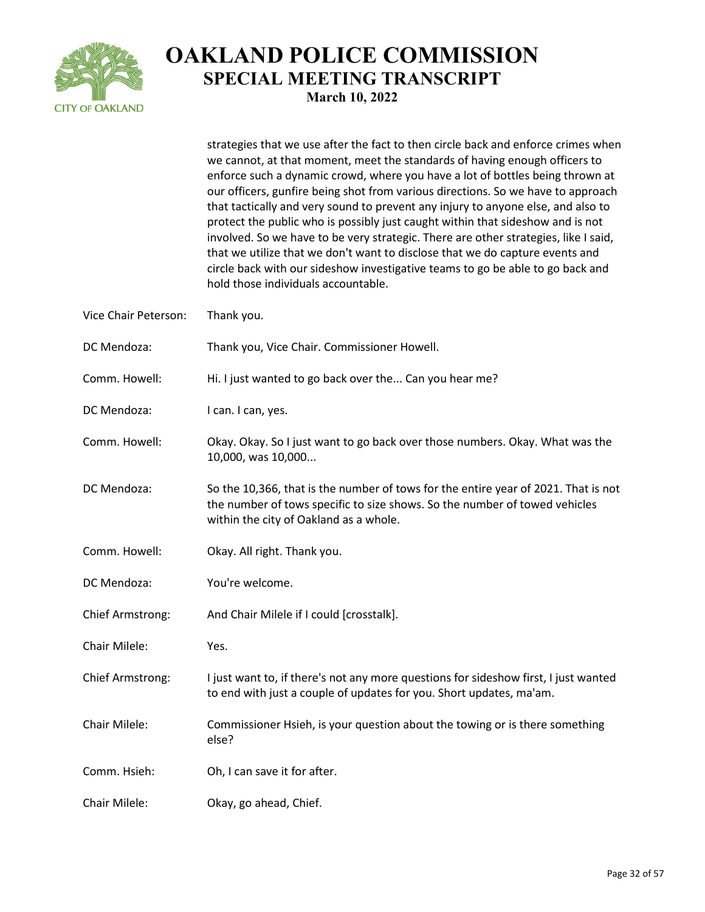

strategies that we use after the fact to then circle back and enforce crimes when

|                      | we cannot, at that moment, meet the standards of having enough officers to<br>enforce such a dynamic crowd, where you have a lot of bottles being thrown at<br>our officers, gunfire being shot from various directions. So we have to approach<br>that tactically and very sound to prevent any injury to anyone else, and also to<br>protect the public who is possibly just caught within that sideshow and is not<br>involved. So we have to be very strategic. There are other strategies, like I said,<br>that we utilize that we don't want to disclose that we do capture events and<br>circle back with our sideshow investigative teams to go be able to go back and<br>hold those individuals accountable. |
|----------------------|-----------------------------------------------------------------------------------------------------------------------------------------------------------------------------------------------------------------------------------------------------------------------------------------------------------------------------------------------------------------------------------------------------------------------------------------------------------------------------------------------------------------------------------------------------------------------------------------------------------------------------------------------------------------------------------------------------------------------|
| Vice Chair Peterson: | Thank you.                                                                                                                                                                                                                                                                                                                                                                                                                                                                                                                                                                                                                                                                                                            |
| DC Mendoza:          | Thank you, Vice Chair. Commissioner Howell.                                                                                                                                                                                                                                                                                                                                                                                                                                                                                                                                                                                                                                                                           |
| Comm. Howell:        | Hi. I just wanted to go back over the Can you hear me?                                                                                                                                                                                                                                                                                                                                                                                                                                                                                                                                                                                                                                                                |
| DC Mendoza:          | I can. I can, yes.                                                                                                                                                                                                                                                                                                                                                                                                                                                                                                                                                                                                                                                                                                    |
| Comm. Howell:        | Okay. Okay. So I just want to go back over those numbers. Okay. What was the<br>10,000, was 10,000                                                                                                                                                                                                                                                                                                                                                                                                                                                                                                                                                                                                                    |
| DC Mendoza:          | So the 10,366, that is the number of tows for the entire year of 2021. That is not<br>the number of tows specific to size shows. So the number of towed vehicles<br>within the city of Oakland as a whole.                                                                                                                                                                                                                                                                                                                                                                                                                                                                                                            |
| Comm. Howell:        | Okay. All right. Thank you.                                                                                                                                                                                                                                                                                                                                                                                                                                                                                                                                                                                                                                                                                           |
| DC Mendoza:          | You're welcome.                                                                                                                                                                                                                                                                                                                                                                                                                                                                                                                                                                                                                                                                                                       |
| Chief Armstrong:     | And Chair Milele if I could [crosstalk].                                                                                                                                                                                                                                                                                                                                                                                                                                                                                                                                                                                                                                                                              |
| Chair Milele:        | Yes.                                                                                                                                                                                                                                                                                                                                                                                                                                                                                                                                                                                                                                                                                                                  |
| Chief Armstrong:     | I just want to, if there's not any more questions for sideshow first, I just wanted<br>to end with just a couple of updates for you. Short updates, ma'am.                                                                                                                                                                                                                                                                                                                                                                                                                                                                                                                                                            |
| Chair Milele:        | Commissioner Hsieh, is your question about the towing or is there something<br>else?                                                                                                                                                                                                                                                                                                                                                                                                                                                                                                                                                                                                                                  |
| Comm. Hsieh:         | Oh, I can save it for after.                                                                                                                                                                                                                                                                                                                                                                                                                                                                                                                                                                                                                                                                                          |
| Chair Milele:        | Okay, go ahead, Chief.                                                                                                                                                                                                                                                                                                                                                                                                                                                                                                                                                                                                                                                                                                |
|                      |                                                                                                                                                                                                                                                                                                                                                                                                                                                                                                                                                                                                                                                                                                                       |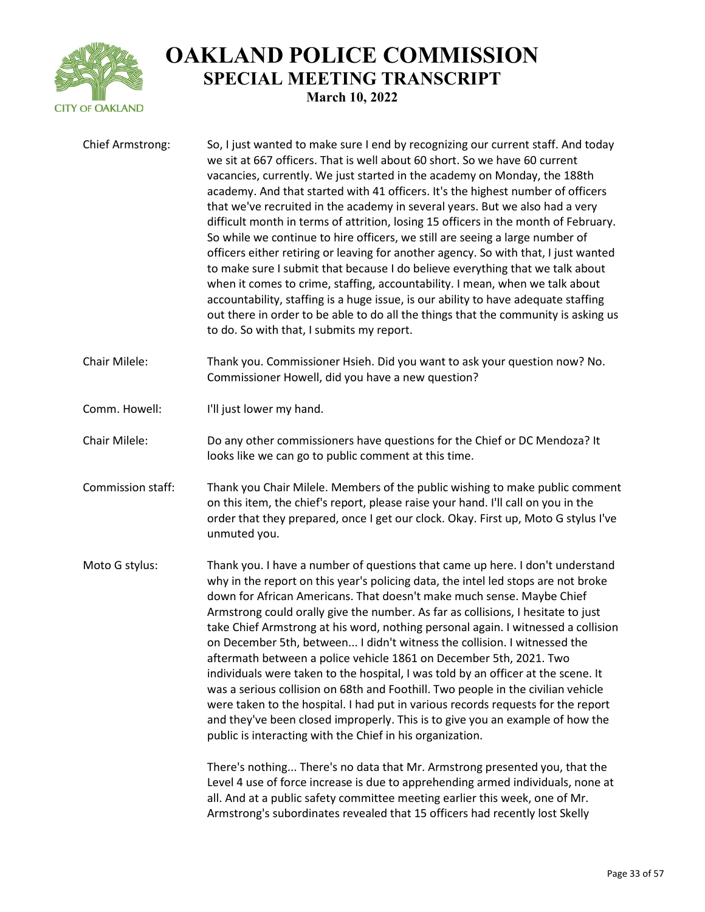

| Chief Armstrong:  | So, I just wanted to make sure I end by recognizing our current staff. And today<br>we sit at 667 officers. That is well about 60 short. So we have 60 current<br>vacancies, currently. We just started in the academy on Monday, the 188th<br>academy. And that started with 41 officers. It's the highest number of officers<br>that we've recruited in the academy in several years. But we also had a very<br>difficult month in terms of attrition, losing 15 officers in the month of February.<br>So while we continue to hire officers, we still are seeing a large number of<br>officers either retiring or leaving for another agency. So with that, I just wanted<br>to make sure I submit that because I do believe everything that we talk about<br>when it comes to crime, staffing, accountability. I mean, when we talk about<br>accountability, staffing is a huge issue, is our ability to have adequate staffing<br>out there in order to be able to do all the things that the community is asking us<br>to do. So with that, I submits my report.                                                                                                                                                                                                                                           |
|-------------------|------------------------------------------------------------------------------------------------------------------------------------------------------------------------------------------------------------------------------------------------------------------------------------------------------------------------------------------------------------------------------------------------------------------------------------------------------------------------------------------------------------------------------------------------------------------------------------------------------------------------------------------------------------------------------------------------------------------------------------------------------------------------------------------------------------------------------------------------------------------------------------------------------------------------------------------------------------------------------------------------------------------------------------------------------------------------------------------------------------------------------------------------------------------------------------------------------------------------------------------------------------------------------------------------------------------|
| Chair Milele:     | Thank you. Commissioner Hsieh. Did you want to ask your question now? No.<br>Commissioner Howell, did you have a new question?                                                                                                                                                                                                                                                                                                                                                                                                                                                                                                                                                                                                                                                                                                                                                                                                                                                                                                                                                                                                                                                                                                                                                                                   |
| Comm. Howell:     | I'll just lower my hand.                                                                                                                                                                                                                                                                                                                                                                                                                                                                                                                                                                                                                                                                                                                                                                                                                                                                                                                                                                                                                                                                                                                                                                                                                                                                                         |
| Chair Milele:     | Do any other commissioners have questions for the Chief or DC Mendoza? It<br>looks like we can go to public comment at this time.                                                                                                                                                                                                                                                                                                                                                                                                                                                                                                                                                                                                                                                                                                                                                                                                                                                                                                                                                                                                                                                                                                                                                                                |
| Commission staff: | Thank you Chair Milele. Members of the public wishing to make public comment<br>on this item, the chief's report, please raise your hand. I'll call on you in the<br>order that they prepared, once I get our clock. Okay. First up, Moto G stylus I've<br>unmuted you.                                                                                                                                                                                                                                                                                                                                                                                                                                                                                                                                                                                                                                                                                                                                                                                                                                                                                                                                                                                                                                          |
| Moto G stylus:    | Thank you. I have a number of questions that came up here. I don't understand<br>why in the report on this year's policing data, the intel led stops are not broke<br>down for African Americans. That doesn't make much sense. Maybe Chief<br>Armstrong could orally give the number. As far as collisions, I hesitate to just<br>take Chief Armstrong at his word, nothing personal again. I witnessed a collision<br>on December 5th, between I didn't witness the collision. I witnessed the<br>aftermath between a police vehicle 1861 on December 5th, 2021. Two<br>individuals were taken to the hospital, I was told by an officer at the scene. It<br>was a serious collision on 68th and Foothill. Two people in the civilian vehicle<br>were taken to the hospital. I had put in various records requests for the report<br>and they've been closed improperly. This is to give you an example of how the<br>public is interacting with the Chief in his organization.<br>There's nothing There's no data that Mr. Armstrong presented you, that the<br>Level 4 use of force increase is due to apprehending armed individuals, none at<br>all. And at a public safety committee meeting earlier this week, one of Mr.<br>Armstrong's subordinates revealed that 15 officers had recently lost Skelly |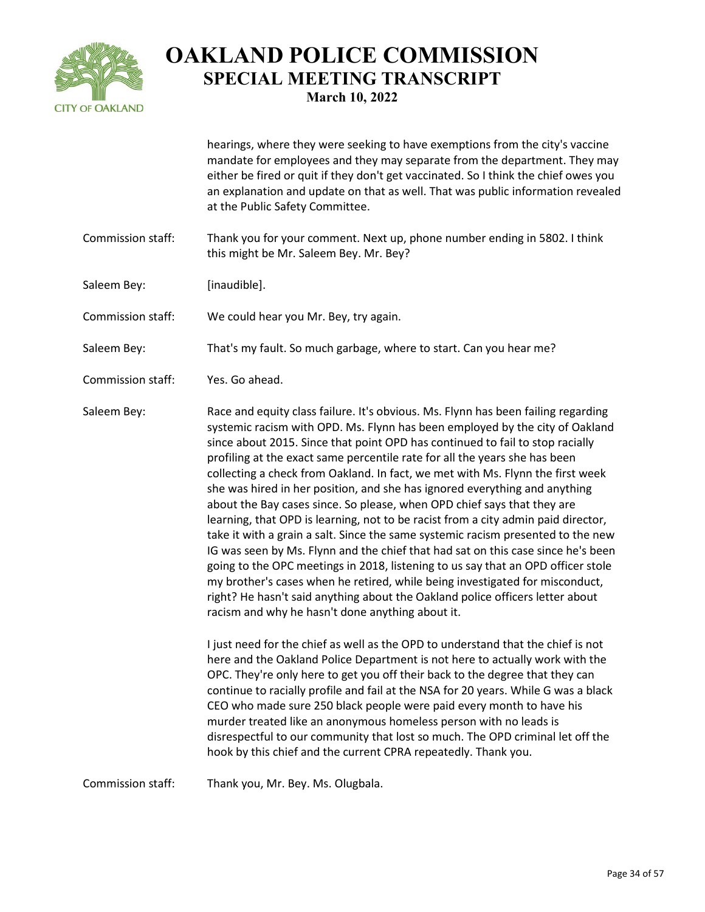

hearings, where they were seeking to have exemptions from the city's vaccine mandate for employees and they may separate from the department. They may either be fired or quit if they don't get vaccinated. So I think the chief owes you an explanation and update on that as well. That was public information revealed at the Public Safety Committee.

- Commission staff: Thank you for your comment. Next up, phone number ending in 5802. I think this might be Mr. Saleem Bey. Mr. Bey?
- Saleem Bey: [inaudible].
- Commission staff: We could hear you Mr. Bey, try again.

Saleem Bey: That's my fault. So much garbage, where to start. Can you hear me?

Commission staff: Yes. Go ahead.

Saleem Bey: Race and equity class failure. It's obvious. Ms. Flynn has been failing regarding systemic racism with OPD. Ms. Flynn has been employed by the city of Oakland since about 2015. Since that point OPD has continued to fail to stop racially profiling at the exact same percentile rate for all the years she has been collecting a check from Oakland. In fact, we met with Ms. Flynn the first week she was hired in her position, and she has ignored everything and anything about the Bay cases since. So please, when OPD chief says that they are learning, that OPD is learning, not to be racist from a city admin paid director, take it with a grain a salt. Since the same systemic racism presented to the new IG was seen by Ms. Flynn and the chief that had sat on this case since he's been going to the OPC meetings in 2018, listening to us say that an OPD officer stole my brother's cases when he retired, while being investigated for misconduct, right? He hasn't said anything about the Oakland police officers letter about racism and why he hasn't done anything about it.

> I just need for the chief as well as the OPD to understand that the chief is not here and the Oakland Police Department is not here to actually work with the OPC. They're only here to get you off their back to the degree that they can continue to racially profile and fail at the NSA for 20 years. While G was a black CEO who made sure 250 black people were paid every month to have his murder treated like an anonymous homeless person with no leads is disrespectful to our community that lost so much. The OPD criminal let off the hook by this chief and the current CPRA repeatedly. Thank you.

Commission staff: Thank you, Mr. Bey. Ms. Olugbala.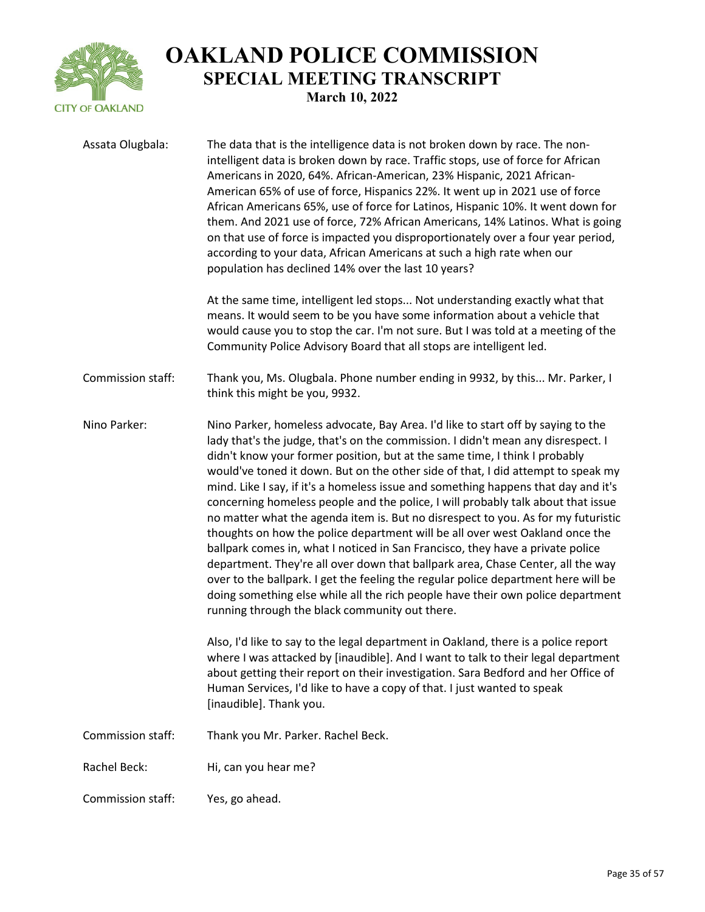

| Assata Olugbala:  | The data that is the intelligence data is not broken down by race. The non-<br>intelligent data is broken down by race. Traffic stops, use of force for African<br>Americans in 2020, 64%. African-American, 23% Hispanic, 2021 African-<br>American 65% of use of force, Hispanics 22%. It went up in 2021 use of force<br>African Americans 65%, use of force for Latinos, Hispanic 10%. It went down for<br>them. And 2021 use of force, 72% African Americans, 14% Latinos. What is going<br>on that use of force is impacted you disproportionately over a four year period,<br>according to your data, African Americans at such a high rate when our<br>population has declined 14% over the last 10 years?<br>At the same time, intelligent led stops Not understanding exactly what that<br>means. It would seem to be you have some information about a vehicle that<br>would cause you to stop the car. I'm not sure. But I was told at a meeting of the<br>Community Police Advisory Board that all stops are intelligent led.                                            |
|-------------------|---------------------------------------------------------------------------------------------------------------------------------------------------------------------------------------------------------------------------------------------------------------------------------------------------------------------------------------------------------------------------------------------------------------------------------------------------------------------------------------------------------------------------------------------------------------------------------------------------------------------------------------------------------------------------------------------------------------------------------------------------------------------------------------------------------------------------------------------------------------------------------------------------------------------------------------------------------------------------------------------------------------------------------------------------------------------------------------|
| Commission staff: | Thank you, Ms. Olugbala. Phone number ending in 9932, by this Mr. Parker, I<br>think this might be you, 9932.                                                                                                                                                                                                                                                                                                                                                                                                                                                                                                                                                                                                                                                                                                                                                                                                                                                                                                                                                                         |
| Nino Parker:      | Nino Parker, homeless advocate, Bay Area. I'd like to start off by saying to the<br>lady that's the judge, that's on the commission. I didn't mean any disrespect. I<br>didn't know your former position, but at the same time, I think I probably<br>would've toned it down. But on the other side of that, I did attempt to speak my<br>mind. Like I say, if it's a homeless issue and something happens that day and it's<br>concerning homeless people and the police, I will probably talk about that issue<br>no matter what the agenda item is. But no disrespect to you. As for my futuristic<br>thoughts on how the police department will be all over west Oakland once the<br>ballpark comes in, what I noticed in San Francisco, they have a private police<br>department. They're all over down that ballpark area, Chase Center, all the way<br>over to the ballpark. I get the feeling the regular police department here will be<br>doing something else while all the rich people have their own police department<br>running through the black community out there. |
|                   | Also, I'd like to say to the legal department in Oakland, there is a police report<br>where I was attacked by [inaudible]. And I want to talk to their legal department<br>about getting their report on their investigation. Sara Bedford and her Office of<br>Human Services, I'd like to have a copy of that. I just wanted to speak<br>[inaudible]. Thank you.                                                                                                                                                                                                                                                                                                                                                                                                                                                                                                                                                                                                                                                                                                                    |
| Commission staff: | Thank you Mr. Parker. Rachel Beck.                                                                                                                                                                                                                                                                                                                                                                                                                                                                                                                                                                                                                                                                                                                                                                                                                                                                                                                                                                                                                                                    |
| Rachel Beck:      | Hi, can you hear me?                                                                                                                                                                                                                                                                                                                                                                                                                                                                                                                                                                                                                                                                                                                                                                                                                                                                                                                                                                                                                                                                  |
| Commission staff: | Yes, go ahead.                                                                                                                                                                                                                                                                                                                                                                                                                                                                                                                                                                                                                                                                                                                                                                                                                                                                                                                                                                                                                                                                        |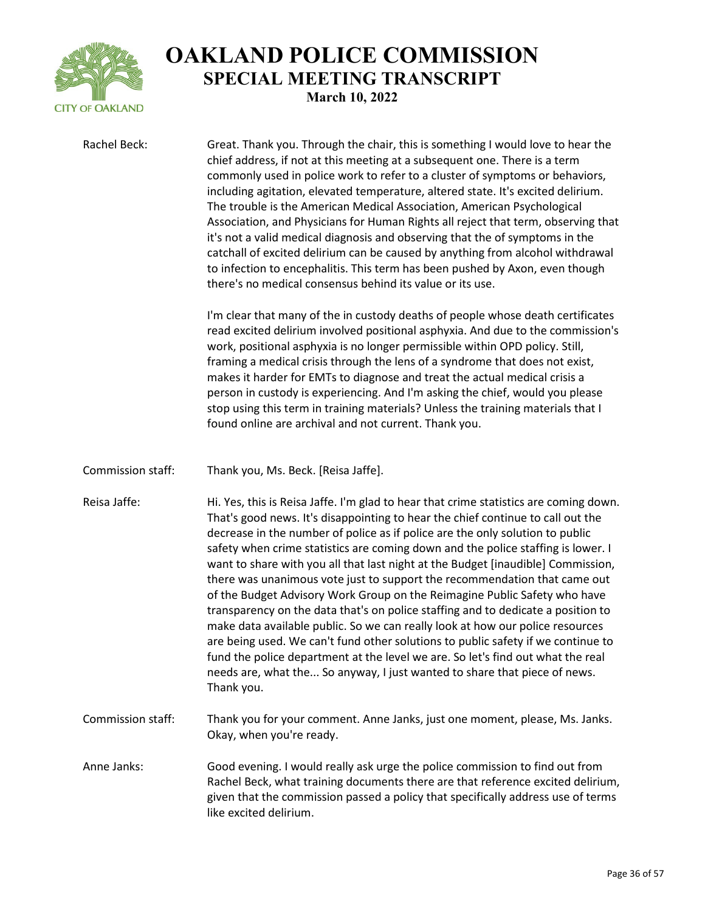

Rachel Beck: Great. Thank you. Through the chair, this is something I would love to hear the chief address, if not at this meeting at a subsequent one. There is a term commonly used in police work to refer to a cluster of symptoms or behaviors, including agitation, elevated temperature, altered state. It's excited delirium. The trouble is the American Medical Association, American Psychological Association, and Physicians for Human Rights all reject that term, observing that it's not a valid medical diagnosis and observing that the of symptoms in the catchall of excited delirium can be caused by anything from alcohol withdrawal to infection to encephalitis. This term has been pushed by Axon, even though there's no medical consensus behind its value or its use. I'm clear that many of the in custody deaths of people whose death certificates read excited delirium involved positional asphyxia. And due to the commission's work, positional asphyxia is no longer permissible within OPD policy. Still, framing a medical crisis through the lens of a syndrome that does not exist, makes it harder for EMTs to diagnose and treat the actual medical crisis a person in custody is experiencing. And I'm asking the chief, would you please stop using this term in training materials? Unless the training materials that I found online are archival and not current. Thank you. Commission staff: Thank you, Ms. Beck. [Reisa Jaffe]. Reisa Jaffe: Hi. Yes, this is Reisa Jaffe. I'm glad to hear that crime statistics are coming down. That's good news. It's disappointing to hear the chief continue to call out the decrease in the number of police as if police are the only solution to public safety when crime statistics are coming down and the police staffing is lower. I want to share with you all that last night at the Budget [inaudible] Commission, there was unanimous vote just to support the recommendation that came out of the Budget Advisory Work Group on the Reimagine Public Safety who have transparency on the data that's on police staffing and to dedicate a position to make data available public. So we can really look at how our police resources are being used. We can't fund other solutions to public safety if we continue to fund the police department at the level we are. So let's find out what the real needs are, what the... So anyway, I just wanted to share that piece of news. Thank you. Commission staff: Thank you for your comment. Anne Janks, just one moment, please, Ms. Janks. Okay, when you're ready. Anne Janks: Good evening. I would really ask urge the police commission to find out from Rachel Beck, what training documents there are that reference excited delirium, given that the commission passed a policy that specifically address use of terms like excited delirium.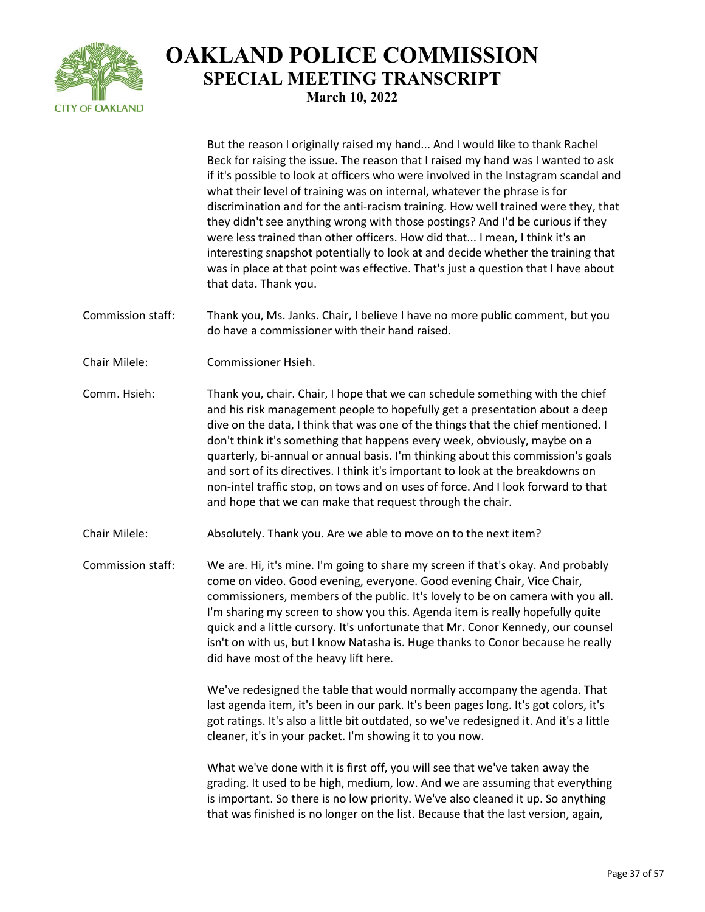

But the reason I originally raised my hand... And I would like to thank Rachel

Beck for raising the issue. The reason that I raised my hand was I wanted to ask if it's possible to look at officers who were involved in the Instagram scandal and what their level of training was on internal, whatever the phrase is for discrimination and for the anti-racism training. How well trained were they, that they didn't see anything wrong with those postings? And I'd be curious if they were less trained than other officers. How did that... I mean, I think it's an interesting snapshot potentially to look at and decide whether the training that was in place at that point was effective. That's just a question that I have about that data. Thank you. Commission staff: Thank you, Ms. Janks. Chair, I believe I have no more public comment, but you do have a commissioner with their hand raised. Chair Milele: Commissioner Hsieh. Comm. Hsieh: Thank you, chair. Chair, I hope that we can schedule something with the chief and his risk management people to hopefully get a presentation about a deep dive on the data, I think that was one of the things that the chief mentioned. I don't think it's something that happens every week, obviously, maybe on a quarterly, bi-annual or annual basis. I'm thinking about this commission's goals and sort of its directives. I think it's important to look at the breakdowns on non-intel traffic stop, on tows and on uses of force. And I look forward to that and hope that we can make that request through the chair. Chair Milele: Absolutely. Thank you. Are we able to move on to the next item? Commission staff: We are. Hi, it's mine. I'm going to share my screen if that's okay. And probably come on video. Good evening, everyone. Good evening Chair, Vice Chair, commissioners, members of the public. It's lovely to be on camera with you all. I'm sharing my screen to show you this. Agenda item is really hopefully quite quick and a little cursory. It's unfortunate that Mr. Conor Kennedy, our counsel isn't on with us, but I know Natasha is. Huge thanks to Conor because he really did have most of the heavy lift here. We've redesigned the table that would normally accompany the agenda. That last agenda item, it's been in our park. It's been pages long. It's got colors, it's got ratings. It's also a little bit outdated, so we've redesigned it. And it's a little cleaner, it's in your packet. I'm showing it to you now. What we've done with it is first off, you will see that we've taken away the grading. It used to be high, medium, low. And we are assuming that everything is important. So there is no low priority. We've also cleaned it up. So anything that was finished is no longer on the list. Because that the last version, again,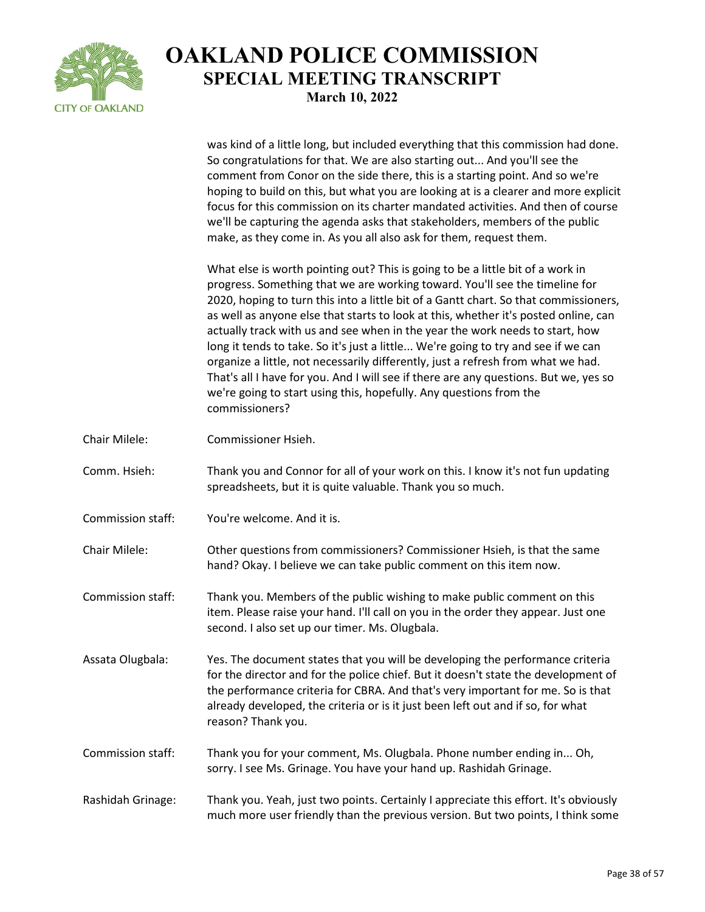

was kind of a little long, but included everything that this commission had done. So congratulations for that. We are also starting out... And you'll see the comment from Conor on the side there, this is a starting point. And so we're hoping to build on this, but what you are looking at is a clearer and more explicit focus for this commission on its charter mandated activities. And then of course we'll be capturing the agenda asks that stakeholders, members of the public make, as they come in. As you all also ask for them, request them.

What else is worth pointing out? This is going to be a little bit of a work in progress. Something that we are working toward. You'll see the timeline for 2020, hoping to turn this into a little bit of a Gantt chart. So that commissioners, as well as anyone else that starts to look at this, whether it's posted online, can actually track with us and see when in the year the work needs to start, how long it tends to take. So it's just a little... We're going to try and see if we can organize a little, not necessarily differently, just a refresh from what we had. That's all I have for you. And I will see if there are any questions. But we, yes so we're going to start using this, hopefully. Any questions from the commissioners?

Chair Milele: Commissioner Hsieh.

Comm. Hsieh: Thank you and Connor for all of your work on this. I know it's not fun updating spreadsheets, but it is quite valuable. Thank you so much.

Commission staff: You're welcome. And it is.

Chair Milele: Other questions from commissioners? Commissioner Hsieh, is that the same hand? Okay. I believe we can take public comment on this item now.

- Commission staff: Thank you. Members of the public wishing to make public comment on this item. Please raise your hand. I'll call on you in the order they appear. Just one second. I also set up our timer. Ms. Olugbala.
- Assata Olugbala: Yes. The document states that you will be developing the performance criteria for the director and for the police chief. But it doesn't state the development of the performance criteria for CBRA. And that's very important for me. So is that already developed, the criteria or is it just been left out and if so, for what reason? Thank you.
- Commission staff: Thank you for your comment, Ms. Olugbala. Phone number ending in... Oh, sorry. I see Ms. Grinage. You have your hand up. Rashidah Grinage.
- Rashidah Grinage: Thank you. Yeah, just two points. Certainly I appreciate this effort. It's obviously much more user friendly than the previous version. But two points, I think some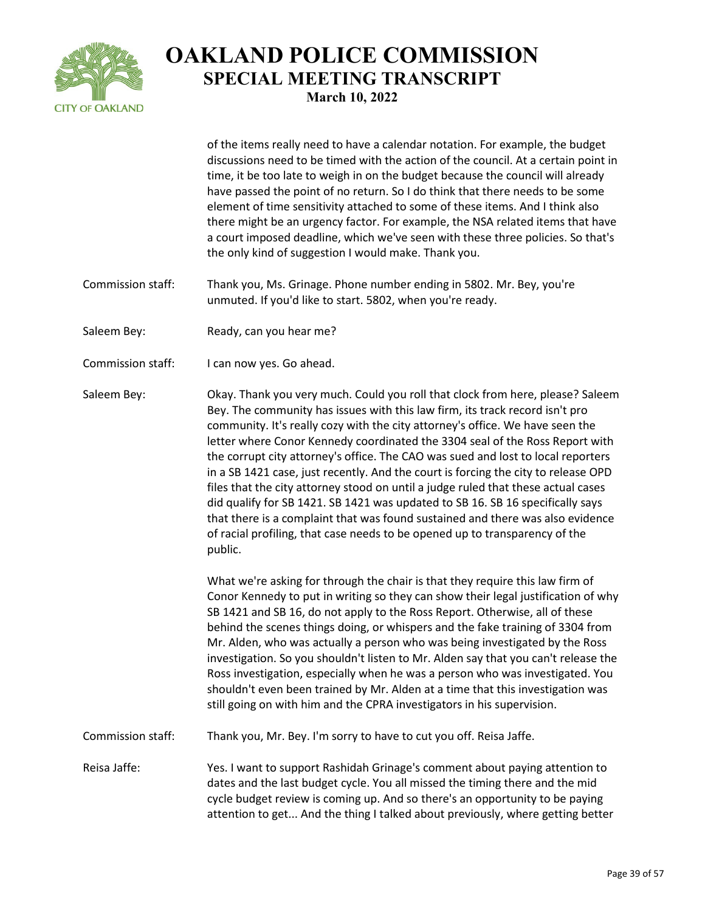

of the items really need to have a calendar notation. For example, the budget discussions need to be timed with the action of the council. At a certain point in time, it be too late to weigh in on the budget because the council will already have passed the point of no return. So I do think that there needs to be some element of time sensitivity attached to some of these items. And I think also there might be an urgency factor. For example, the NSA related items that have a court imposed deadline, which we've seen with these three policies. So that's the only kind of suggestion I would make. Thank you.

- Commission staff: Thank you, Ms. Grinage. Phone number ending in 5802. Mr. Bey, you're unmuted. If you'd like to start. 5802, when you're ready.
- Saleem Bey: Ready, can you hear me?
- Commission staff: I can now yes. Go ahead.

Saleem Bey: Okay. Thank you very much. Could you roll that clock from here, please? Saleem Bey. The community has issues with this law firm, its track record isn't pro community. It's really cozy with the city attorney's office. We have seen the letter where Conor Kennedy coordinated the 3304 seal of the Ross Report with the corrupt city attorney's office. The CAO was sued and lost to local reporters in a SB 1421 case, just recently. And the court is forcing the city to release OPD files that the city attorney stood on until a judge ruled that these actual cases did qualify for SB 1421. SB 1421 was updated to SB 16. SB 16 specifically says that there is a complaint that was found sustained and there was also evidence of racial profiling, that case needs to be opened up to transparency of the public.

> What we're asking for through the chair is that they require this law firm of Conor Kennedy to put in writing so they can show their legal justification of why SB 1421 and SB 16, do not apply to the Ross Report. Otherwise, all of these behind the scenes things doing, or whispers and the fake training of 3304 from Mr. Alden, who was actually a person who was being investigated by the Ross investigation. So you shouldn't listen to Mr. Alden say that you can't release the Ross investigation, especially when he was a person who was investigated. You shouldn't even been trained by Mr. Alden at a time that this investigation was still going on with him and the CPRA investigators in his supervision.

Commission staff: Thank you, Mr. Bey. I'm sorry to have to cut you off. Reisa Jaffe.

Reisa Jaffe: Yes. I want to support Rashidah Grinage's comment about paying attention to dates and the last budget cycle. You all missed the timing there and the mid cycle budget review is coming up. And so there's an opportunity to be paying attention to get... And the thing I talked about previously, where getting better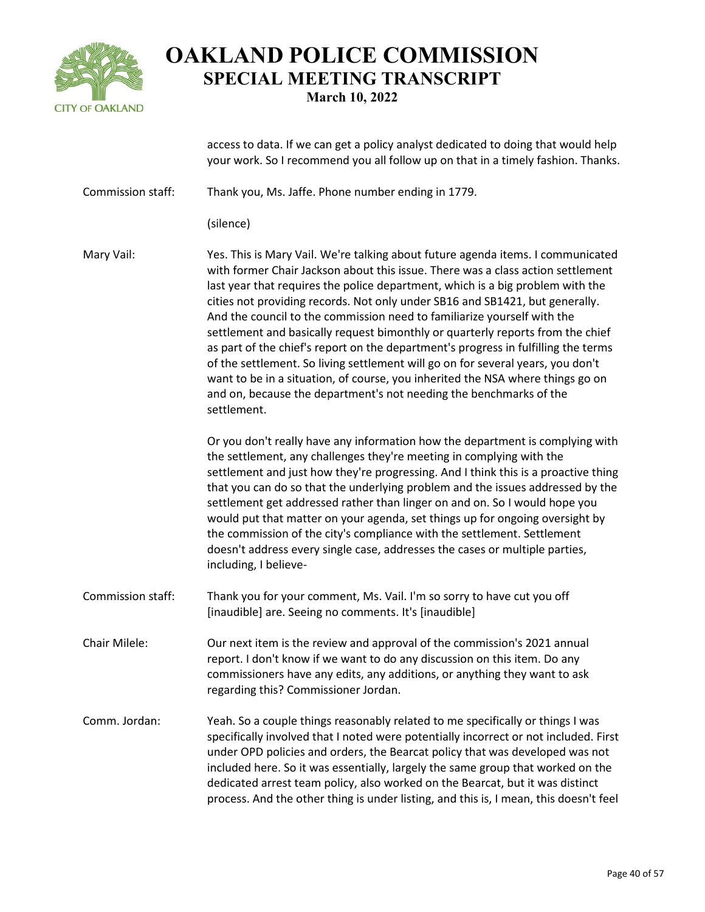

access to data. If we can get a policy analyst dedicated to doing that would help your work. So I recommend you all follow up on that in a timely fashion. Thanks. Commission staff: Thank you, Ms. Jaffe. Phone number ending in 1779. (silence) Mary Vail: Yes. This is Mary Vail. We're talking about future agenda items. I communicated with former Chair Jackson about this issue. There was a class action settlement last year that requires the police department, which is a big problem with the cities not providing records. Not only under SB16 and SB1421, but generally. And the council to the commission need to familiarize yourself with the settlement and basically request bimonthly or quarterly reports from the chief as part of the chief's report on the department's progress in fulfilling the terms of the settlement. So living settlement will go on for several years, you don't want to be in a situation, of course, you inherited the NSA where things go on and on, because the department's not needing the benchmarks of the settlement. Or you don't really have any information how the department is complying with the settlement, any challenges they're meeting in complying with the settlement and just how they're progressing. And I think this is a proactive thing that you can do so that the underlying problem and the issues addressed by the settlement get addressed rather than linger on and on. So I would hope you would put that matter on your agenda, set things up for ongoing oversight by the commission of the city's compliance with the settlement. Settlement doesn't address every single case, addresses the cases or multiple parties, including, I believe-Commission staff: Thank you for your comment, Ms. Vail. I'm so sorry to have cut you off [inaudible] are. Seeing no comments. It's [inaudible] Chair Milele: Our next item is the review and approval of the commission's 2021 annual report. I don't know if we want to do any discussion on this item. Do any commissioners have any edits, any additions, or anything they want to ask regarding this? Commissioner Jordan. Comm. Jordan: Yeah. So a couple things reasonably related to me specifically or things I was specifically involved that I noted were potentially incorrect or not included. First under OPD policies and orders, the Bearcat policy that was developed was not included here. So it was essentially, largely the same group that worked on the dedicated arrest team policy, also worked on the Bearcat, but it was distinct process. And the other thing is under listing, and this is, I mean, this doesn't feel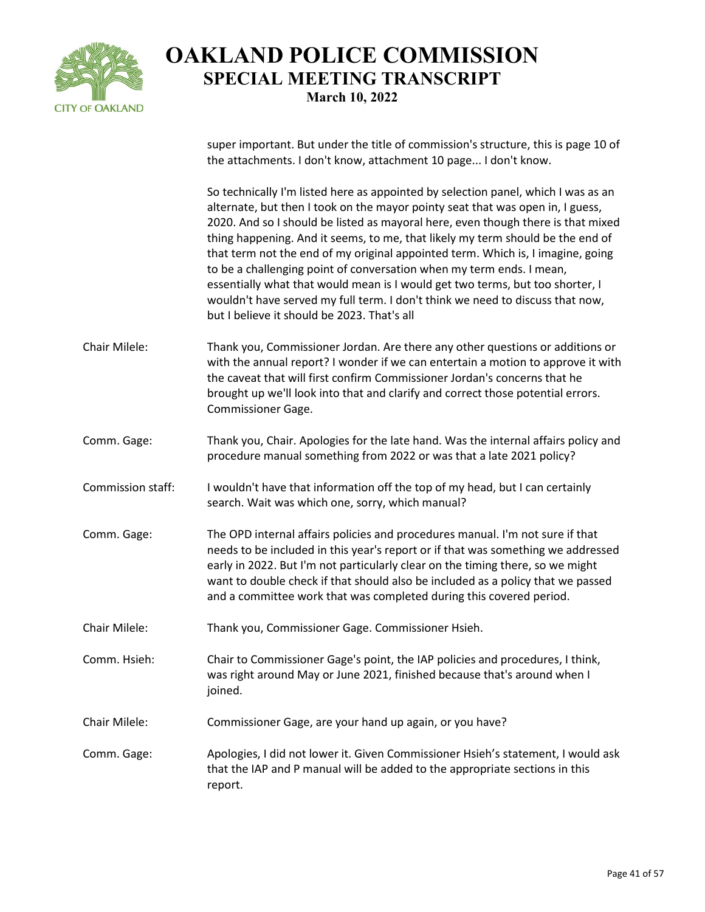

super important. But under the title of commission's structure, this is page 10 of the attachments. I don't know, attachment 10 page... I don't know.

So technically I'm listed here as appointed by selection panel, which I was as an alternate, but then I took on the mayor pointy seat that was open in, I guess, 2020. And so I should be listed as mayoral here, even though there is that mixed thing happening. And it seems, to me, that likely my term should be the end of that term not the end of my original appointed term. Which is, I imagine, going to be a challenging point of conversation when my term ends. I mean, essentially what that would mean is I would get two terms, but too shorter, I wouldn't have served my full term. I don't think we need to discuss that now, but I believe it should be 2023. That's all

- Chair Milele: Thank you, Commissioner Jordan. Are there any other questions or additions or with the annual report? I wonder if we can entertain a motion to approve it with the caveat that will first confirm Commissioner Jordan's concerns that he brought up we'll look into that and clarify and correct those potential errors. Commissioner Gage.
- Comm. Gage: Thank you, Chair. Apologies for the late hand. Was the internal affairs policy and procedure manual something from 2022 or was that a late 2021 policy?
- Commission staff: I wouldn't have that information off the top of my head, but I can certainly search. Wait was which one, sorry, which manual?
- Comm. Gage: The OPD internal affairs policies and procedures manual. I'm not sure if that needs to be included in this year's report or if that was something we addressed early in 2022. But I'm not particularly clear on the timing there, so we might want to double check if that should also be included as a policy that we passed and a committee work that was completed during this covered period.
- Chair Milele: Thank you, Commissioner Gage. Commissioner Hsieh.

Comm. Hsieh: Chair to Commissioner Gage's point, the IAP policies and procedures, I think, was right around May or June 2021, finished because that's around when I joined.

- Chair Milele: Commissioner Gage, are your hand up again, or you have?
- Comm. Gage: Apologies, I did not lower it. Given Commissioner Hsieh's statement, I would ask that the IAP and P manual will be added to the appropriate sections in this report.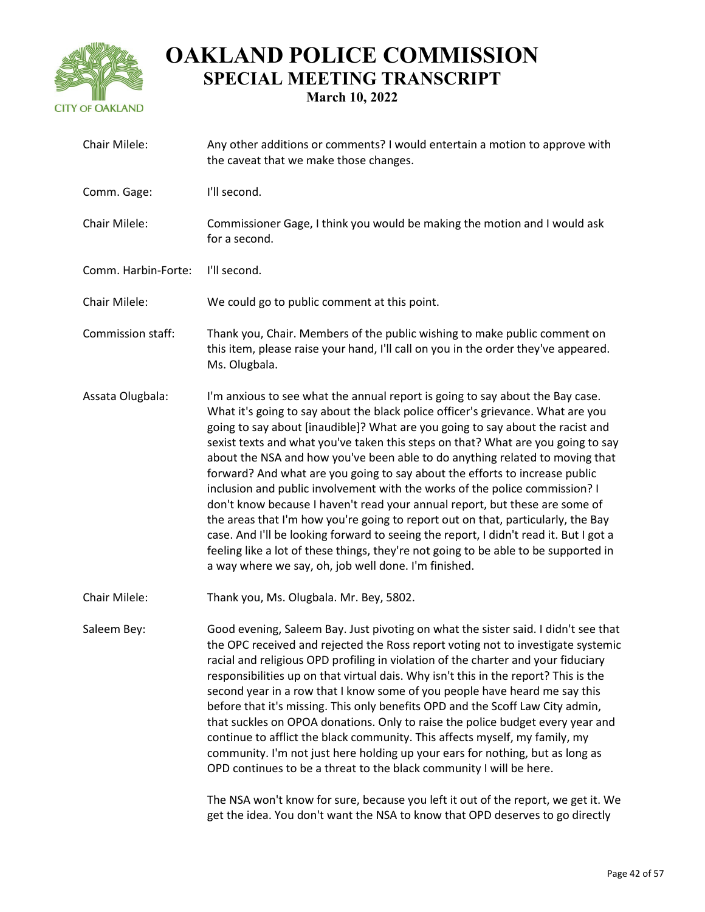

| Chair Milele:       | Any other additions or comments? I would entertain a motion to approve with<br>the caveat that we make those changes.                                                                                                                                                                                                                                                                                                                                                                                                                                                                                                                                                                                                                                                                                                                                                                                                                                                                           |
|---------------------|-------------------------------------------------------------------------------------------------------------------------------------------------------------------------------------------------------------------------------------------------------------------------------------------------------------------------------------------------------------------------------------------------------------------------------------------------------------------------------------------------------------------------------------------------------------------------------------------------------------------------------------------------------------------------------------------------------------------------------------------------------------------------------------------------------------------------------------------------------------------------------------------------------------------------------------------------------------------------------------------------|
| Comm. Gage:         | I'll second.                                                                                                                                                                                                                                                                                                                                                                                                                                                                                                                                                                                                                                                                                                                                                                                                                                                                                                                                                                                    |
| Chair Milele:       | Commissioner Gage, I think you would be making the motion and I would ask<br>for a second.                                                                                                                                                                                                                                                                                                                                                                                                                                                                                                                                                                                                                                                                                                                                                                                                                                                                                                      |
| Comm. Harbin-Forte: | I'll second.                                                                                                                                                                                                                                                                                                                                                                                                                                                                                                                                                                                                                                                                                                                                                                                                                                                                                                                                                                                    |
| Chair Milele:       | We could go to public comment at this point.                                                                                                                                                                                                                                                                                                                                                                                                                                                                                                                                                                                                                                                                                                                                                                                                                                                                                                                                                    |
| Commission staff:   | Thank you, Chair. Members of the public wishing to make public comment on<br>this item, please raise your hand, I'll call on you in the order they've appeared.<br>Ms. Olugbala.                                                                                                                                                                                                                                                                                                                                                                                                                                                                                                                                                                                                                                                                                                                                                                                                                |
| Assata Olugbala:    | I'm anxious to see what the annual report is going to say about the Bay case.<br>What it's going to say about the black police officer's grievance. What are you<br>going to say about [inaudible]? What are you going to say about the racist and<br>sexist texts and what you've taken this steps on that? What are you going to say<br>about the NSA and how you've been able to do anything related to moving that<br>forward? And what are you going to say about the efforts to increase public<br>inclusion and public involvement with the works of the police commission? I<br>don't know because I haven't read your annual report, but these are some of<br>the areas that I'm how you're going to report out on that, particularly, the Bay<br>case. And I'll be looking forward to seeing the report, I didn't read it. But I got a<br>feeling like a lot of these things, they're not going to be able to be supported in<br>a way where we say, oh, job well done. I'm finished. |
| Chair Milele:       | Thank you, Ms. Olugbala. Mr. Bey, 5802.                                                                                                                                                                                                                                                                                                                                                                                                                                                                                                                                                                                                                                                                                                                                                                                                                                                                                                                                                         |
| Saleem Bey:         | Good evening, Saleem Bay. Just pivoting on what the sister said. I didn't see that<br>the OPC received and rejected the Ross report voting not to investigate systemic<br>racial and religious OPD profiling in violation of the charter and your fiduciary<br>responsibilities up on that virtual dais. Why isn't this in the report? This is the<br>second year in a row that I know some of you people have heard me say this<br>before that it's missing. This only benefits OPD and the Scoff Law City admin,<br>that suckles on OPOA donations. Only to raise the police budget every year and<br>continue to afflict the black community. This affects myself, my family, my<br>community. I'm not just here holding up your ears for nothing, but as long as<br>OPD continues to be a threat to the black community I will be here.                                                                                                                                                     |
|                     | The NSA won't know for sure, because you left it out of the report, we get it. We                                                                                                                                                                                                                                                                                                                                                                                                                                                                                                                                                                                                                                                                                                                                                                                                                                                                                                               |

get the idea. You don't want the NSA to know that OPD deserves to go directly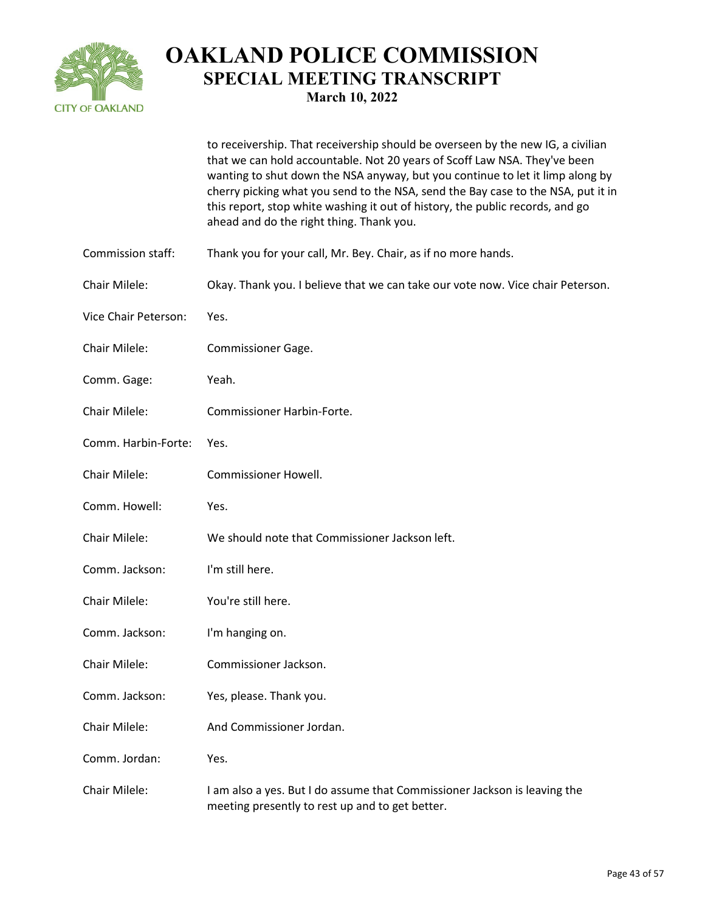

to receivership. That receivership should be overseen by the new IG, a civilian that we can hold accountable. Not 20 years of Scoff Law NSA. They've been wanting to shut down the NSA anyway, but you continue to let it limp along by cherry picking what you send to the NSA, send the Bay case to the NSA, put it in this report, stop white washing it out of history, the public records, and go ahead and do the right thing. Thank you. Commission staff: Thank you for your call, Mr. Bey. Chair, as if no more hands. Chair Milele: Okay. Thank you. I believe that we can take our vote now. Vice chair Peterson. Vice Chair Peterson: Yes. Chair Milele: Commissioner Gage. Comm. Gage: Yeah. Chair Milele: Commissioner Harbin-Forte. Comm. Harbin-Forte: Yes. Chair Milele: Commissioner Howell. Comm. Howell: Yes. Chair Milele: We should note that Commissioner Jackson left. Comm. Jackson: I'm still here. Chair Milele: You're still here. Comm. Jackson: I'm hanging on. Chair Milele: Commissioner Jackson. Comm. Jackson: Yes, please. Thank you. Chair Milele: And Commissioner Jordan. Comm. Jordan: Yes. Chair Milele: I am also a yes. But I do assume that Commissioner Jackson is leaving the meeting presently to rest up and to get better.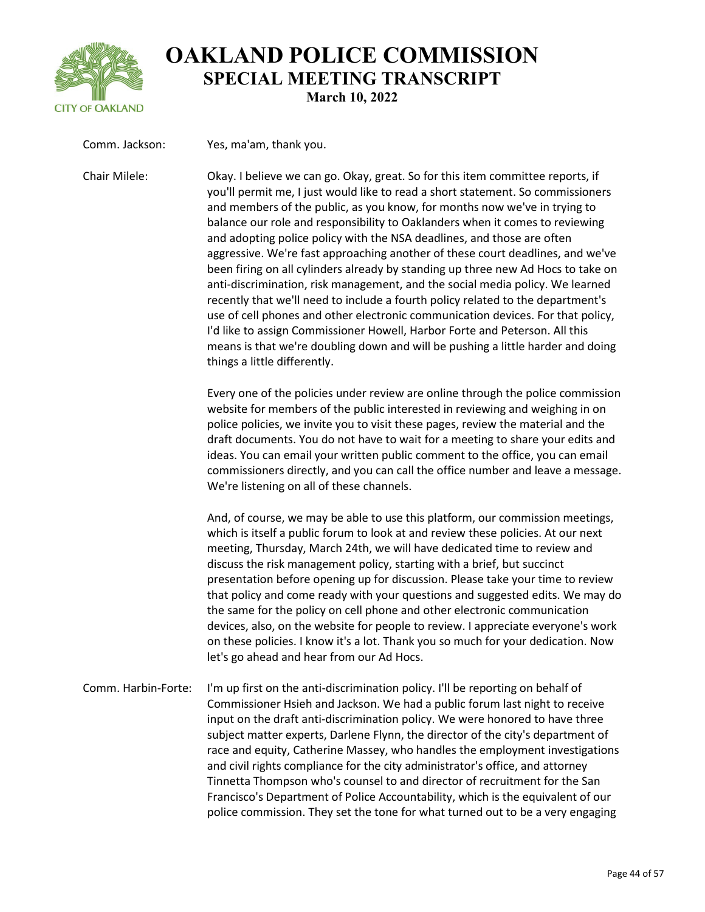

| Comm. Jackson:      | Yes, ma'am, thank you.                                                                                                                                                                                                                                                                                                                                                                                                                                                                                                                                                                                                                                                                                                                                                                                                                                                                                                                                                                                                                  |
|---------------------|-----------------------------------------------------------------------------------------------------------------------------------------------------------------------------------------------------------------------------------------------------------------------------------------------------------------------------------------------------------------------------------------------------------------------------------------------------------------------------------------------------------------------------------------------------------------------------------------------------------------------------------------------------------------------------------------------------------------------------------------------------------------------------------------------------------------------------------------------------------------------------------------------------------------------------------------------------------------------------------------------------------------------------------------|
| Chair Milele:       | Okay. I believe we can go. Okay, great. So for this item committee reports, if<br>you'll permit me, I just would like to read a short statement. So commissioners<br>and members of the public, as you know, for months now we've in trying to<br>balance our role and responsibility to Oaklanders when it comes to reviewing<br>and adopting police policy with the NSA deadlines, and those are often<br>aggressive. We're fast approaching another of these court deadlines, and we've<br>been firing on all cylinders already by standing up three new Ad Hocs to take on<br>anti-discrimination, risk management, and the social media policy. We learned<br>recently that we'll need to include a fourth policy related to the department's<br>use of cell phones and other electronic communication devices. For that policy,<br>I'd like to assign Commissioner Howell, Harbor Forte and Peterson. All this<br>means is that we're doubling down and will be pushing a little harder and doing<br>things a little differently. |
|                     | Every one of the policies under review are online through the police commission<br>website for members of the public interested in reviewing and weighing in on<br>police policies, we invite you to visit these pages, review the material and the<br>draft documents. You do not have to wait for a meeting to share your edits and<br>ideas. You can email your written public comment to the office, you can email<br>commissioners directly, and you can call the office number and leave a message.<br>We're listening on all of these channels.                                                                                                                                                                                                                                                                                                                                                                                                                                                                                  |
|                     | And, of course, we may be able to use this platform, our commission meetings,<br>which is itself a public forum to look at and review these policies. At our next<br>meeting, Thursday, March 24th, we will have dedicated time to review and<br>discuss the risk management policy, starting with a brief, but succinct<br>presentation before opening up for discussion. Please take your time to review<br>that policy and come ready with your questions and suggested edits. We may do<br>the same for the policy on cell phone and other electronic communication<br>devices, also, on the website for people to review. I appreciate everyone's work<br>on these policies. I know it's a lot. Thank you so much for your dedication. Now<br>let's go ahead and hear from our Ad Hocs.                                                                                                                                                                                                                                            |
| Comm. Harbin-Forte: | I'm up first on the anti-discrimination policy. I'll be reporting on behalf of<br>Commissioner Hsieh and Jackson. We had a public forum last night to receive<br>input on the draft anti-discrimination policy. We were honored to have three<br>subject matter experts, Darlene Flynn, the director of the city's department of<br>race and equity, Catherine Massey, who handles the employment investigations<br>and civil rights compliance for the city administrator's office, and attorney<br>Tinnetta Thompson who's counsel to and director of recruitment for the San<br>Francisco's Department of Police Accountability, which is the equivalent of our                                                                                                                                                                                                                                                                                                                                                                      |

police commission. They set the tone for what turned out to be a very engaging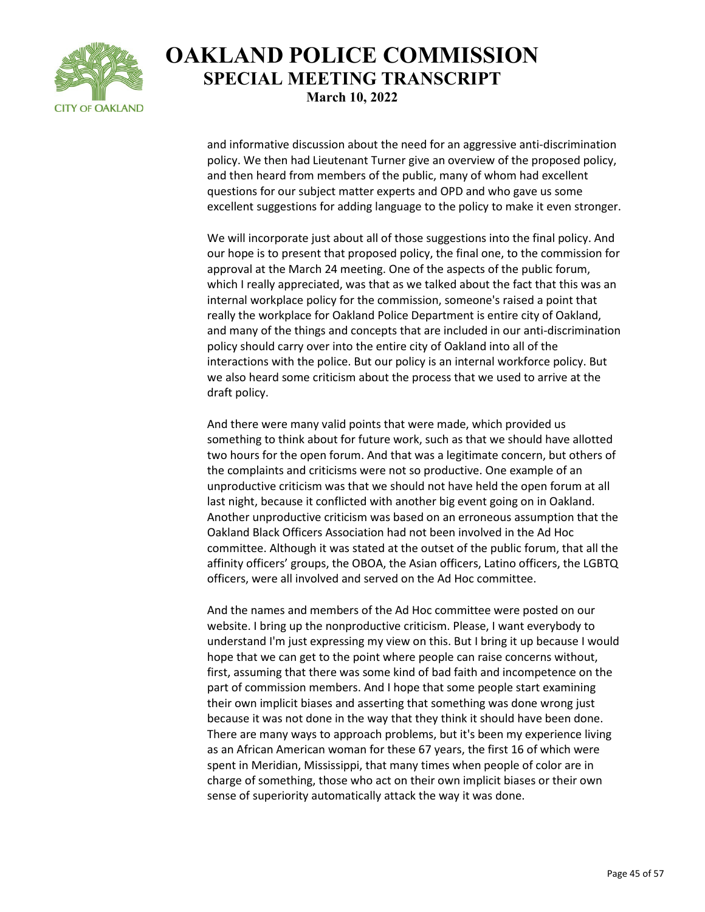

and informative discussion about the need for an aggressive anti-discrimination policy. We then had Lieutenant Turner give an overview of the proposed policy, and then heard from members of the public, many of whom had excellent questions for our subject matter experts and OPD and who gave us some excellent suggestions for adding language to the policy to make it even stronger.

We will incorporate just about all of those suggestions into the final policy. And our hope is to present that proposed policy, the final one, to the commission for approval at the March 24 meeting. One of the aspects of the public forum, which I really appreciated, was that as we talked about the fact that this was an internal workplace policy for the commission, someone's raised a point that really the workplace for Oakland Police Department is entire city of Oakland, and many of the things and concepts that are included in our anti-discrimination policy should carry over into the entire city of Oakland into all of the interactions with the police. But our policy is an internal workforce policy. But we also heard some criticism about the process that we used to arrive at the draft policy.

And there were many valid points that were made, which provided us something to think about for future work, such as that we should have allotted two hours for the open forum. And that was a legitimate concern, but others of the complaints and criticisms were not so productive. One example of an unproductive criticism was that we should not have held the open forum at all last night, because it conflicted with another big event going on in Oakland. Another unproductive criticism was based on an erroneous assumption that the Oakland Black Officers Association had not been involved in the Ad Hoc committee. Although it was stated at the outset of the public forum, that all the affinity officers' groups, the OBOA, the Asian officers, Latino officers, the LGBTQ officers, were all involved and served on the Ad Hoc committee.

And the names and members of the Ad Hoc committee were posted on our website. I bring up the nonproductive criticism. Please, I want everybody to understand I'm just expressing my view on this. But I bring it up because I would hope that we can get to the point where people can raise concerns without, first, assuming that there was some kind of bad faith and incompetence on the part of commission members. And I hope that some people start examining their own implicit biases and asserting that something was done wrong just because it was not done in the way that they think it should have been done. There are many ways to approach problems, but it's been my experience living as an African American woman for these 67 years, the first 16 of which were spent in Meridian, Mississippi, that many times when people of color are in charge of something, those who act on their own implicit biases or their own sense of superiority automatically attack the way it was done.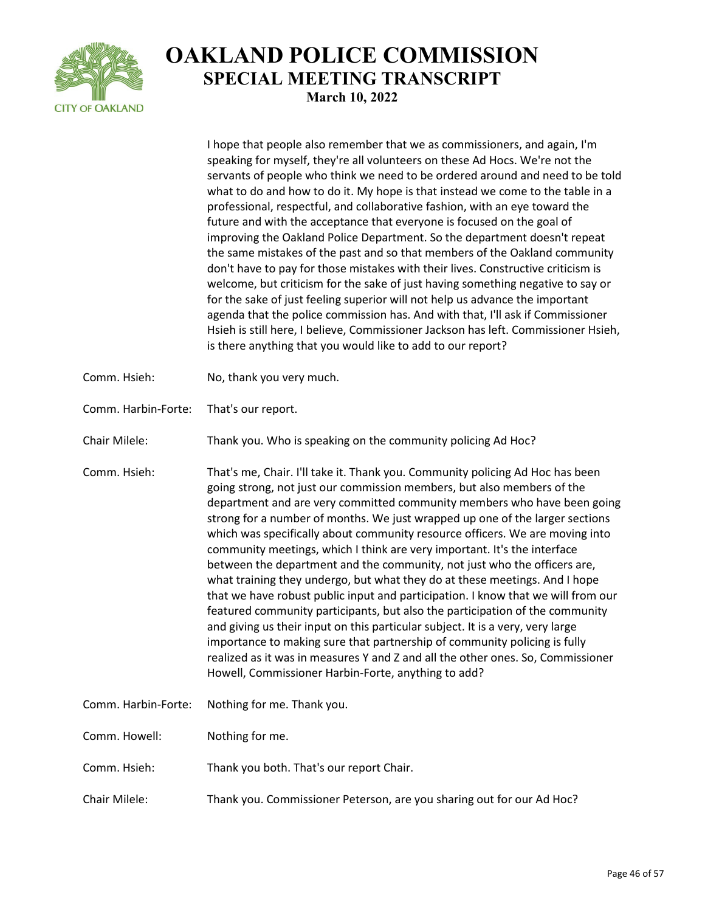

|                     | I hope that people also remember that we as commissioners, and again, I'm<br>speaking for myself, they're all volunteers on these Ad Hocs. We're not the<br>servants of people who think we need to be ordered around and need to be told<br>what to do and how to do it. My hope is that instead we come to the table in a<br>professional, respectful, and collaborative fashion, with an eye toward the<br>future and with the acceptance that everyone is focused on the goal of<br>improving the Oakland Police Department. So the department doesn't repeat<br>the same mistakes of the past and so that members of the Oakland community<br>don't have to pay for those mistakes with their lives. Constructive criticism is<br>welcome, but criticism for the sake of just having something negative to say or<br>for the sake of just feeling superior will not help us advance the important<br>agenda that the police commission has. And with that, I'll ask if Commissioner<br>Hsieh is still here, I believe, Commissioner Jackson has left. Commissioner Hsieh,<br>is there anything that you would like to add to our report? |
|---------------------|-----------------------------------------------------------------------------------------------------------------------------------------------------------------------------------------------------------------------------------------------------------------------------------------------------------------------------------------------------------------------------------------------------------------------------------------------------------------------------------------------------------------------------------------------------------------------------------------------------------------------------------------------------------------------------------------------------------------------------------------------------------------------------------------------------------------------------------------------------------------------------------------------------------------------------------------------------------------------------------------------------------------------------------------------------------------------------------------------------------------------------------------------|
| Comm. Hsieh:        | No, thank you very much.                                                                                                                                                                                                                                                                                                                                                                                                                                                                                                                                                                                                                                                                                                                                                                                                                                                                                                                                                                                                                                                                                                                      |
| Comm. Harbin-Forte: | That's our report.                                                                                                                                                                                                                                                                                                                                                                                                                                                                                                                                                                                                                                                                                                                                                                                                                                                                                                                                                                                                                                                                                                                            |
| Chair Milele:       | Thank you. Who is speaking on the community policing Ad Hoc?                                                                                                                                                                                                                                                                                                                                                                                                                                                                                                                                                                                                                                                                                                                                                                                                                                                                                                                                                                                                                                                                                  |
| Comm. Hsieh:        | That's me, Chair. I'll take it. Thank you. Community policing Ad Hoc has been<br>going strong, not just our commission members, but also members of the<br>department and are very committed community members who have been going<br>strong for a number of months. We just wrapped up one of the larger sections<br>which was specifically about community resource officers. We are moving into<br>community meetings, which I think are very important. It's the interface<br>between the department and the community, not just who the officers are,<br>what training they undergo, but what they do at these meetings. And I hope<br>that we have robust public input and participation. I know that we will from our<br>featured community participants, but also the participation of the community<br>and giving us their input on this particular subject. It is a very, very large<br>importance to making sure that partnership of community policing is fully<br>realized as it was in measures Y and Z and all the other ones. So, Commissioner<br>Howell, Commissioner Harbin-Forte, anything to add?                         |
| Comm. Harbin-Forte: | Nothing for me. Thank you.                                                                                                                                                                                                                                                                                                                                                                                                                                                                                                                                                                                                                                                                                                                                                                                                                                                                                                                                                                                                                                                                                                                    |
| Comm. Howell:       | Nothing for me.                                                                                                                                                                                                                                                                                                                                                                                                                                                                                                                                                                                                                                                                                                                                                                                                                                                                                                                                                                                                                                                                                                                               |
| Comm. Hsieh:        | Thank you both. That's our report Chair.                                                                                                                                                                                                                                                                                                                                                                                                                                                                                                                                                                                                                                                                                                                                                                                                                                                                                                                                                                                                                                                                                                      |
| Chair Milele:       | Thank you. Commissioner Peterson, are you sharing out for our Ad Hoc?                                                                                                                                                                                                                                                                                                                                                                                                                                                                                                                                                                                                                                                                                                                                                                                                                                                                                                                                                                                                                                                                         |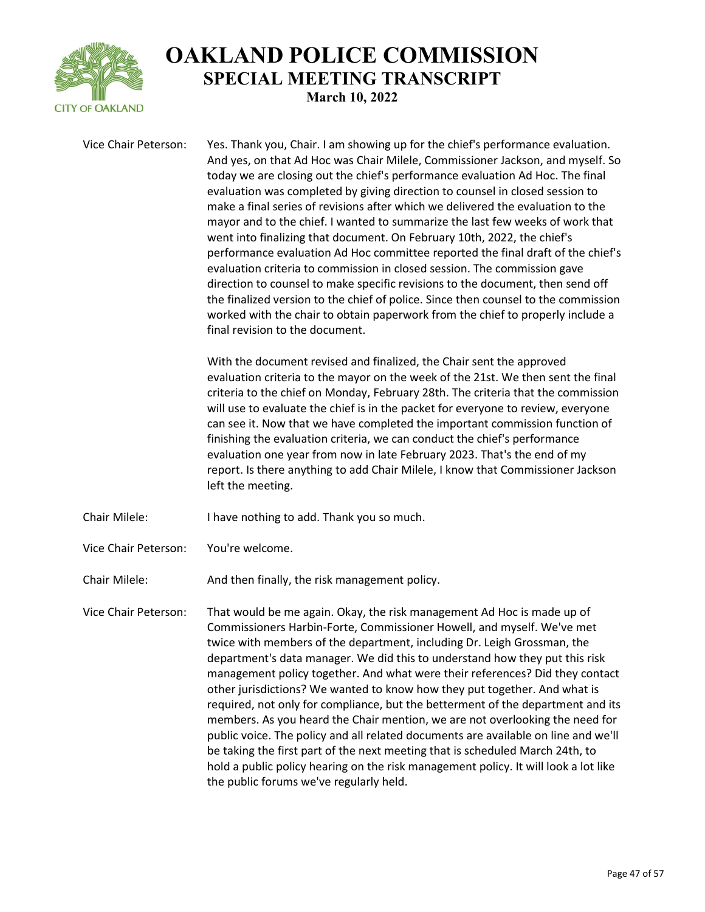

Vice Chair Peterson: Yes. Thank you, Chair. I am showing up for the chief's performance evaluation. And yes, on that Ad Hoc was Chair Milele, Commissioner Jackson, and myself. So today we are closing out the chief's performance evaluation Ad Hoc. The final evaluation was completed by giving direction to counsel in closed session to make a final series of revisions after which we delivered the evaluation to the mayor and to the chief. I wanted to summarize the last few weeks of work that went into finalizing that document. On February 10th, 2022, the chief's performance evaluation Ad Hoc committee reported the final draft of the chief's evaluation criteria to commission in closed session. The commission gave direction to counsel to make specific revisions to the document, then send off the finalized version to the chief of police. Since then counsel to the commission worked with the chair to obtain paperwork from the chief to properly include a final revision to the document.

> With the document revised and finalized, the Chair sent the approved evaluation criteria to the mayor on the week of the 21st. We then sent the final criteria to the chief on Monday, February 28th. The criteria that the commission will use to evaluate the chief is in the packet for everyone to review, everyone can see it. Now that we have completed the important commission function of finishing the evaluation criteria, we can conduct the chief's performance evaluation one year from now in late February 2023. That's the end of my report. Is there anything to add Chair Milele, I know that Commissioner Jackson left the meeting.

- Chair Milele: I have nothing to add. Thank you so much.
- Vice Chair Peterson: You're welcome.

Chair Milele: And then finally, the risk management policy.

Vice Chair Peterson: That would be me again. Okay, the risk management Ad Hoc is made up of Commissioners Harbin-Forte, Commissioner Howell, and myself. We've met twice with members of the department, including Dr. Leigh Grossman, the department's data manager. We did this to understand how they put this risk management policy together. And what were their references? Did they contact other jurisdictions? We wanted to know how they put together. And what is required, not only for compliance, but the betterment of the department and its members. As you heard the Chair mention, we are not overlooking the need for public voice. The policy and all related documents are available on line and we'll be taking the first part of the next meeting that is scheduled March 24th, to hold a public policy hearing on the risk management policy. It will look a lot like the public forums we've regularly held.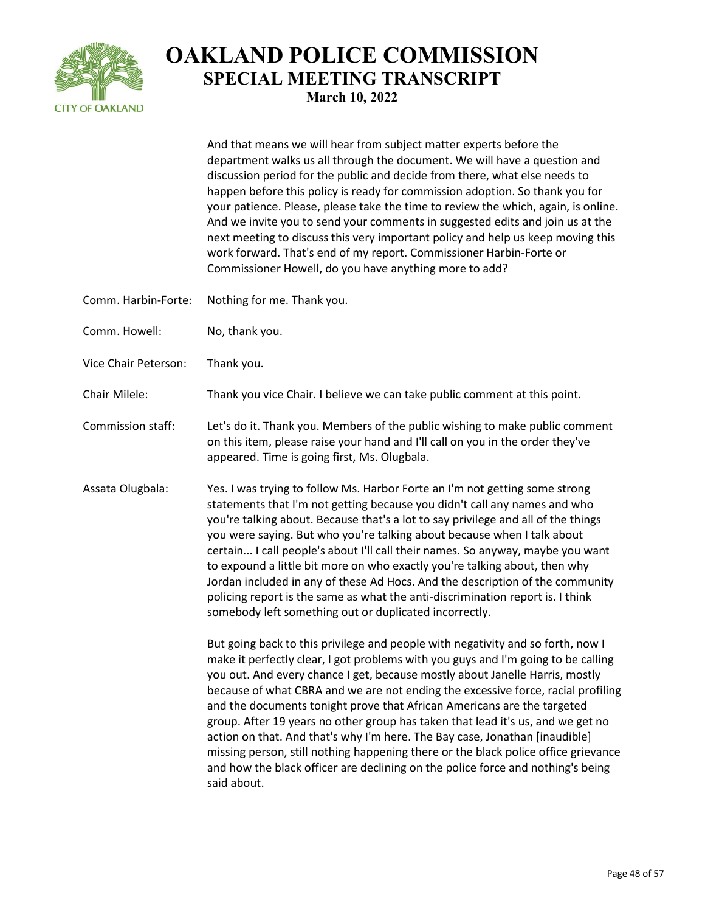

And that means we will hear from subject matter experts before the department walks us all through the document. We will have a question and discussion period for the public and decide from there, what else needs to happen before this policy is ready for commission adoption. So thank you for your patience. Please, please take the time to review the which, again, is online. And we invite you to send your comments in suggested edits and join us at the next meeting to discuss this very important policy and help us keep moving this work forward. That's end of my report. Commissioner Harbin-Forte or Commissioner Howell, do you have anything more to add?

- Comm. Harbin-Forte: Nothing for me. Thank you.
- Comm. Howell: No, thank you.
- Vice Chair Peterson: Thank you.
- Chair Milele: Thank you vice Chair. I believe we can take public comment at this point.
- Commission staff: Let's do it. Thank you. Members of the public wishing to make public comment on this item, please raise your hand and I'll call on you in the order they've appeared. Time is going first, Ms. Olugbala.
- Assata Olugbala: Yes. I was trying to follow Ms. Harbor Forte an I'm not getting some strong statements that I'm not getting because you didn't call any names and who you're talking about. Because that's a lot to say privilege and all of the things you were saying. But who you're talking about because when I talk about certain... I call people's about I'll call their names. So anyway, maybe you want to expound a little bit more on who exactly you're talking about, then why Jordan included in any of these Ad Hocs. And the description of the community policing report is the same as what the anti-discrimination report is. I think somebody left something out or duplicated incorrectly.

But going back to this privilege and people with negativity and so forth, now I make it perfectly clear, I got problems with you guys and I'm going to be calling you out. And every chance I get, because mostly about Janelle Harris, mostly because of what CBRA and we are not ending the excessive force, racial profiling and the documents tonight prove that African Americans are the targeted group. After 19 years no other group has taken that lead it's us, and we get no action on that. And that's why I'm here. The Bay case, Jonathan [inaudible] missing person, still nothing happening there or the black police office grievance and how the black officer are declining on the police force and nothing's being said about.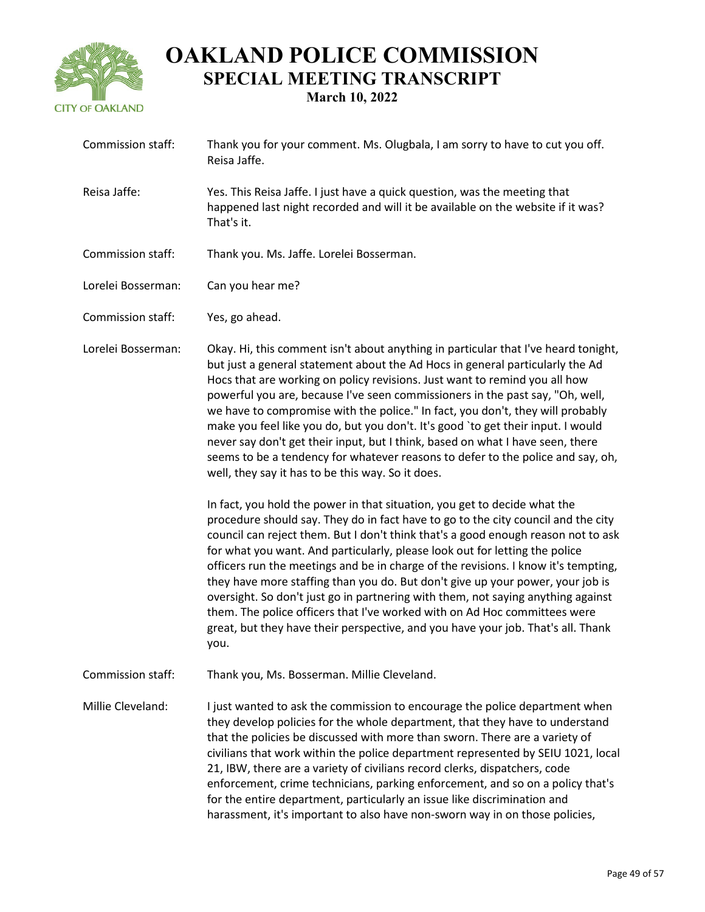

| Commission staff:        | Thank you for your comment. Ms. Olugbala, I am sorry to have to cut you off.<br>Reisa Jaffe.                                                                                                                                                                                                                                                                                                                                                                                                                                                                                                                                                                                                                                                                                                                                                                                                                                                                                              |
|--------------------------|-------------------------------------------------------------------------------------------------------------------------------------------------------------------------------------------------------------------------------------------------------------------------------------------------------------------------------------------------------------------------------------------------------------------------------------------------------------------------------------------------------------------------------------------------------------------------------------------------------------------------------------------------------------------------------------------------------------------------------------------------------------------------------------------------------------------------------------------------------------------------------------------------------------------------------------------------------------------------------------------|
| Reisa Jaffe:             | Yes. This Reisa Jaffe. I just have a quick question, was the meeting that<br>happened last night recorded and will it be available on the website if it was?<br>That's it.                                                                                                                                                                                                                                                                                                                                                                                                                                                                                                                                                                                                                                                                                                                                                                                                                |
| Commission staff:        | Thank you. Ms. Jaffe. Lorelei Bosserman.                                                                                                                                                                                                                                                                                                                                                                                                                                                                                                                                                                                                                                                                                                                                                                                                                                                                                                                                                  |
| Lorelei Bosserman:       | Can you hear me?                                                                                                                                                                                                                                                                                                                                                                                                                                                                                                                                                                                                                                                                                                                                                                                                                                                                                                                                                                          |
| Commission staff:        | Yes, go ahead.                                                                                                                                                                                                                                                                                                                                                                                                                                                                                                                                                                                                                                                                                                                                                                                                                                                                                                                                                                            |
| Lorelei Bosserman:       | Okay. Hi, this comment isn't about anything in particular that I've heard tonight,<br>but just a general statement about the Ad Hocs in general particularly the Ad<br>Hocs that are working on policy revisions. Just want to remind you all how<br>powerful you are, because I've seen commissioners in the past say, "Oh, well,<br>we have to compromise with the police." In fact, you don't, they will probably<br>make you feel like you do, but you don't. It's good `to get their input. I would<br>never say don't get their input, but I think, based on what I have seen, there<br>seems to be a tendency for whatever reasons to defer to the police and say, oh,<br>well, they say it has to be this way. So it does.<br>In fact, you hold the power in that situation, you get to decide what the<br>procedure should say. They do in fact have to go to the city council and the city<br>council can reject them. But I don't think that's a good enough reason not to ask |
|                          | for what you want. And particularly, please look out for letting the police<br>officers run the meetings and be in charge of the revisions. I know it's tempting,<br>they have more staffing than you do. But don't give up your power, your job is<br>oversight. So don't just go in partnering with them, not saying anything against<br>them. The police officers that I've worked with on Ad Hoc committees were<br>great, but they have their perspective, and you have your job. That's all. Thank<br>you.                                                                                                                                                                                                                                                                                                                                                                                                                                                                          |
| <b>Commission staff:</b> | Thank you, Ms. Bosserman. Millie Cleveland.                                                                                                                                                                                                                                                                                                                                                                                                                                                                                                                                                                                                                                                                                                                                                                                                                                                                                                                                               |
| Millie Cleveland:        | I just wanted to ask the commission to encourage the police department when<br>they develop policies for the whole department, that they have to understand<br>that the policies be discussed with more than sworn. There are a variety of<br>civilians that work within the police department represented by SEIU 1021, local<br>21, IBW, there are a variety of civilians record clerks, dispatchers, code<br>enforcement, crime technicians, parking enforcement, and so on a policy that's<br>for the entire department, particularly an issue like discrimination and<br>harassment, it's important to also have non-sworn way in on those policies,                                                                                                                                                                                                                                                                                                                                 |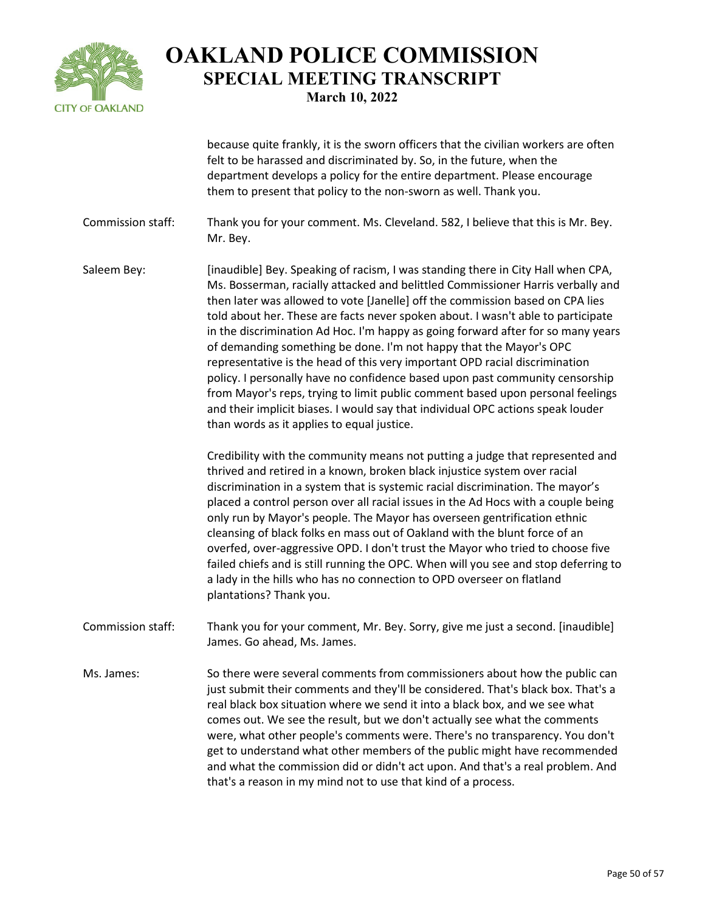

because quite frankly, it is the sworn officers that the civilian workers are often felt to be harassed and discriminated by. So, in the future, when the department develops a policy for the entire department. Please encourage them to present that policy to the non-sworn as well. Thank you.

- Commission staff: Thank you for your comment. Ms. Cleveland. 582, I believe that this is Mr. Bey. Mr. Bey.
- Saleem Bey: [inaudible] Bey. Speaking of racism, I was standing there in City Hall when CPA, Ms. Bosserman, racially attacked and belittled Commissioner Harris verbally and then later was allowed to vote [Janelle] off the commission based on CPA lies told about her. These are facts never spoken about. I wasn't able to participate in the discrimination Ad Hoc. I'm happy as going forward after for so many years of demanding something be done. I'm not happy that the Mayor's OPC representative is the head of this very important OPD racial discrimination policy. I personally have no confidence based upon past community censorship from Mayor's reps, trying to limit public comment based upon personal feelings and their implicit biases. I would say that individual OPC actions speak louder than words as it applies to equal justice.

Credibility with the community means not putting a judge that represented and thrived and retired in a known, broken black injustice system over racial discrimination in a system that is systemic racial discrimination. The mayor's placed a control person over all racial issues in the Ad Hocs with a couple being only run by Mayor's people. The Mayor has overseen gentrification ethnic cleansing of black folks en mass out of Oakland with the blunt force of an overfed, over-aggressive OPD. I don't trust the Mayor who tried to choose five failed chiefs and is still running the OPC. When will you see and stop deferring to a lady in the hills who has no connection to OPD overseer on flatland plantations? Thank you.

- Commission staff: Thank you for your comment, Mr. Bey. Sorry, give me just a second. [inaudible] James. Go ahead, Ms. James.
- Ms. James: So there were several comments from commissioners about how the public can just submit their comments and they'll be considered. That's black box. That's a real black box situation where we send it into a black box, and we see what comes out. We see the result, but we don't actually see what the comments were, what other people's comments were. There's no transparency. You don't get to understand what other members of the public might have recommended and what the commission did or didn't act upon. And that's a real problem. And that's a reason in my mind not to use that kind of a process.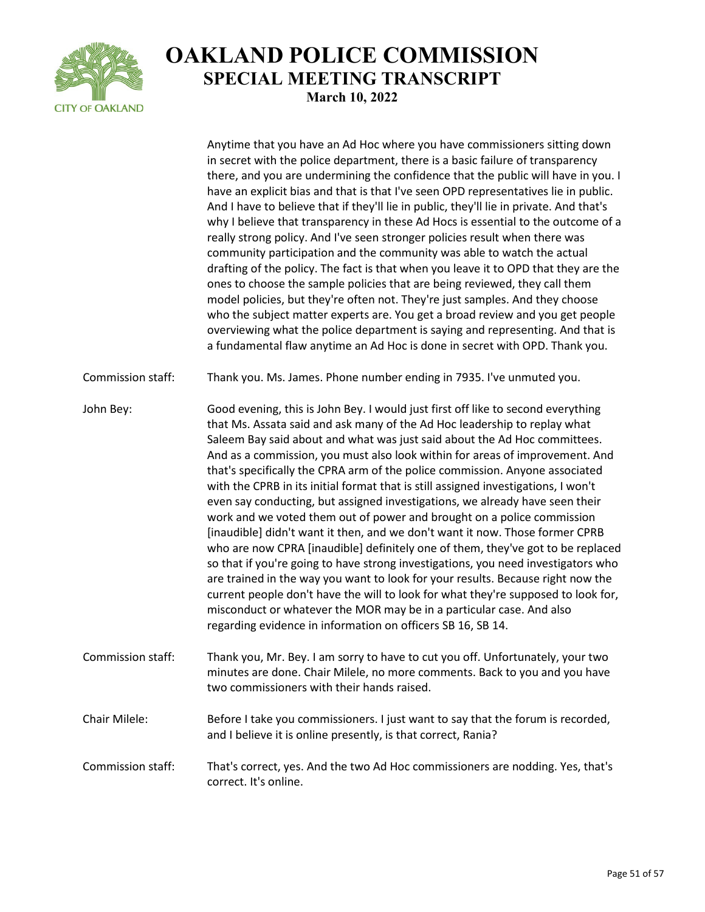

Anytime that you have an Ad Hoc where you have commissioners sitting down in secret with the police department, there is a basic failure of transparency there, and you are undermining the confidence that the public will have in you. I have an explicit bias and that is that I've seen OPD representatives lie in public. And I have to believe that if they'll lie in public, they'll lie in private. And that's why I believe that transparency in these Ad Hocs is essential to the outcome of a really strong policy. And I've seen stronger policies result when there was community participation and the community was able to watch the actual drafting of the policy. The fact is that when you leave it to OPD that they are the ones to choose the sample policies that are being reviewed, they call them model policies, but they're often not. They're just samples. And they choose who the subject matter experts are. You get a broad review and you get people overviewing what the police department is saying and representing. And that is a fundamental flaw anytime an Ad Hoc is done in secret with OPD. Thank you. Commission staff: Thank you. Ms. James. Phone number ending in 7935. I've unmuted you. John Bey: Good evening, this is John Bey. I would just first off like to second everything that Ms. Assata said and ask many of the Ad Hoc leadership to replay what Saleem Bay said about and what was just said about the Ad Hoc committees. And as a commission, you must also look within for areas of improvement. And that's specifically the CPRA arm of the police commission. Anyone associated with the CPRB in its initial format that is still assigned investigations, I won't even say conducting, but assigned investigations, we already have seen their work and we voted them out of power and brought on a police commission [inaudible] didn't want it then, and we don't want it now. Those former CPRB who are now CPRA [inaudible] definitely one of them, they've got to be replaced so that if you're going to have strong investigations, you need investigators who are trained in the way you want to look for your results. Because right now the current people don't have the will to look for what they're supposed to look for, misconduct or whatever the MOR may be in a particular case. And also regarding evidence in information on officers SB 16, SB 14. Commission staff: Thank you, Mr. Bey. I am sorry to have to cut you off. Unfortunately, your two minutes are done. Chair Milele, no more comments. Back to you and you have two commissioners with their hands raised. Chair Milele: Before I take you commissioners. I just want to say that the forum is recorded, and I believe it is online presently, is that correct, Rania? Commission staff: That's correct, yes. And the two Ad Hoc commissioners are nodding. Yes, that's correct. It's online.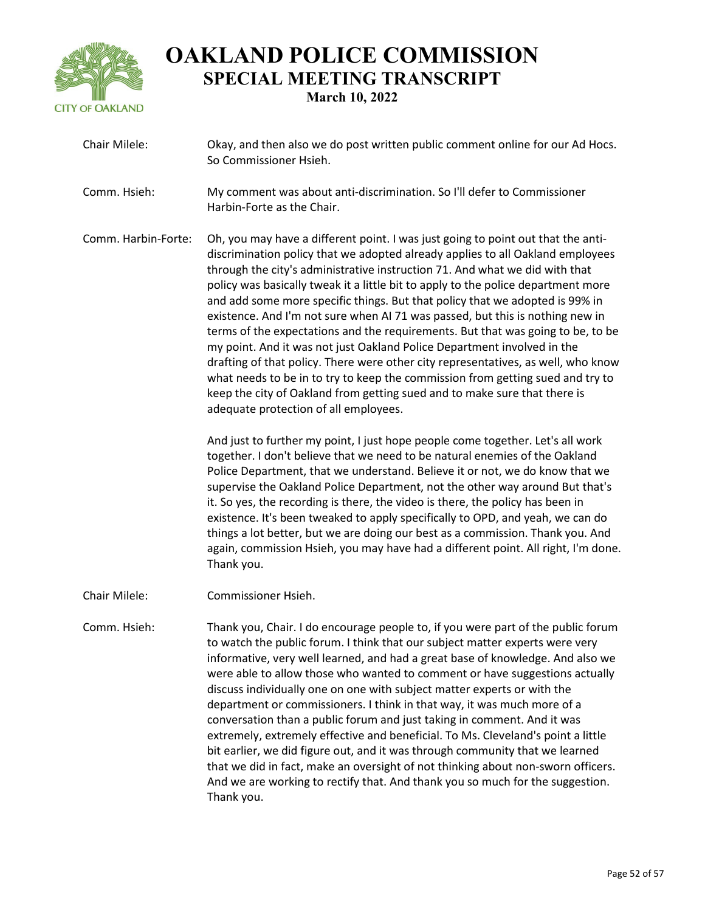

| Chair Milele:       | Okay, and then also we do post written public comment online for our Ad Hocs.<br>So Commissioner Hsieh.                                                                                                                                                                                                                                                                                                                                                                                                                                                                                                                                                                                                                                                                                                                                                                                                                                                            |
|---------------------|--------------------------------------------------------------------------------------------------------------------------------------------------------------------------------------------------------------------------------------------------------------------------------------------------------------------------------------------------------------------------------------------------------------------------------------------------------------------------------------------------------------------------------------------------------------------------------------------------------------------------------------------------------------------------------------------------------------------------------------------------------------------------------------------------------------------------------------------------------------------------------------------------------------------------------------------------------------------|
| Comm. Hsieh:        | My comment was about anti-discrimination. So I'll defer to Commissioner<br>Harbin-Forte as the Chair.                                                                                                                                                                                                                                                                                                                                                                                                                                                                                                                                                                                                                                                                                                                                                                                                                                                              |
| Comm. Harbin-Forte: | Oh, you may have a different point. I was just going to point out that the anti-<br>discrimination policy that we adopted already applies to all Oakland employees<br>through the city's administrative instruction 71. And what we did with that<br>policy was basically tweak it a little bit to apply to the police department more<br>and add some more specific things. But that policy that we adopted is 99% in<br>existence. And I'm not sure when AI 71 was passed, but this is nothing new in<br>terms of the expectations and the requirements. But that was going to be, to be<br>my point. And it was not just Oakland Police Department involved in the<br>drafting of that policy. There were other city representatives, as well, who know<br>what needs to be in to try to keep the commission from getting sued and try to<br>keep the city of Oakland from getting sued and to make sure that there is<br>adequate protection of all employees. |
|                     | And just to further my point, I just hope people come together. Let's all work<br>together. I don't believe that we need to be natural enemies of the Oakland<br>Police Department, that we understand. Believe it or not, we do know that we<br>supervise the Oakland Police Department, not the other way around But that's<br>it. So yes, the recording is there, the video is there, the policy has been in<br>existence. It's been tweaked to apply specifically to OPD, and yeah, we can do<br>things a lot better, but we are doing our best as a commission. Thank you. And<br>again, commission Hsieh, you may have had a different point. All right, I'm done.<br>Thank you.                                                                                                                                                                                                                                                                             |
| Chair Milele:       | Commissioner Hsieh.                                                                                                                                                                                                                                                                                                                                                                                                                                                                                                                                                                                                                                                                                                                                                                                                                                                                                                                                                |
| Comm. Hsieh:        | Thank you, Chair. I do encourage people to, if you were part of the public forum<br>to watch the public forum. I think that our subject matter experts were very<br>informative, very well learned, and had a great base of knowledge. And also we<br>were able to allow those who wanted to comment or have suggestions actually<br>discuss individually one on one with subject matter experts or with the<br>department or commissioners. I think in that way, it was much more of a<br>conversation than a public forum and just taking in comment. And it was<br>extremely, extremely effective and beneficial. To Ms. Cleveland's point a little<br>bit earlier, we did figure out, and it was through community that we learned<br>that we did in fact, make an oversight of not thinking about non-sworn officers.<br>And we are working to rectify that. And thank you so much for the suggestion.<br>Thank you.                                          |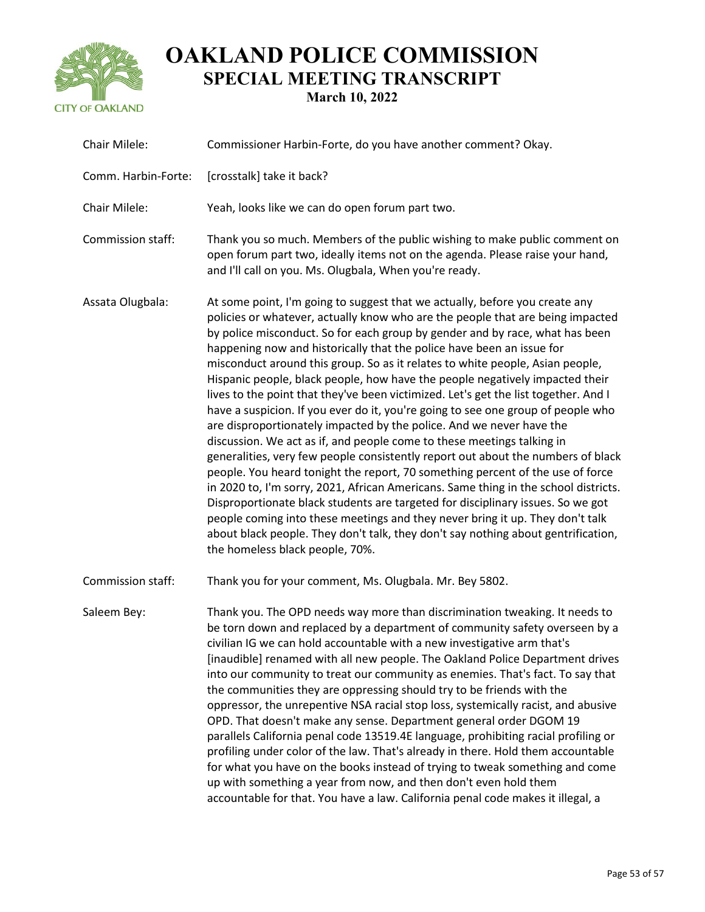

| Chair Milele:       | Commissioner Harbin-Forte, do you have another comment? Okay.                                                                                                                                                                                                                                                                                                                                                                                                                                                                                                                                                                                                                                                                                                                                                                                                                                                                                                                                                                                                                                                                                                                                                                                                                                                                                                                 |
|---------------------|-------------------------------------------------------------------------------------------------------------------------------------------------------------------------------------------------------------------------------------------------------------------------------------------------------------------------------------------------------------------------------------------------------------------------------------------------------------------------------------------------------------------------------------------------------------------------------------------------------------------------------------------------------------------------------------------------------------------------------------------------------------------------------------------------------------------------------------------------------------------------------------------------------------------------------------------------------------------------------------------------------------------------------------------------------------------------------------------------------------------------------------------------------------------------------------------------------------------------------------------------------------------------------------------------------------------------------------------------------------------------------|
| Comm. Harbin-Forte: | [crosstalk] take it back?                                                                                                                                                                                                                                                                                                                                                                                                                                                                                                                                                                                                                                                                                                                                                                                                                                                                                                                                                                                                                                                                                                                                                                                                                                                                                                                                                     |
| Chair Milele:       | Yeah, looks like we can do open forum part two.                                                                                                                                                                                                                                                                                                                                                                                                                                                                                                                                                                                                                                                                                                                                                                                                                                                                                                                                                                                                                                                                                                                                                                                                                                                                                                                               |
| Commission staff:   | Thank you so much. Members of the public wishing to make public comment on<br>open forum part two, ideally items not on the agenda. Please raise your hand,<br>and I'll call on you. Ms. Olugbala, When you're ready.                                                                                                                                                                                                                                                                                                                                                                                                                                                                                                                                                                                                                                                                                                                                                                                                                                                                                                                                                                                                                                                                                                                                                         |
| Assata Olugbala:    | At some point, I'm going to suggest that we actually, before you create any<br>policies or whatever, actually know who are the people that are being impacted<br>by police misconduct. So for each group by gender and by race, what has been<br>happening now and historically that the police have been an issue for<br>misconduct around this group. So as it relates to white people, Asian people,<br>Hispanic people, black people, how have the people negatively impacted their<br>lives to the point that they've been victimized. Let's get the list together. And I<br>have a suspicion. If you ever do it, you're going to see one group of people who<br>are disproportionately impacted by the police. And we never have the<br>discussion. We act as if, and people come to these meetings talking in<br>generalities, very few people consistently report out about the numbers of black<br>people. You heard tonight the report, 70 something percent of the use of force<br>in 2020 to, I'm sorry, 2021, African Americans. Same thing in the school districts.<br>Disproportionate black students are targeted for disciplinary issues. So we got<br>people coming into these meetings and they never bring it up. They don't talk<br>about black people. They don't talk, they don't say nothing about gentrification,<br>the homeless black people, 70%. |
| Commission staff:   | Thank you for your comment, Ms. Olugbala. Mr. Bey 5802.                                                                                                                                                                                                                                                                                                                                                                                                                                                                                                                                                                                                                                                                                                                                                                                                                                                                                                                                                                                                                                                                                                                                                                                                                                                                                                                       |
| Saleem Bey:         | Thank you. The OPD needs way more than discrimination tweaking. It needs to<br>be torn down and replaced by a department of community safety overseen by a<br>civilian IG we can hold accountable with a new investigative arm that's<br>[inaudible] renamed with all new people. The Oakland Police Department drives<br>into our community to treat our community as enemies. That's fact. To say that<br>the communities they are oppressing should try to be friends with the<br>oppressor, the unrepentive NSA racial stop loss, systemically racist, and abusive<br>OPD. That doesn't make any sense. Department general order DGOM 19<br>parallels California penal code 13519.4E language, prohibiting racial profiling or<br>profiling under color of the law. That's already in there. Hold them accountable<br>for what you have on the books instead of trying to tweak something and come<br>up with something a year from now, and then don't even hold them<br>accountable for that. You have a law. California penal code makes it illegal, a                                                                                                                                                                                                                                                                                                                 |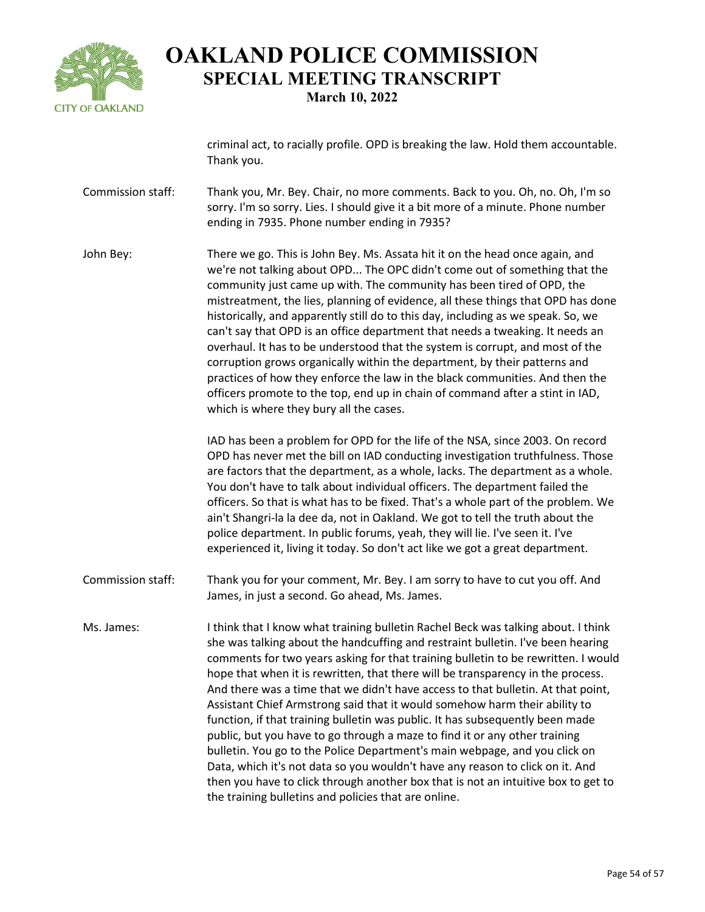

criminal act, to racially profile. OPD is breaking the law. Hold them accountable. Thank you.

- Commission staff: Thank you, Mr. Bey. Chair, no more comments. Back to you. Oh, no. Oh, I'm so sorry. I'm so sorry. Lies. I should give it a bit more of a minute. Phone number ending in 7935. Phone number ending in 7935?
- John Bey: There we go. This is John Bey. Ms. Assata hit it on the head once again, and we're not talking about OPD... The OPC didn't come out of something that the community just came up with. The community has been tired of OPD, the mistreatment, the lies, planning of evidence, all these things that OPD has done historically, and apparently still do to this day, including as we speak. So, we can't say that OPD is an office department that needs a tweaking. It needs an overhaul. It has to be understood that the system is corrupt, and most of the corruption grows organically within the department, by their patterns and practices of how they enforce the law in the black communities. And then the officers promote to the top, end up in chain of command after a stint in IAD, which is where they bury all the cases.

IAD has been a problem for OPD for the life of the NSA, since 2003. On record OPD has never met the bill on IAD conducting investigation truthfulness. Those are factors that the department, as a whole, lacks. The department as a whole. You don't have to talk about individual officers. The department failed the officers. So that is what has to be fixed. That's a whole part of the problem. We ain't Shangri-la la dee da, not in Oakland. We got to tell the truth about the police department. In public forums, yeah, they will lie. I've seen it. I've experienced it, living it today. So don't act like we got a great department.

- Commission staff: Thank you for your comment, Mr. Bey. I am sorry to have to cut you off. And James, in just a second. Go ahead, Ms. James.
- Ms. James: I think that I know what training bulletin Rachel Beck was talking about. I think she was talking about the handcuffing and restraint bulletin. I've been hearing comments for two years asking for that training bulletin to be rewritten. I would hope that when it is rewritten, that there will be transparency in the process. And there was a time that we didn't have access to that bulletin. At that point, Assistant Chief Armstrong said that it would somehow harm their ability to function, if that training bulletin was public. It has subsequently been made public, but you have to go through a maze to find it or any other training bulletin. You go to the Police Department's main webpage, and you click on Data, which it's not data so you wouldn't have any reason to click on it. And then you have to click through another box that is not an intuitive box to get to the training bulletins and policies that are online.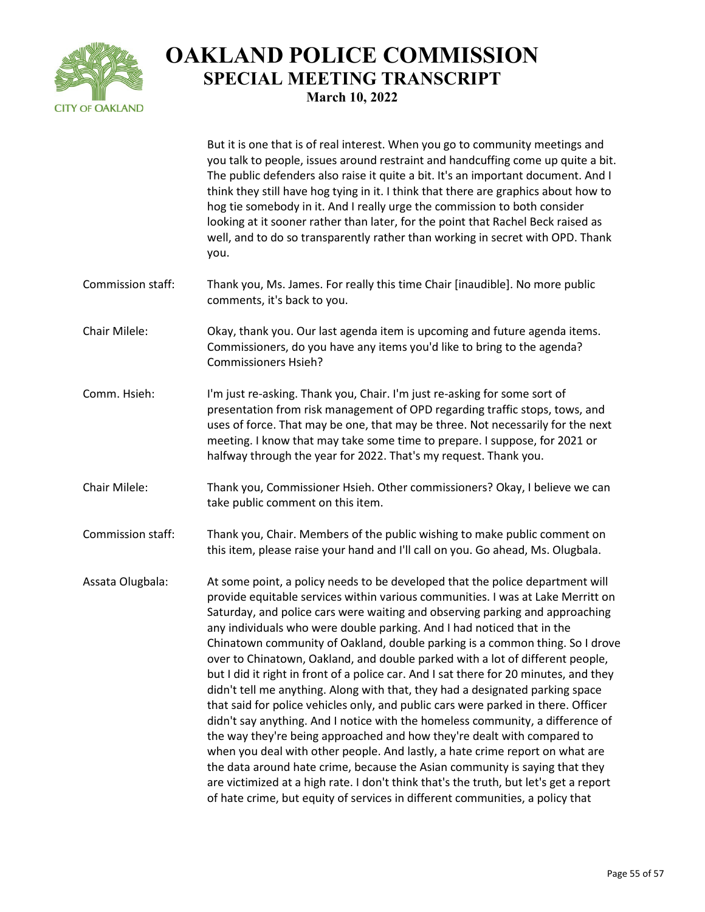

But it is one that is of real interest. When you go to community meetings and you talk to people, issues around restraint and handcuffing come up quite a bit. The public defenders also raise it quite a bit. It's an important document. And I think they still have hog tying in it. I think that there are graphics about how to hog tie somebody in it. And I really urge the commission to both consider looking at it sooner rather than later, for the point that Rachel Beck raised as well, and to do so transparently rather than working in secret with OPD. Thank you. Commission staff: Thank you, Ms. James. For really this time Chair [inaudible]. No more public comments, it's back to you. Chair Milele: Okay, thank you. Our last agenda item is upcoming and future agenda items. Commissioners, do you have any items you'd like to bring to the agenda? Commissioners Hsieh? Comm. Hsieh: I'm just re-asking. Thank you, Chair. I'm just re-asking for some sort of presentation from risk management of OPD regarding traffic stops, tows, and uses of force. That may be one, that may be three. Not necessarily for the next meeting. I know that may take some time to prepare. I suppose, for 2021 or halfway through the year for 2022. That's my request. Thank you. Chair Milele: Thank you, Commissioner Hsieh. Other commissioners? Okay, I believe we can take public comment on this item. Commission staff: Thank you, Chair. Members of the public wishing to make public comment on this item, please raise your hand and I'll call on you. Go ahead, Ms. Olugbala. Assata Olugbala: At some point, a policy needs to be developed that the police department will provide equitable services within various communities. I was at Lake Merritt on Saturday, and police cars were waiting and observing parking and approaching any individuals who were double parking. And I had noticed that in the Chinatown community of Oakland, double parking is a common thing. So I drove over to Chinatown, Oakland, and double parked with a lot of different people, but I did it right in front of a police car. And I sat there for 20 minutes, and they didn't tell me anything. Along with that, they had a designated parking space that said for police vehicles only, and public cars were parked in there. Officer didn't say anything. And I notice with the homeless community, a difference of the way they're being approached and how they're dealt with compared to when you deal with other people. And lastly, a hate crime report on what are the data around hate crime, because the Asian community is saying that they are victimized at a high rate. I don't think that's the truth, but let's get a report of hate crime, but equity of services in different communities, a policy that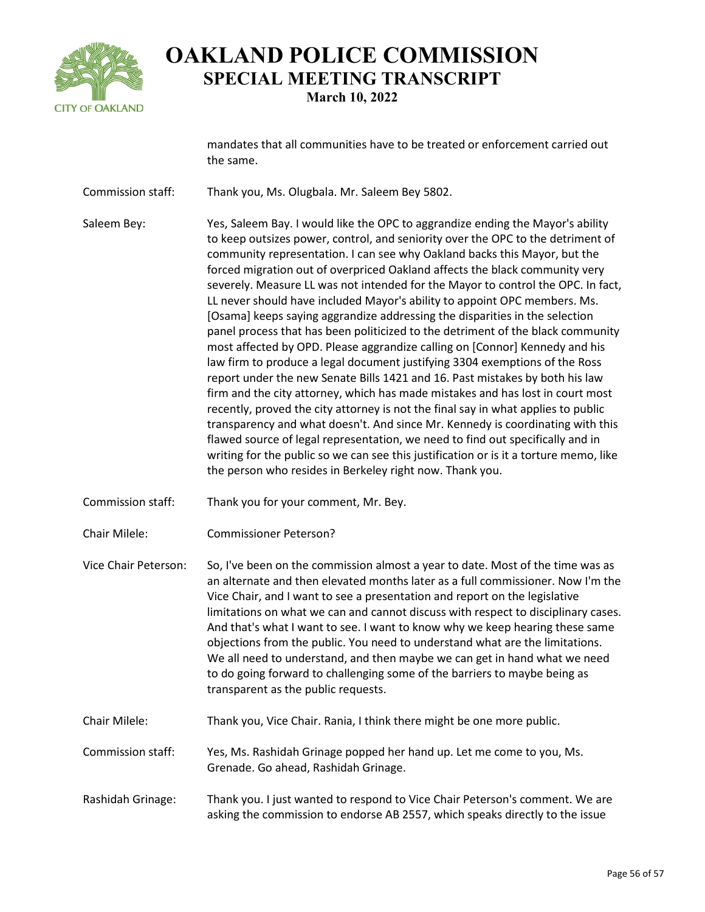

mandates that all communities have to be treated or enforcement carried out the same.

Commission staff: Thank you, Ms. Olugbala. Mr. Saleem Bey 5802.

Saleem Bey: Yes, Saleem Bay. I would like the OPC to aggrandize ending the Mayor's ability to keep outsizes power, control, and seniority over the OPC to the detriment of community representation. I can see why Oakland backs this Mayor, but the forced migration out of overpriced Oakland affects the black community very severely. Measure LL was not intended for the Mayor to control the OPC. In fact, LL never should have included Mayor's ability to appoint OPC members. Ms. [Osama] keeps saying aggrandize addressing the disparities in the selection panel process that has been politicized to the detriment of the black community most affected by OPD. Please aggrandize calling on [Connor] Kennedy and his law firm to produce a legal document justifying 3304 exemptions of the Ross report under the new Senate Bills 1421 and 16. Past mistakes by both his law firm and the city attorney, which has made mistakes and has lost in court most recently, proved the city attorney is not the final say in what applies to public transparency and what doesn't. And since Mr. Kennedy is coordinating with this flawed source of legal representation, we need to find out specifically and in writing for the public so we can see this justification or is it a torture memo, like the person who resides in Berkeley right now. Thank you.

- Commission staff: Thank you for your comment, Mr. Bey.
- Chair Milele: Commissioner Peterson?
- Vice Chair Peterson: So, I've been on the commission almost a year to date. Most of the time was as an alternate and then elevated months later as a full commissioner. Now I'm the Vice Chair, and I want to see a presentation and report on the legislative limitations on what we can and cannot discuss with respect to disciplinary cases. And that's what I want to see. I want to know why we keep hearing these same objections from the public. You need to understand what are the limitations. We all need to understand, and then maybe we can get in hand what we need to do going forward to challenging some of the barriers to maybe being as transparent as the public requests.
- Chair Milele: Thank you, Vice Chair. Rania, I think there might be one more public.
- Commission staff: Yes, Ms. Rashidah Grinage popped her hand up. Let me come to you, Ms. Grenade. Go ahead, Rashidah Grinage.
- Rashidah Grinage: Thank you. I just wanted to respond to Vice Chair Peterson's comment. We are asking the commission to endorse AB 2557, which speaks directly to the issue